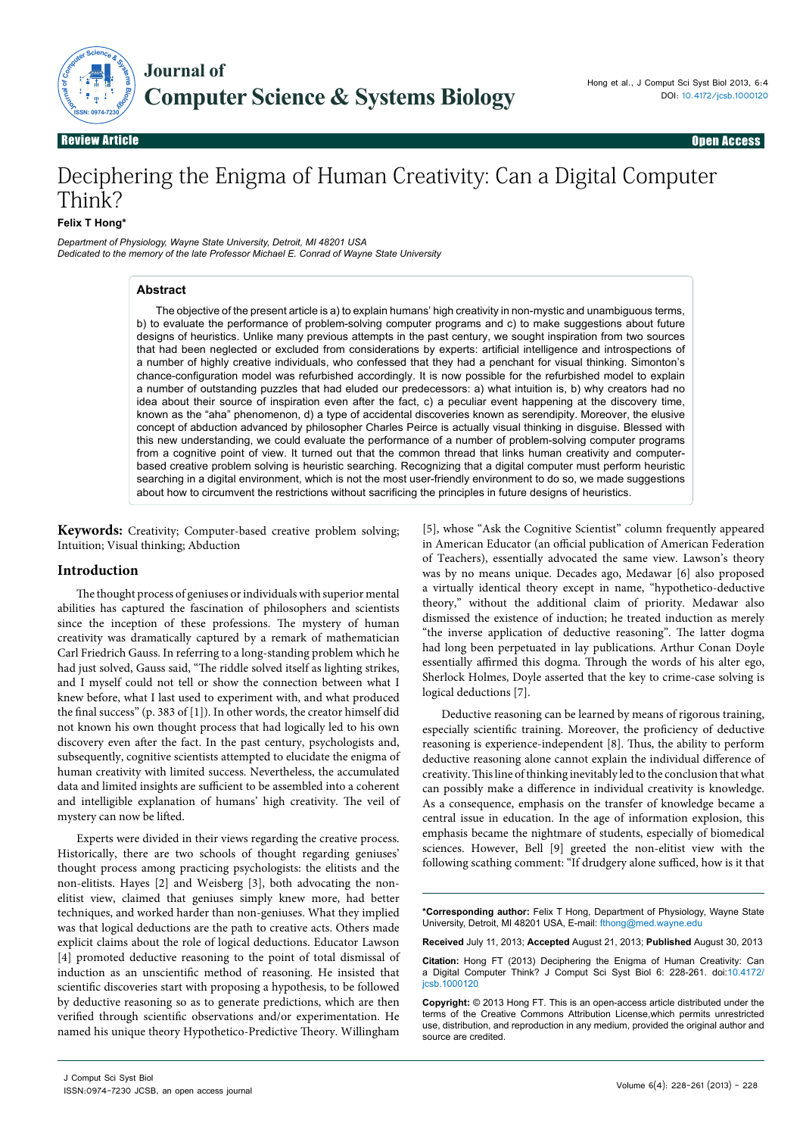

Review Article **Channel Access and Channel Access** and Channel Access and Channel Access and Channel Access and Review Article Open Access

# Deciphering the Enigma of Human Creativity: Can a Digital Computer Think?

**Felix T Hong\*** 

*Department of Physiology, Wayne State University, Detroit, MI 48201 USA Dedicated to the memory of the late Professor Michael E. Conrad of Wayne State University*

#### **Abstract**

The objective of the present article is a) to explain humans' high creativity in non-mystic and unambiguous terms, b) to evaluate the performance of problem-solving computer programs and c) to make suggestions about future designs of heuristics. Unlike many previous attempts in the past century, we sought inspiration from two sources that had been neglected or excluded from considerations by experts: artificial intelligence and introspections of a number of highly creative individuals, who confessed that they had a penchant for visual thinking. Simonton's chance-configuration model was refurbished accordingly. It is now possible for the refurbished model to explain a number of outstanding puzzles that had eluded our predecessors: a) what intuition is, b) why creators had no idea about their source of inspiration even after the fact, c) a peculiar event happening at the discovery time, known as the "aha" phenomenon, d) a type of accidental discoveries known as serendipity. Moreover, the elusive concept of abduction advanced by philosopher Charles Peirce is actually visual thinking in disguise. Blessed with this new understanding, we could evaluate the performance of a number of problem-solving computer programs from a cognitive point of view. It turned out that the common thread that links human creativity and computerbased creative problem solving is heuristic searching. Recognizing that a digital computer must perform heuristic searching in a digital environment, which is not the most user-friendly environment to do so, we made suggestions about how to circumvent the restrictions without sacrificing the principles in future designs of heuristics.

**Keywords:** Creativity; Computer-based creative problem solving; Intuition; Visual thinking; Abduction

#### **Introduction**

The thought process of geniuses or individuals with superior mental abilities has captured the fascination of philosophers and scientists since the inception of these professions. The mystery of human creativity was dramatically captured by a remark of mathematician Carl Friedrich Gauss. In referring to a long-standing problem which he had just solved, Gauss said, "The riddle solved itself as lighting strikes, and I myself could not tell or show the connection between what I knew before, what I last used to experiment with, and what produced the final success" (p. 383 of [1]). In other words, the creator himself did not known his own thought process that had logically led to his own discovery even after the fact. In the past century, psychologists and, subsequently, cognitive scientists attempted to elucidate the enigma of human creativity with limited success. Nevertheless, the accumulated data and limited insights are sufficient to be assembled into a coherent and intelligible explanation of humans' high creativity. The veil of mystery can now be lifted.

Experts were divided in their views regarding the creative process. Historically, there are two schools of thought regarding geniuses' thought process among practicing psychologists: the elitists and the non-elitists. Hayes [2] and Weisberg [3], both advocating the nonelitist view, claimed that geniuses simply knew more, had better techniques, and worked harder than non-geniuses. What they implied was that logical deductions are the path to creative acts. Others made explicit claims about the role of logical deductions. Educator Lawson [4] promoted deductive reasoning to the point of total dismissal of induction as an unscientific method of reasoning. He insisted that scientific discoveries start with proposing a hypothesis, to be followed by deductive reasoning so as to generate predictions, which are then verified through scientific observations and/or experimentation. He named his unique theory Hypothetico-Predictive Theory. Willingham

[5], whose "Ask the Cognitive Scientist" column frequently appeared in American Educator (an official publication of American Federation of Teachers), essentially advocated the same view. Lawson's theory was by no means unique. Decades ago, Medawar [6] also proposed a virtually identical theory except in name, "hypothetico-deductive theory," without the additional claim of priority. Medawar also dismissed the existence of induction; he treated induction as merely "the inverse application of deductive reasoning". The latter dogma had long been perpetuated in lay publications. Arthur Conan Doyle essentially affirmed this dogma. Through the words of his alter ego, Sherlock Holmes, Doyle asserted that the key to crime-case solving is logical deductions [7].

Deductive reasoning can be learned by means of rigorous training, especially scientific training. Moreover, the proficiency of deductive reasoning is experience-independent [8]. Thus, the ability to perform deductive reasoning alone cannot explain the individual difference of creativity. This line of thinking inevitably led to the conclusion that what can possibly make a difference in individual creativity is knowledge. As a consequence, emphasis on the transfer of knowledge became a central issue in education. In the age of information explosion, this emphasis became the nightmare of students, especially of biomedical sciences. However, Bell [9] greeted the non-elitist view with the following scathing comment: "If drudgery alone sufficed, how is it that

**\*Corresponding author:** Felix T Hong, Department of Physiology, Wayne State University, Detroit, MI 48201 USA, E-mail: fthong@med.wayne.edu

**Received** July 11, 2013; **Accepted** August 21, 2013; **Published** August 30, 2013

**Citation:** Hong FT (2013) Deciphering the Enigma of Human Creativity: Can a Digital Computer Think? J Comput Sci Syst Biol 6: 228-261. doi:10.4172/ jcsb.1000120

**Copyright:** © 2013 Hong FT. This is an open-access article distributed under the terms of the Creative Commons Attribution License,which permits unrestricted use, distribution, and reproduction in any medium, provided the original author and source are credited.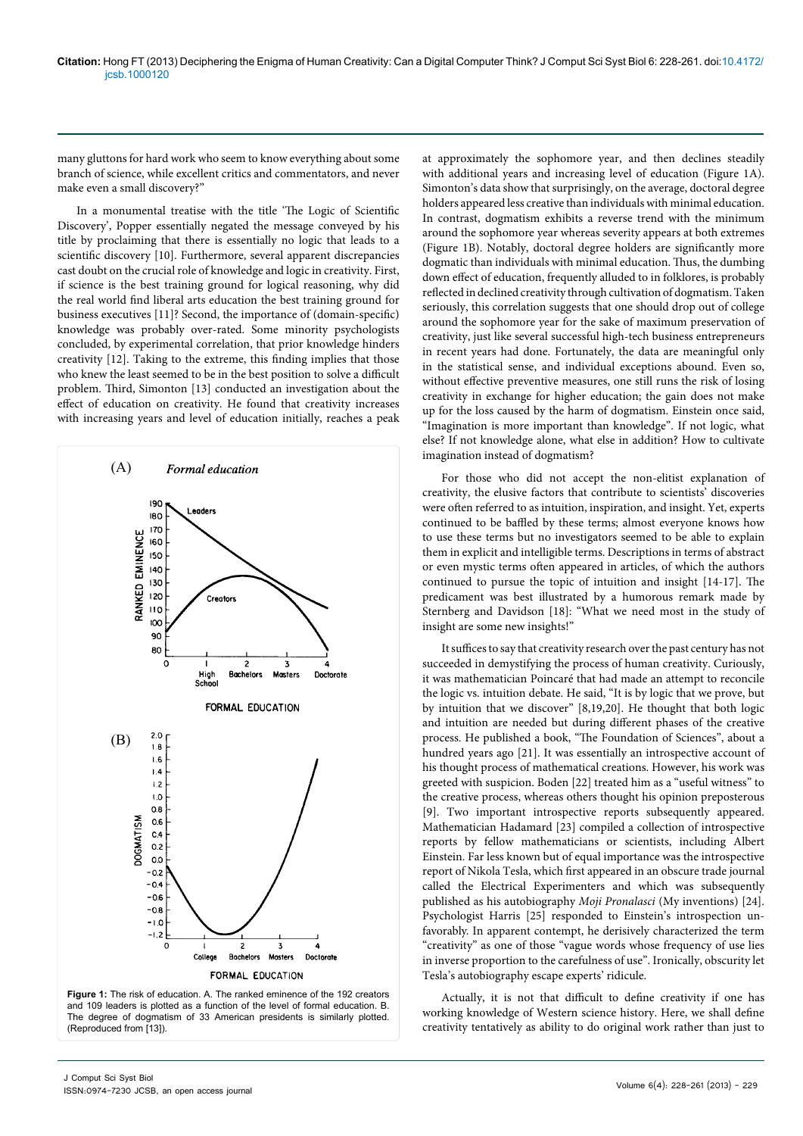many gluttons for hard work who seem to know everything about some branch of science, while excellent critics and commentators, and never make even a small discovery?"

In a monumental treatise with the title 'The Logic of Scientific Discovery', Popper essentially negated the message conveyed by his title by proclaiming that there is essentially no logic that leads to a scientific discovery [10]. Furthermore, several apparent discrepancies cast doubt on the crucial role of knowledge and logic in creativity. First, if science is the best training ground for logical reasoning, why did the real world find liberal arts education the best training ground for business executives [11]? Second, the importance of (domain-specific) knowledge was probably over-rated. Some minority psychologists concluded, by experimental correlation, that prior knowledge hinders creativity [12]. Taking to the extreme, this finding implies that those who knew the least seemed to be in the best position to solve a difficult problem. Third, Simonton [13] conducted an investigation about the effect of education on creativity. He found that creativity increases with increasing years and level of education initially, reaches a peak



**Figure 1:** The risk of education. A. The ranked eminence of the 192 creators and 109 leaders is plotted as a function of the level of formal education. B. The degree of dogmatism of 33 American presidents is similarly plotted. (Reproduced from [13]).

at approximately the sophomore year, and then declines steadily with additional years and increasing level of education (Figure 1A). Simonton's data show that surprisingly, on the average, doctoral degree holders appeared less creative than individuals with minimal education. In contrast, dogmatism exhibits a reverse trend with the minimum around the sophomore year whereas severity appears at both extremes (Figure 1B). Notably, doctoral degree holders are significantly more dogmatic than individuals with minimal education. Thus, the dumbing down effect of education, frequently alluded to in folklores, is probably reflected in declined creativity through cultivation of dogmatism. Taken seriously, this correlation suggests that one should drop out of college around the sophomore year for the sake of maximum preservation of creativity, just like several successful high-tech business entrepreneurs in recent years had done. Fortunately, the data are meaningful only in the statistical sense, and individual exceptions abound. Even so, without effective preventive measures, one still runs the risk of losing creativity in exchange for higher education; the gain does not make up for the loss caused by the harm of dogmatism. Einstein once said, "Imagination is more important than knowledge". If not logic, what else? If not knowledge alone, what else in addition? How to cultivate imagination instead of dogmatism?

For those who did not accept the non-elitist explanation of creativity, the elusive factors that contribute to scientists' discoveries were often referred to as intuition, inspiration, and insight. Yet, experts continued to be baffled by these terms; almost everyone knows how to use these terms but no investigators seemed to be able to explain them in explicit and intelligible terms. Descriptions in terms of abstract or even mystic terms often appeared in articles, of which the authors continued to pursue the topic of intuition and insight [14-17]. The predicament was best illustrated by a humorous remark made by Sternberg and Davidson [18]: "What we need most in the study of insight are some new insights!"

It suffices to say that creativity research over the past century has not succeeded in demystifying the process of human creativity. Curiously, it was mathematician Poincaré that had made an attempt to reconcile the logic vs. intuition debate. He said, "It is by logic that we prove, but by intuition that we discover" [8,19,20]. He thought that both logic and intuition are needed but during different phases of the creative process. He published a book, "The Foundation of Sciences", about a hundred years ago [21]. It was essentially an introspective account of his thought process of mathematical creations. However, his work was greeted with suspicion. Boden [22] treated him as a "useful witness" to the creative process, whereas others thought his opinion preposterous [9]. Two important introspective reports subsequently appeared. Mathematician Hadamard [23] compiled a collection of introspective reports by fellow mathematicians or scientists, including Albert Einstein. Far less known but of equal importance was the introspective report of Nikola Tesla, which first appeared in an obscure trade journal called the Electrical Experimenters and which was subsequently published as his autobiography *Moji Pronalasci* (My inventions) [24]. Psychologist Harris [25] responded to Einstein's introspection unfavorably. In apparent contempt, he derisively characterized the term "creativity" as one of those "vague words whose frequency of use lies in inverse proportion to the carefulness of use". Ironically, obscurity let Tesla's autobiography escape experts' ridicule.

Actually, it is not that difficult to define creativity if one has working knowledge of Western science history. Here, we shall define creativity tentatively as ability to do original work rather than just to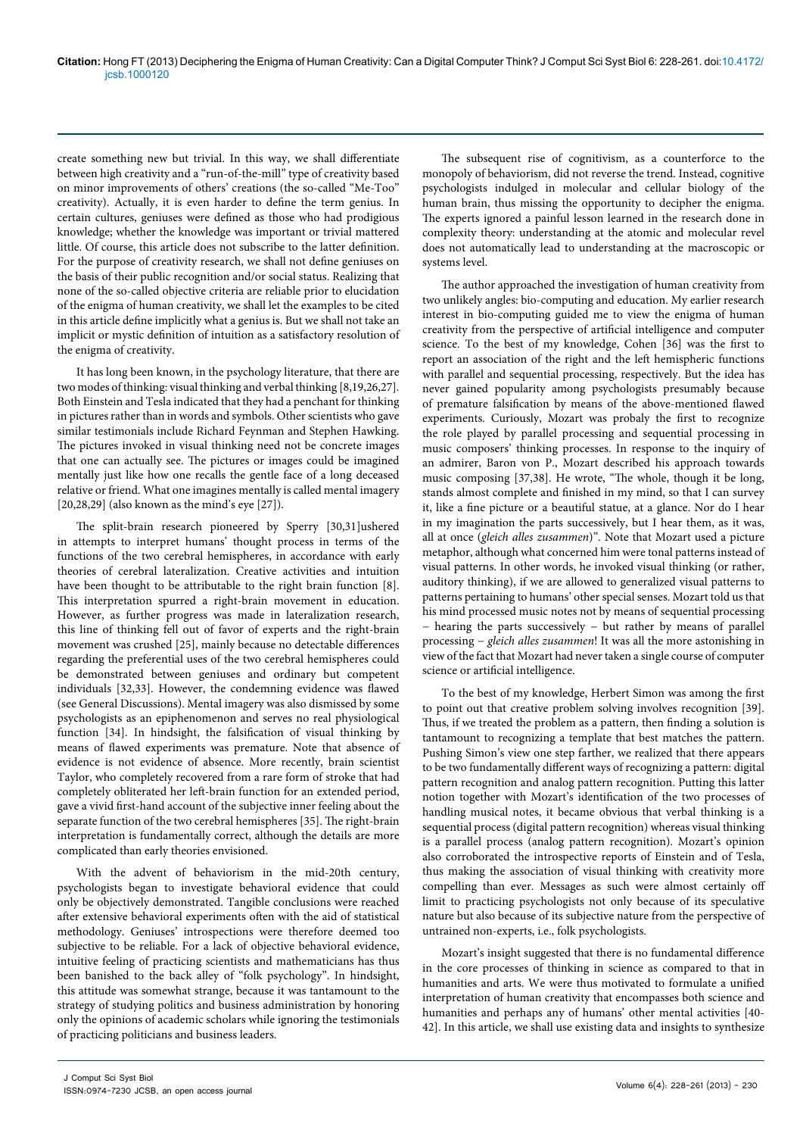create something new but trivial. In this way, we shall differentiate between high creativity and a "run-of-the-mill" type of creativity based on minor improvements of others' creations (the so-called "Me-Too" creativity). Actually, it is even harder to define the term genius. In certain cultures, geniuses were defined as those who had prodigious knowledge; whether the knowledge was important or trivial mattered little. Of course, this article does not subscribe to the latter definition. For the purpose of creativity research, we shall not define geniuses on the basis of their public recognition and/or social status. Realizing that none of the so-called objective criteria are reliable prior to elucidation of the enigma of human creativity, we shall let the examples to be cited in this article define implicitly what a genius is. But we shall not take an implicit or mystic definition of intuition as a satisfactory resolution of the enigma of creativity.

It has long been known, in the psychology literature, that there are two modes of thinking: visual thinking and verbal thinking [8,19,26,27]. Both Einstein and Tesla indicated that they had a penchant for thinking in pictures rather than in words and symbols. Other scientists who gave similar testimonials include Richard Feynman and Stephen Hawking. The pictures invoked in visual thinking need not be concrete images that one can actually see. The pictures or images could be imagined mentally just like how one recalls the gentle face of a long deceased relative or friend. What one imagines mentally is called mental imagery [20,28,29] (also known as the mind's eye [27]).

The split-brain research pioneered by Sperry [30,31]ushered in attempts to interpret humans' thought process in terms of the functions of the two cerebral hemispheres, in accordance with early theories of cerebral lateralization. Creative activities and intuition have been thought to be attributable to the right brain function [8]. This interpretation spurred a right-brain movement in education. However, as further progress was made in lateralization research, this line of thinking fell out of favor of experts and the right-brain movement was crushed [25], mainly because no detectable differences regarding the preferential uses of the two cerebral hemispheres could be demonstrated between geniuses and ordinary but competent individuals [32,33]. However, the condemning evidence was flawed (see General Discussions). Mental imagery was also dismissed by some psychologists as an epiphenomenon and serves no real physiological function [34]. In hindsight, the falsification of visual thinking by means of flawed experiments was premature. Note that absence of evidence is not evidence of absence. More recently, brain scientist Taylor, who completely recovered from a rare form of stroke that had completely obliterated her left-brain function for an extended period, gave a vivid first-hand account of the subjective inner feeling about the separate function of the two cerebral hemispheres [35]. The right-brain interpretation is fundamentally correct, although the details are more complicated than early theories envisioned.

With the advent of behaviorism in the mid-20th century, psychologists began to investigate behavioral evidence that could only be objectively demonstrated. Tangible conclusions were reached after extensive behavioral experiments often with the aid of statistical methodology. Geniuses' introspections were therefore deemed too subjective to be reliable. For a lack of objective behavioral evidence, intuitive feeling of practicing scientists and mathematicians has thus been banished to the back alley of "folk psychology". In hindsight, this attitude was somewhat strange, because it was tantamount to the strategy of studying politics and business administration by honoring only the opinions of academic scholars while ignoring the testimonials of practicing politicians and business leaders.

The subsequent rise of cognitivism, as a counterforce to the monopoly of behaviorism, did not reverse the trend. Instead, cognitive psychologists indulged in molecular and cellular biology of the human brain, thus missing the opportunity to decipher the enigma. The experts ignored a painful lesson learned in the research done in complexity theory: understanding at the atomic and molecular revel does not automatically lead to understanding at the macroscopic or systems level.

The author approached the investigation of human creativity from two unlikely angles: bio-computing and education. My earlier research interest in bio-computing guided me to view the enigma of human creativity from the perspective of artificial intelligence and computer science. To the best of my knowledge, Cohen [36] was the first to report an association of the right and the left hemispheric functions with parallel and sequential processing, respectively. But the idea has never gained popularity among psychologists presumably because of premature falsification by means of the above-mentioned flawed experiments. Curiously, Mozart was probaly the first to recognize the role played by parallel processing and sequential processing in music composers' thinking processes. In response to the inquiry of an admirer, Baron von P., Mozart described his approach towards music composing [37,38]. He wrote, "The whole, though it be long, stands almost complete and finished in my mind, so that I can survey it, like a fine picture or a beautiful statue, at a glance. Nor do I hear in my imagination the parts successively, but I hear them, as it was, all at once (*gleich alles zusammen*)". Note that Mozart used a picture metaphor, although what concerned him were tonal patterns instead of visual patterns. In other words, he invoked visual thinking (or rather, auditory thinking), if we are allowed to generalized visual patterns to patterns pertaining to humans' other special senses. Mozart told us that his mind processed music notes not by means of sequential processing − hearing the parts successively − but rather by means of parallel processing − *gleich alles zusammen*! It was all the more astonishing in view of the fact that Mozart had never taken a single course of computer science or artificial intelligence.

To the best of my knowledge, Herbert Simon was among the first to point out that creative problem solving involves recognition [39]. Thus, if we treated the problem as a pattern, then finding a solution is tantamount to recognizing a template that best matches the pattern. Pushing Simon's view one step farther, we realized that there appears to be two fundamentally different ways of recognizing a pattern: digital pattern recognition and analog pattern recognition. Putting this latter notion together with Mozart's identification of the two processes of handling musical notes, it became obvious that verbal thinking is a sequential process (digital pattern recognition) whereas visual thinking is a parallel process (analog pattern recognition). Mozart's opinion also corroborated the introspective reports of Einstein and of Tesla, thus making the association of visual thinking with creativity more compelling than ever. Messages as such were almost certainly off limit to practicing psychologists not only because of its speculative nature but also because of its subjective nature from the perspective of untrained non-experts, i.e., folk psychologists.

Mozart's insight suggested that there is no fundamental difference in the core processes of thinking in science as compared to that in humanities and arts. We were thus motivated to formulate a unified interpretation of human creativity that encompasses both science and humanities and perhaps any of humans' other mental activities [40- 42]. In this article, we shall use existing data and insights to synthesize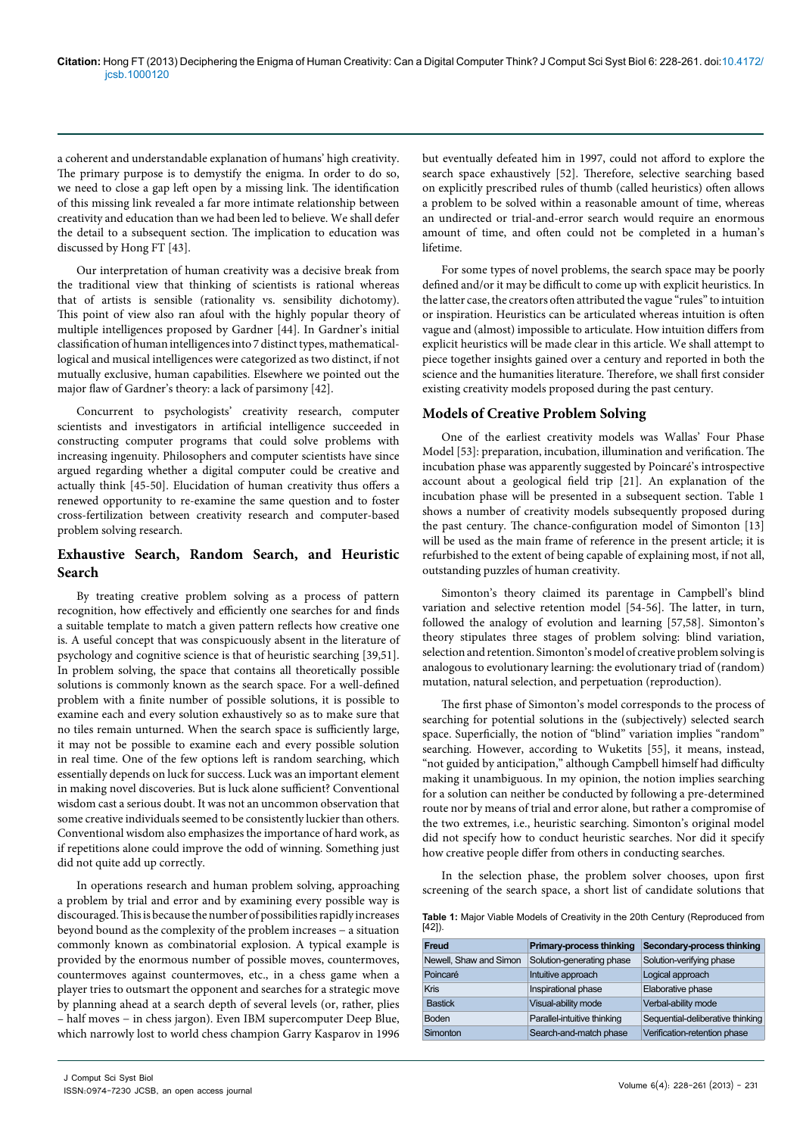a coherent and understandable explanation of humans' high creativity. The primary purpose is to demystify the enigma. In order to do so, we need to close a gap left open by a missing link. The identification of this missing link revealed a far more intimate relationship between creativity and education than we had been led to believe. We shall defer the detail to a subsequent section. The implication to education was discussed by Hong FT [43].

Our interpretation of human creativity was a decisive break from the traditional view that thinking of scientists is rational whereas that of artists is sensible (rationality vs. sensibility dichotomy). This point of view also ran afoul with the highly popular theory of multiple intelligences proposed by Gardner [44]. In Gardner's initial classification of human intelligences into 7 distinct types, mathematicallogical and musical intelligences were categorized as two distinct, if not mutually exclusive, human capabilities. Elsewhere we pointed out the major flaw of Gardner's theory: a lack of parsimony [42].

Concurrent to psychologists' creativity research, computer scientists and investigators in artificial intelligence succeeded in constructing computer programs that could solve problems with increasing ingenuity. Philosophers and computer scientists have since argued regarding whether a digital computer could be creative and actually think [45-50]. Elucidation of human creativity thus offers a renewed opportunity to re-examine the same question and to foster cross-fertilization between creativity research and computer-based problem solving research.

# **Exhaustive Search, Random Search, and Heuristic Search**

By treating creative problem solving as a process of pattern recognition, how effectively and efficiently one searches for and finds a suitable template to match a given pattern reflects how creative one is. A useful concept that was conspicuously absent in the literature of psychology and cognitive science is that of heuristic searching [39,51]. In problem solving, the space that contains all theoretically possible solutions is commonly known as the search space. For a well-defined problem with a finite number of possible solutions, it is possible to examine each and every solution exhaustively so as to make sure that no tiles remain unturned. When the search space is sufficiently large, it may not be possible to examine each and every possible solution in real time. One of the few options left is random searching, which essentially depends on luck for success. Luck was an important element in making novel discoveries. But is luck alone sufficient? Conventional wisdom cast a serious doubt. It was not an uncommon observation that some creative individuals seemed to be consistently luckier than others. Conventional wisdom also emphasizes the importance of hard work, as if repetitions alone could improve the odd of winning. Something just did not quite add up correctly.

In operations research and human problem solving, approaching a problem by trial and error and by examining every possible way is discouraged. This is because the number of possibilities rapidly increases beyond bound as the complexity of the problem increases − a situation commonly known as combinatorial explosion. A typical example is provided by the enormous number of possible moves, countermoves, countermoves against countermoves, etc., in a chess game when a player tries to outsmart the opponent and searches for a strategic move by planning ahead at a search depth of several levels (or, rather, plies – half moves − in chess jargon). Even IBM supercomputer Deep Blue, which narrowly lost to world chess champion Garry Kasparov in 1996

but eventually defeated him in 1997, could not afford to explore the search space exhaustively [52]. Therefore, selective searching based on explicitly prescribed rules of thumb (called heuristics) often allows a problem to be solved within a reasonable amount of time, whereas an undirected or trial-and-error search would require an enormous amount of time, and often could not be completed in a human's lifetime.

For some types of novel problems, the search space may be poorly defined and/or it may be difficult to come up with explicit heuristics. In the latter case, the creators often attributed the vague "rules" to intuition or inspiration. Heuristics can be articulated whereas intuition is often vague and (almost) impossible to articulate. How intuition differs from explicit heuristics will be made clear in this article. We shall attempt to piece together insights gained over a century and reported in both the science and the humanities literature. Therefore, we shall first consider existing creativity models proposed during the past century.

#### **Models of Creative Problem Solving**

One of the earliest creativity models was Wallas' Four Phase Model [53]: preparation, incubation, illumination and verification. The incubation phase was apparently suggested by Poincaré's introspective account about a geological field trip [21]. An explanation of the incubation phase will be presented in a subsequent section. Table 1 shows a number of creativity models subsequently proposed during the past century. The chance-configuration model of Simonton [13] will be used as the main frame of reference in the present article; it is refurbished to the extent of being capable of explaining most, if not all, outstanding puzzles of human creativity.

Simonton's theory claimed its parentage in Campbell's blind variation and selective retention model [54-56]. The latter, in turn, followed the analogy of evolution and learning [57,58]. Simonton's theory stipulates three stages of problem solving: blind variation, selection and retention. Simonton's model of creative problem solving is analogous to evolutionary learning: the evolutionary triad of (random) mutation, natural selection, and perpetuation (reproduction).

The first phase of Simonton's model corresponds to the process of searching for potential solutions in the (subjectively) selected search space. Superficially, the notion of "blind" variation implies "random" searching. However, according to Wuketits [55], it means, instead, "not guided by anticipation," although Campbell himself had difficulty making it unambiguous. In my opinion, the notion implies searching for a solution can neither be conducted by following a pre-determined route nor by means of trial and error alone, but rather a compromise of the two extremes, i.e., heuristic searching. Simonton's original model did not specify how to conduct heuristic searches. Nor did it specify how creative people differ from others in conducting searches.

In the selection phase, the problem solver chooses, upon first screening of the search space, a short list of candidate solutions that

**Table 1:** Major Viable Models of Creativity in the 20th Century (Reproduced from  $[42]$ 

| Freud                  | Primary-process thinking    | Secondary-process thinking       |
|------------------------|-----------------------------|----------------------------------|
| Newell, Shaw and Simon | Solution-generating phase   | Solution-verifying phase         |
| Poincaré               | Intuitive approach          | Logical approach                 |
| <b>Kris</b>            | Inspirational phase         | Elaborative phase                |
| <b>Bastick</b>         | Visual-ability mode         | Verbal-ability mode              |
| <b>Boden</b>           | Parallel-intuitive thinking | Sequential-deliberative thinking |
| Simonton               | Search-and-match phase      | Verification-retention phase     |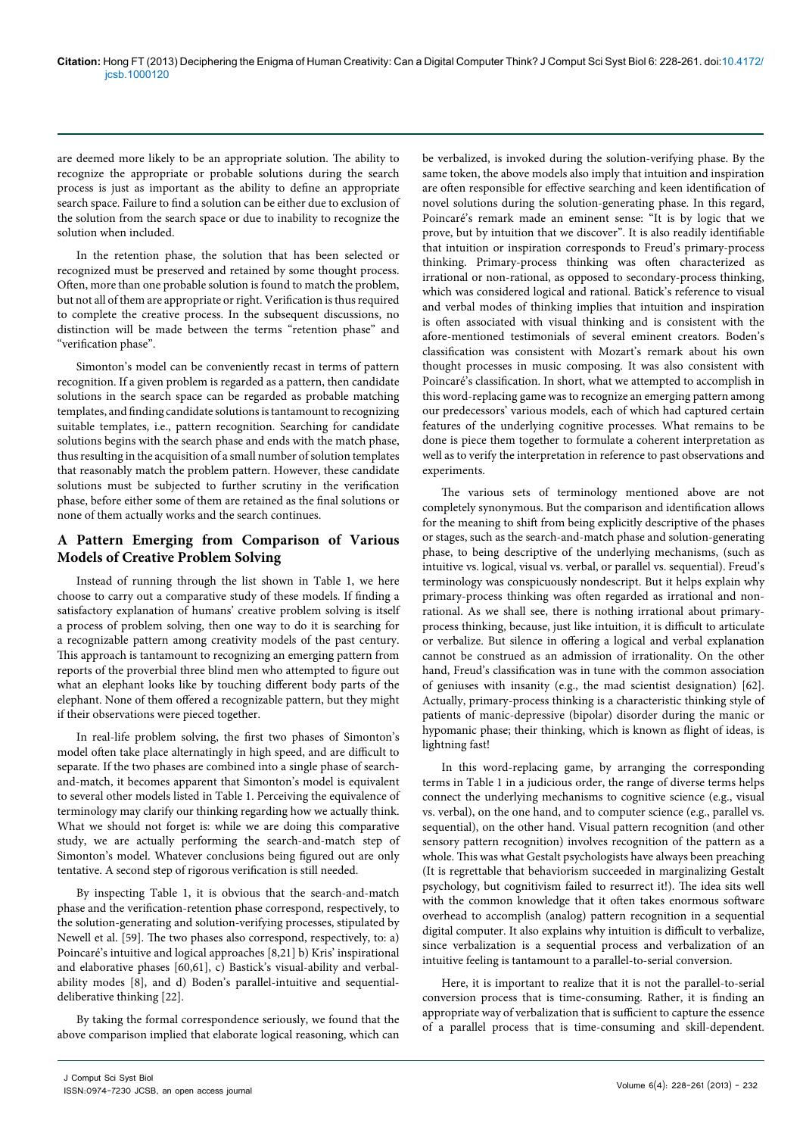are deemed more likely to be an appropriate solution. The ability to recognize the appropriate or probable solutions during the search process is just as important as the ability to define an appropriate search space. Failure to find a solution can be either due to exclusion of the solution from the search space or due to inability to recognize the solution when included.

In the retention phase, the solution that has been selected or recognized must be preserved and retained by some thought process. Often, more than one probable solution is found to match the problem, but not all of them are appropriate or right. Verification is thus required to complete the creative process. In the subsequent discussions, no distinction will be made between the terms "retention phase" and "verification phase".

Simonton's model can be conveniently recast in terms of pattern recognition. If a given problem is regarded as a pattern, then candidate solutions in the search space can be regarded as probable matching templates, and finding candidate solutions is tantamount to recognizing suitable templates, i.e., pattern recognition. Searching for candidate solutions begins with the search phase and ends with the match phase, thus resulting in the acquisition of a small number of solution templates that reasonably match the problem pattern. However, these candidate solutions must be subjected to further scrutiny in the verification phase, before either some of them are retained as the final solutions or none of them actually works and the search continues.

# **A Pattern Emerging from Comparison of Various Models of Creative Problem Solving**

Instead of running through the list shown in Table 1, we here choose to carry out a comparative study of these models. If finding a satisfactory explanation of humans' creative problem solving is itself a process of problem solving, then one way to do it is searching for a recognizable pattern among creativity models of the past century. This approach is tantamount to recognizing an emerging pattern from reports of the proverbial three blind men who attempted to figure out what an elephant looks like by touching different body parts of the elephant. None of them offered a recognizable pattern, but they might if their observations were pieced together.

In real-life problem solving, the first two phases of Simonton's model often take place alternatingly in high speed, and are difficult to separate. If the two phases are combined into a single phase of searchand-match, it becomes apparent that Simonton's model is equivalent to several other models listed in Table 1. Perceiving the equivalence of terminology may clarify our thinking regarding how we actually think. What we should not forget is: while we are doing this comparative study, we are actually performing the search-and-match step of Simonton's model. Whatever conclusions being figured out are only tentative. A second step of rigorous verification is still needed.

By inspecting Table 1, it is obvious that the search-and-match phase and the verification-retention phase correspond, respectively, to the solution-generating and solution-verifying processes, stipulated by Newell et al. [59]. The two phases also correspond, respectively, to: a) Poincaré's intuitive and logical approaches [8,21] b) Kris' inspirational and elaborative phases [60,61], c) Bastick's visual-ability and verbalability modes [8], and d) Boden's parallel-intuitive and sequentialdeliberative thinking [22].

By taking the formal correspondence seriously, we found that the above comparison implied that elaborate logical reasoning, which can be verbalized, is invoked during the solution-verifying phase. By the same token, the above models also imply that intuition and inspiration are often responsible for effective searching and keen identification of novel solutions during the solution-generating phase. In this regard, Poincaré's remark made an eminent sense: "It is by logic that we prove, but by intuition that we discover". It is also readily identifiable that intuition or inspiration corresponds to Freud's primary-process thinking. Primary-process thinking was often characterized as irrational or non-rational, as opposed to secondary-process thinking, which was considered logical and rational. Batick's reference to visual and verbal modes of thinking implies that intuition and inspiration is often associated with visual thinking and is consistent with the afore-mentioned testimonials of several eminent creators. Boden's classification was consistent with Mozart's remark about his own thought processes in music composing. It was also consistent with Poincaré's classification. In short, what we attempted to accomplish in this word-replacing game was to recognize an emerging pattern among our predecessors' various models, each of which had captured certain features of the underlying cognitive processes. What remains to be done is piece them together to formulate a coherent interpretation as well as to verify the interpretation in reference to past observations and experiments.

The various sets of terminology mentioned above are not completely synonymous. But the comparison and identification allows for the meaning to shift from being explicitly descriptive of the phases or stages, such as the search-and-match phase and solution-generating phase, to being descriptive of the underlying mechanisms, (such as intuitive vs. logical, visual vs. verbal, or parallel vs. sequential). Freud's terminology was conspicuously nondescript. But it helps explain why primary-process thinking was often regarded as irrational and nonrational. As we shall see, there is nothing irrational about primaryprocess thinking, because, just like intuition, it is difficult to articulate or verbalize. But silence in offering a logical and verbal explanation cannot be construed as an admission of irrationality. On the other hand, Freud's classification was in tune with the common association of geniuses with insanity (e.g., the mad scientist designation) [62]. Actually, primary-process thinking is a characteristic thinking style of patients of manic-depressive (bipolar) disorder during the manic or hypomanic phase; their thinking, which is known as flight of ideas, is lightning fast!

In this word-replacing game, by arranging the corresponding terms in Table 1 in a judicious order, the range of diverse terms helps connect the underlying mechanisms to cognitive science (e.g., visual vs. verbal), on the one hand, and to computer science (e.g., parallel vs. sequential), on the other hand. Visual pattern recognition (and other sensory pattern recognition) involves recognition of the pattern as a whole. This was what Gestalt psychologists have always been preaching (It is regrettable that behaviorism succeeded in marginalizing Gestalt psychology, but cognitivism failed to resurrect it!). The idea sits well with the common knowledge that it often takes enormous software overhead to accomplish (analog) pattern recognition in a sequential digital computer. It also explains why intuition is difficult to verbalize, since verbalization is a sequential process and verbalization of an intuitive feeling is tantamount to a parallel-to-serial conversion.

Here, it is important to realize that it is not the parallel-to-serial conversion process that is time-consuming. Rather, it is finding an appropriate way of verbalization that is sufficient to capture the essence of a parallel process that is time-consuming and skill-dependent.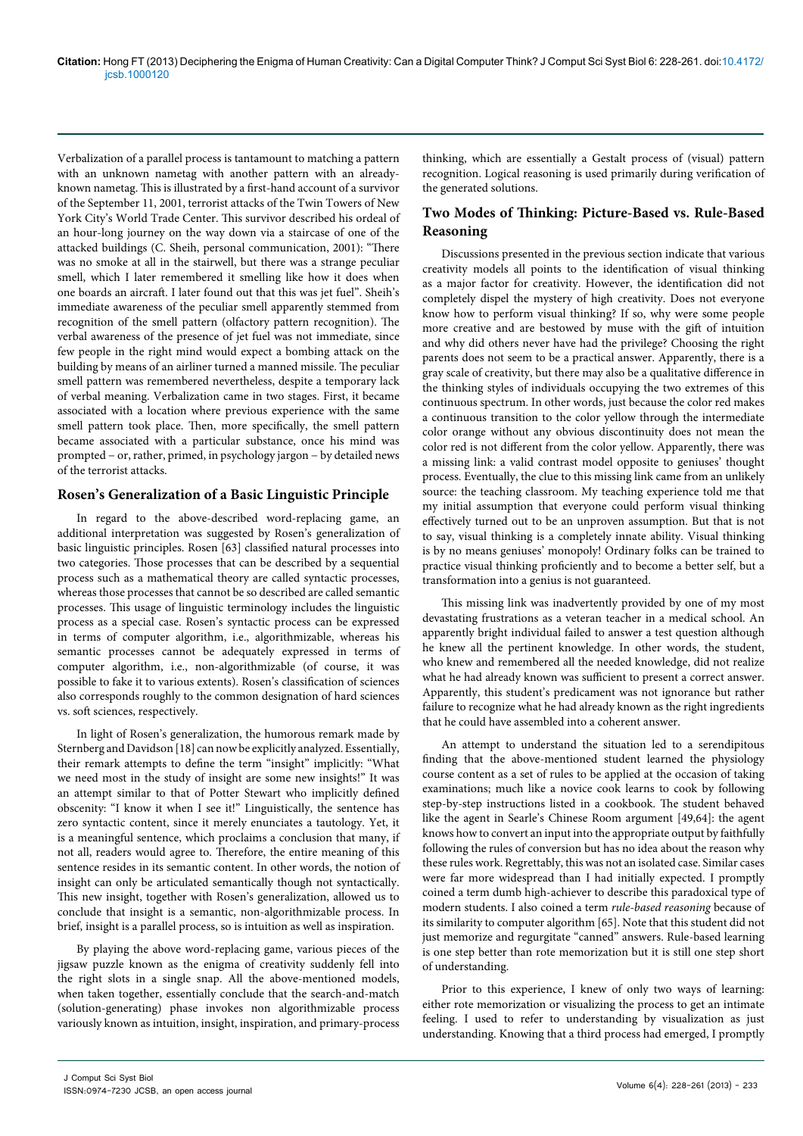Verbalization of a parallel process is tantamount to matching a pattern with an unknown nametag with another pattern with an alreadyknown nametag. This is illustrated by a first-hand account of a survivor of the September 11, 2001, terrorist attacks of the Twin Towers of New York City's World Trade Center. This survivor described his ordeal of an hour-long journey on the way down via a staircase of one of the attacked buildings (C. Sheih, personal communication, 2001): "There was no smoke at all in the stairwell, but there was a strange peculiar smell, which I later remembered it smelling like how it does when one boards an aircraft. I later found out that this was jet fuel". Sheih's immediate awareness of the peculiar smell apparently stemmed from recognition of the smell pattern (olfactory pattern recognition). The verbal awareness of the presence of jet fuel was not immediate, since few people in the right mind would expect a bombing attack on the building by means of an airliner turned a manned missile. The peculiar smell pattern was remembered nevertheless, despite a temporary lack of verbal meaning. Verbalization came in two stages. First, it became associated with a location where previous experience with the same smell pattern took place. Then, more specifically, the smell pattern became associated with a particular substance, once his mind was prompted − or, rather, primed, in psychology jargon − by detailed news of the terrorist attacks.

#### **Rosen's Generalization of a Basic Linguistic Principle**

In regard to the above-described word-replacing game, an additional interpretation was suggested by Rosen's generalization of basic linguistic principles. Rosen [63] classified natural processes into two categories. Those processes that can be described by a sequential process such as a mathematical theory are called syntactic processes, whereas those processes that cannot be so described are called semantic processes. This usage of linguistic terminology includes the linguistic process as a special case. Rosen's syntactic process can be expressed in terms of computer algorithm, i.e., algorithmizable, whereas his semantic processes cannot be adequately expressed in terms of computer algorithm, i.e., non-algorithmizable (of course, it was possible to fake it to various extents). Rosen's classification of sciences also corresponds roughly to the common designation of hard sciences vs. soft sciences, respectively.

In light of Rosen's generalization, the humorous remark made by Sternberg and Davidson [18] can now be explicitly analyzed. Essentially, their remark attempts to define the term "insight" implicitly: "What we need most in the study of insight are some new insights!" It was an attempt similar to that of Potter Stewart who implicitly defined obscenity: "I know it when I see it!" Linguistically, the sentence has zero syntactic content, since it merely enunciates a tautology. Yet, it is a meaningful sentence, which proclaims a conclusion that many, if not all, readers would agree to. Therefore, the entire meaning of this sentence resides in its semantic content. In other words, the notion of insight can only be articulated semantically though not syntactically. This new insight, together with Rosen's generalization, allowed us to conclude that insight is a semantic, non-algorithmizable process. In brief, insight is a parallel process, so is intuition as well as inspiration.

By playing the above word-replacing game, various pieces of the jigsaw puzzle known as the enigma of creativity suddenly fell into the right slots in a single snap. All the above-mentioned models, when taken together, essentially conclude that the search-and-match (solution-generating) phase invokes non algorithmizable process variously known as intuition, insight, inspiration, and primary-process thinking, which are essentially a Gestalt process of (visual) pattern recognition. Logical reasoning is used primarily during verification of the generated solutions.

# **Two Modes of Thinking: Picture-Based vs. Rule-Based Reasoning**

Discussions presented in the previous section indicate that various creativity models all points to the identification of visual thinking as a major factor for creativity. However, the identification did not completely dispel the mystery of high creativity. Does not everyone know how to perform visual thinking? If so, why were some people more creative and are bestowed by muse with the gift of intuition and why did others never have had the privilege? Choosing the right parents does not seem to be a practical answer. Apparently, there is a gray scale of creativity, but there may also be a qualitative difference in the thinking styles of individuals occupying the two extremes of this continuous spectrum. In other words, just because the color red makes a continuous transition to the color yellow through the intermediate color orange without any obvious discontinuity does not mean the color red is not different from the color yellow. Apparently, there was a missing link: a valid contrast model opposite to geniuses' thought process. Eventually, the clue to this missing link came from an unlikely source: the teaching classroom. My teaching experience told me that my initial assumption that everyone could perform visual thinking effectively turned out to be an unproven assumption. But that is not to say, visual thinking is a completely innate ability. Visual thinking is by no means geniuses' monopoly! Ordinary folks can be trained to practice visual thinking proficiently and to become a better self, but a transformation into a genius is not guaranteed.

This missing link was inadvertently provided by one of my most devastating frustrations as a veteran teacher in a medical school. An apparently bright individual failed to answer a test question although he knew all the pertinent knowledge. In other words, the student, who knew and remembered all the needed knowledge, did not realize what he had already known was sufficient to present a correct answer. Apparently, this student's predicament was not ignorance but rather failure to recognize what he had already known as the right ingredients that he could have assembled into a coherent answer.

An attempt to understand the situation led to a serendipitous finding that the above-mentioned student learned the physiology course content as a set of rules to be applied at the occasion of taking examinations; much like a novice cook learns to cook by following step-by-step instructions listed in a cookbook. The student behaved like the agent in Searle's Chinese Room argument [49,64]: the agent knows how to convert an input into the appropriate output by faithfully following the rules of conversion but has no idea about the reason why these rules work. Regrettably, this was not an isolated case. Similar cases were far more widespread than I had initially expected. I promptly coined a term dumb high-achiever to describe this paradoxical type of modern students. I also coined a term *rule-based reasoning* because of its similarity to computer algorithm [65]. Note that this student did not just memorize and regurgitate "canned" answers. Rule-based learning is one step better than rote memorization but it is still one step short of understanding.

Prior to this experience, I knew of only two ways of learning: either rote memorization or visualizing the process to get an intimate feeling. I used to refer to understanding by visualization as just understanding. Knowing that a third process had emerged, I promptly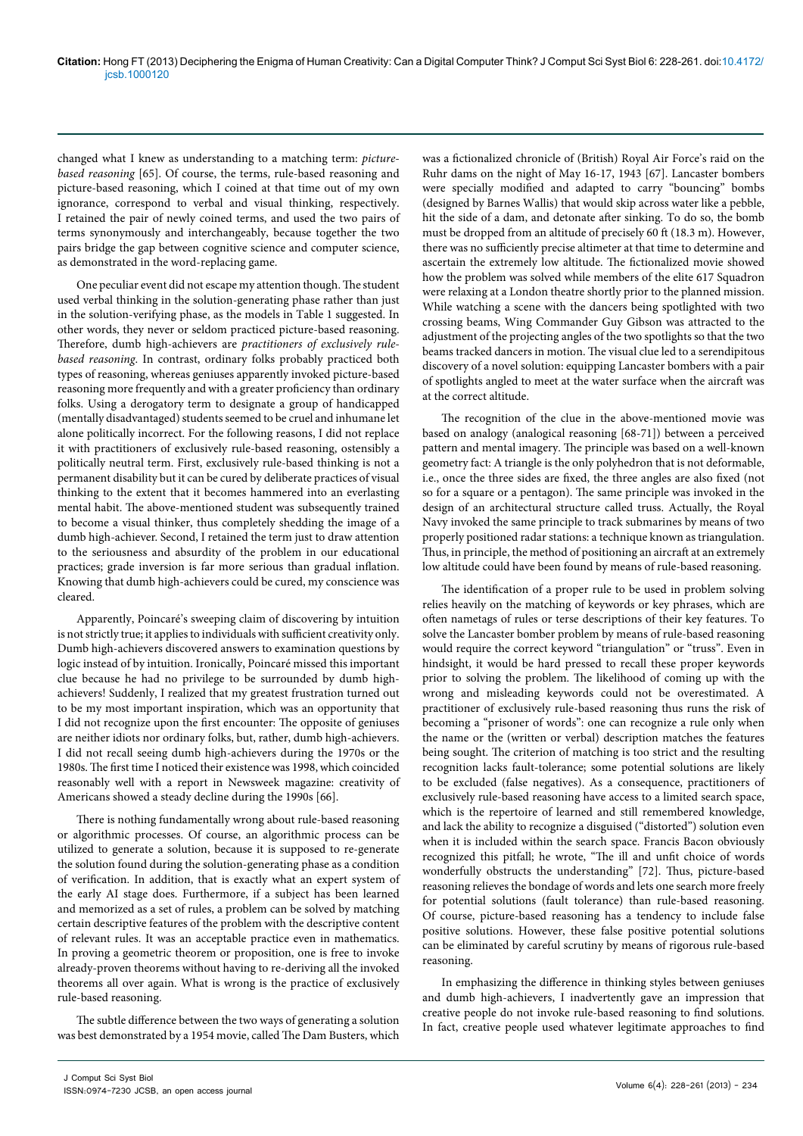changed what I knew as understanding to a matching term: *picturebased reasoning* [65]. Of course, the terms, rule-based reasoning and picture-based reasoning, which I coined at that time out of my own ignorance, correspond to verbal and visual thinking, respectively. I retained the pair of newly coined terms, and used the two pairs of terms synonymously and interchangeably, because together the two pairs bridge the gap between cognitive science and computer science, as demonstrated in the word-replacing game.

One peculiar event did not escape my attention though. The student used verbal thinking in the solution-generating phase rather than just in the solution-verifying phase, as the models in Table 1 suggested. In other words, they never or seldom practiced picture-based reasoning. Therefore, dumb high-achievers are *practitioners of exclusively rulebased reasoning*. In contrast, ordinary folks probably practiced both types of reasoning, whereas geniuses apparently invoked picture-based reasoning more frequently and with a greater proficiency than ordinary folks. Using a derogatory term to designate a group of handicapped (mentally disadvantaged) students seemed to be cruel and inhumane let alone politically incorrect. For the following reasons, I did not replace it with practitioners of exclusively rule-based reasoning, ostensibly a politically neutral term. First, exclusively rule-based thinking is not a permanent disability but it can be cured by deliberate practices of visual thinking to the extent that it becomes hammered into an everlasting mental habit. The above-mentioned student was subsequently trained to become a visual thinker, thus completely shedding the image of a dumb high-achiever. Second, I retained the term just to draw attention to the seriousness and absurdity of the problem in our educational practices; grade inversion is far more serious than gradual inflation. Knowing that dumb high-achievers could be cured, my conscience was cleared.

Apparently, Poincaré's sweeping claim of discovering by intuition is not strictly true; it applies to individuals with sufficient creativity only. Dumb high-achievers discovered answers to examination questions by logic instead of by intuition. Ironically, Poincaré missed this important clue because he had no privilege to be surrounded by dumb highachievers! Suddenly, I realized that my greatest frustration turned out to be my most important inspiration, which was an opportunity that I did not recognize upon the first encounter: The opposite of geniuses are neither idiots nor ordinary folks, but, rather, dumb high-achievers. I did not recall seeing dumb high-achievers during the 1970s or the 1980s. The first time I noticed their existence was 1998, which coincided reasonably well with a report in Newsweek magazine: creativity of Americans showed a steady decline during the 1990s [66].

There is nothing fundamentally wrong about rule-based reasoning or algorithmic processes. Of course, an algorithmic process can be utilized to generate a solution, because it is supposed to re-generate the solution found during the solution-generating phase as a condition of verification. In addition, that is exactly what an expert system of the early AI stage does. Furthermore, if a subject has been learned and memorized as a set of rules, a problem can be solved by matching certain descriptive features of the problem with the descriptive content of relevant rules. It was an acceptable practice even in mathematics. In proving a geometric theorem or proposition, one is free to invoke already-proven theorems without having to re-deriving all the invoked theorems all over again. What is wrong is the practice of exclusively rule-based reasoning.

The subtle difference between the two ways of generating a solution was best demonstrated by a 1954 movie, called The Dam Busters, which

was a fictionalized chronicle of (British) Royal Air Force's raid on the Ruhr dams on the night of May 16-17, 1943 [67]. Lancaster bombers were specially modified and adapted to carry "bouncing" bombs (designed by Barnes Wallis) that would skip across water like a pebble, hit the side of a dam, and detonate after sinking. To do so, the bomb must be dropped from an altitude of precisely 60 ft (18.3 m). However, there was no sufficiently precise altimeter at that time to determine and ascertain the extremely low altitude. The fictionalized movie showed how the problem was solved while members of the elite 617 Squadron were relaxing at a London theatre shortly prior to the planned mission. While watching a scene with the dancers being spotlighted with two crossing beams, Wing Commander Guy Gibson was attracted to the adjustment of the projecting angles of the two spotlights so that the two beams tracked dancers in motion. The visual clue led to a serendipitous discovery of a novel solution: equipping Lancaster bombers with a pair of spotlights angled to meet at the water surface when the aircraft was at the correct altitude.

The recognition of the clue in the above-mentioned movie was based on analogy (analogical reasoning [68-71]) between a perceived pattern and mental imagery. The principle was based on a well-known geometry fact: A triangle is the only polyhedron that is not deformable, i.e., once the three sides are fixed, the three angles are also fixed (not so for a square or a pentagon). The same principle was invoked in the design of an architectural structure called truss. Actually, the Royal Navy invoked the same principle to track submarines by means of two properly positioned radar stations: a technique known as triangulation. Thus, in principle, the method of positioning an aircraft at an extremely low altitude could have been found by means of rule-based reasoning.

The identification of a proper rule to be used in problem solving relies heavily on the matching of keywords or key phrases, which are often nametags of rules or terse descriptions of their key features. To solve the Lancaster bomber problem by means of rule-based reasoning would require the correct keyword "triangulation" or "truss". Even in hindsight, it would be hard pressed to recall these proper keywords prior to solving the problem. The likelihood of coming up with the wrong and misleading keywords could not be overestimated. A practitioner of exclusively rule-based reasoning thus runs the risk of becoming a "prisoner of words": one can recognize a rule only when the name or the (written or verbal) description matches the features being sought. The criterion of matching is too strict and the resulting recognition lacks fault-tolerance; some potential solutions are likely to be excluded (false negatives). As a consequence, practitioners of exclusively rule-based reasoning have access to a limited search space, which is the repertoire of learned and still remembered knowledge, and lack the ability to recognize a disguised ("distorted") solution even when it is included within the search space. Francis Bacon obviously recognized this pitfall; he wrote, "The ill and unfit choice of words wonderfully obstructs the understanding" [72]. Thus, picture-based reasoning relieves the bondage of words and lets one search more freely for potential solutions (fault tolerance) than rule-based reasoning. Of course, picture-based reasoning has a tendency to include false positive solutions. However, these false positive potential solutions can be eliminated by careful scrutiny by means of rigorous rule-based reasoning.

In emphasizing the difference in thinking styles between geniuses and dumb high-achievers, I inadvertently gave an impression that creative people do not invoke rule-based reasoning to find solutions. In fact, creative people used whatever legitimate approaches to find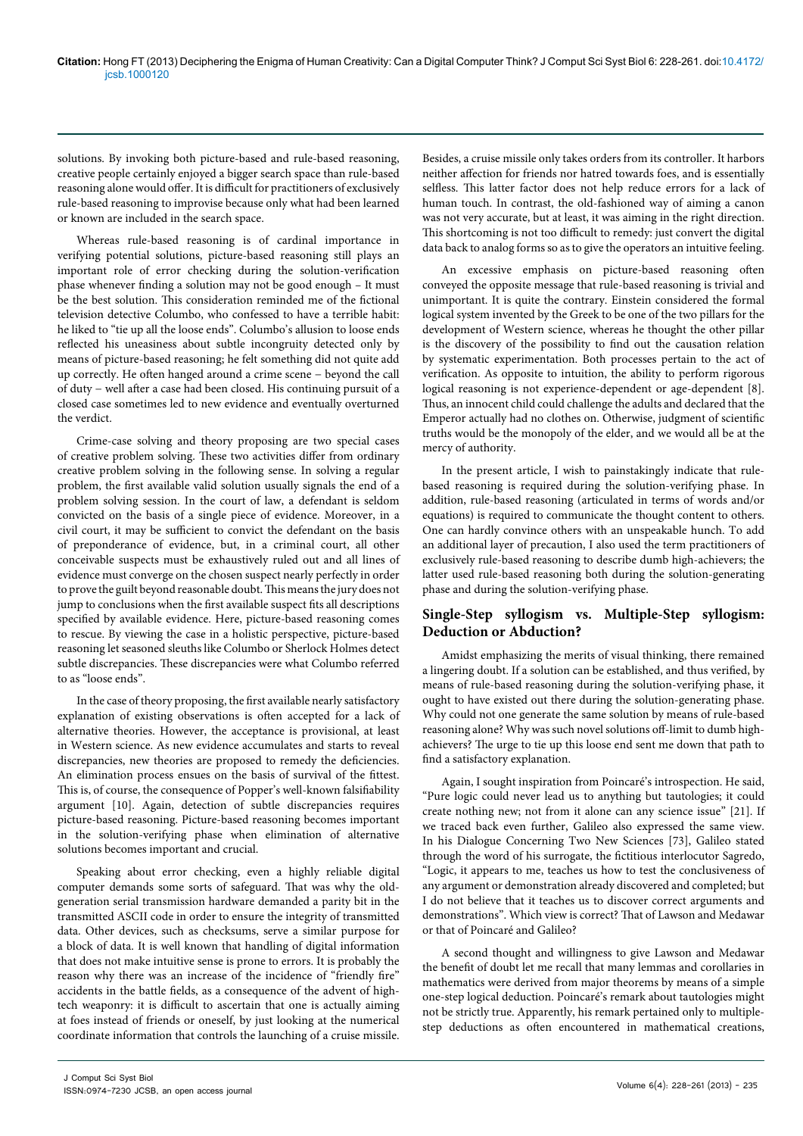solutions. By invoking both picture-based and rule-based reasoning, creative people certainly enjoyed a bigger search space than rule-based reasoning alone would offer. It is difficult for practitioners of exclusively rule-based reasoning to improvise because only what had been learned or known are included in the search space.

Whereas rule-based reasoning is of cardinal importance in verifying potential solutions, picture-based reasoning still plays an important role of error checking during the solution-verification phase whenever finding a solution may not be good enough – It must be the best solution. This consideration reminded me of the fictional television detective Columbo, who confessed to have a terrible habit: he liked to "tie up all the loose ends". Columbo's allusion to loose ends reflected his uneasiness about subtle incongruity detected only by means of picture-based reasoning; he felt something did not quite add up correctly. He often hanged around a crime scene − beyond the call of duty − well after a case had been closed. His continuing pursuit of a closed case sometimes led to new evidence and eventually overturned the verdict.

Crime-case solving and theory proposing are two special cases of creative problem solving. These two activities differ from ordinary creative problem solving in the following sense. In solving a regular problem, the first available valid solution usually signals the end of a problem solving session. In the court of law, a defendant is seldom convicted on the basis of a single piece of evidence. Moreover, in a civil court, it may be sufficient to convict the defendant on the basis of preponderance of evidence, but, in a criminal court, all other conceivable suspects must be exhaustively ruled out and all lines of evidence must converge on the chosen suspect nearly perfectly in order to prove the guilt beyond reasonable doubt. This means the jury does not jump to conclusions when the first available suspect fits all descriptions specified by available evidence. Here, picture-based reasoning comes to rescue. By viewing the case in a holistic perspective, picture-based reasoning let seasoned sleuths like Columbo or Sherlock Holmes detect subtle discrepancies. These discrepancies were what Columbo referred to as "loose ends".

In the case of theory proposing, the first available nearly satisfactory explanation of existing observations is often accepted for a lack of alternative theories. However, the acceptance is provisional, at least in Western science. As new evidence accumulates and starts to reveal discrepancies, new theories are proposed to remedy the deficiencies. An elimination process ensues on the basis of survival of the fittest. This is, of course, the consequence of Popper's well-known falsifiability argument [10]. Again, detection of subtle discrepancies requires picture-based reasoning. Picture-based reasoning becomes important in the solution-verifying phase when elimination of alternative solutions becomes important and crucial.

Speaking about error checking, even a highly reliable digital computer demands some sorts of safeguard. That was why the oldgeneration serial transmission hardware demanded a parity bit in the transmitted ASCII code in order to ensure the integrity of transmitted data. Other devices, such as checksums, serve a similar purpose for a block of data. It is well known that handling of digital information that does not make intuitive sense is prone to errors. It is probably the reason why there was an increase of the incidence of "friendly fire" accidents in the battle fields, as a consequence of the advent of hightech weaponry: it is difficult to ascertain that one is actually aiming at foes instead of friends or oneself, by just looking at the numerical coordinate information that controls the launching of a cruise missile.

Besides, a cruise missile only takes orders from its controller. It harbors neither affection for friends nor hatred towards foes, and is essentially selfless. This latter factor does not help reduce errors for a lack of human touch. In contrast, the old-fashioned way of aiming a canon was not very accurate, but at least, it was aiming in the right direction. This shortcoming is not too difficult to remedy: just convert the digital data back to analog forms so as to give the operators an intuitive feeling.

An excessive emphasis on picture-based reasoning often conveyed the opposite message that rule-based reasoning is trivial and unimportant. It is quite the contrary. Einstein considered the formal logical system invented by the Greek to be one of the two pillars for the development of Western science, whereas he thought the other pillar is the discovery of the possibility to find out the causation relation by systematic experimentation. Both processes pertain to the act of verification. As opposite to intuition, the ability to perform rigorous logical reasoning is not experience-dependent or age-dependent [8]. Thus, an innocent child could challenge the adults and declared that the Emperor actually had no clothes on. Otherwise, judgment of scientific truths would be the monopoly of the elder, and we would all be at the mercy of authority.

In the present article, I wish to painstakingly indicate that rulebased reasoning is required during the solution-verifying phase. In addition, rule-based reasoning (articulated in terms of words and/or equations) is required to communicate the thought content to others. One can hardly convince others with an unspeakable hunch. To add an additional layer of precaution, I also used the term practitioners of exclusively rule-based reasoning to describe dumb high-achievers; the latter used rule-based reasoning both during the solution-generating phase and during the solution-verifying phase.

# **Single-Step syllogism vs. Multiple-Step syllogism: Deduction or Abduction?**

Amidst emphasizing the merits of visual thinking, there remained a lingering doubt. If a solution can be established, and thus verified, by means of rule-based reasoning during the solution-verifying phase, it ought to have existed out there during the solution-generating phase. Why could not one generate the same solution by means of rule-based reasoning alone? Why was such novel solutions off-limit to dumb highachievers? The urge to tie up this loose end sent me down that path to find a satisfactory explanation.

Again, I sought inspiration from Poincaré's introspection. He said, "Pure logic could never lead us to anything but tautologies; it could create nothing new; not from it alone can any science issue" [21]. If we traced back even further, Galileo also expressed the same view. In his Dialogue Concerning Two New Sciences [73], Galileo stated through the word of his surrogate, the fictitious interlocutor Sagredo, "Logic, it appears to me, teaches us how to test the conclusiveness of any argument or demonstration already discovered and completed; but I do not believe that it teaches us to discover correct arguments and demonstrations". Which view is correct? That of Lawson and Medawar or that of Poincaré and Galileo?

A second thought and willingness to give Lawson and Medawar the benefit of doubt let me recall that many lemmas and corollaries in mathematics were derived from major theorems by means of a simple one-step logical deduction. Poincaré's remark about tautologies might not be strictly true. Apparently, his remark pertained only to multiplestep deductions as often encountered in mathematical creations,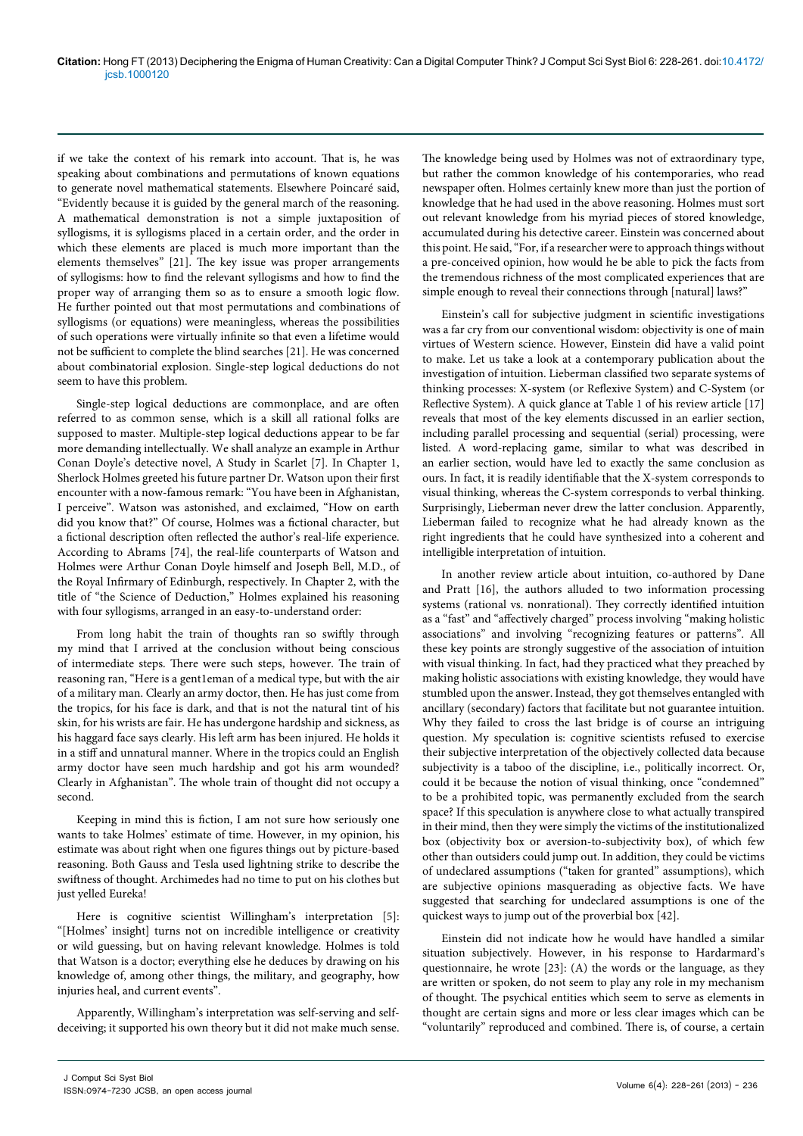if we take the context of his remark into account. That is, he was speaking about combinations and permutations of known equations to generate novel mathematical statements. Elsewhere Poincaré said, "Evidently because it is guided by the general march of the reasoning. A mathematical demonstration is not a simple juxtaposition of syllogisms, it is syllogisms placed in a certain order, and the order in which these elements are placed is much more important than the elements themselves" [21]. The key issue was proper arrangements of syllogisms: how to find the relevant syllogisms and how to find the proper way of arranging them so as to ensure a smooth logic flow. He further pointed out that most permutations and combinations of syllogisms (or equations) were meaningless, whereas the possibilities of such operations were virtually infinite so that even a lifetime would not be sufficient to complete the blind searches [21]. He was concerned about combinatorial explosion. Single-step logical deductions do not seem to have this problem.

Single-step logical deductions are commonplace, and are often referred to as common sense, which is a skill all rational folks are supposed to master. Multiple-step logical deductions appear to be far more demanding intellectually. We shall analyze an example in Arthur Conan Doyle's detective novel, A Study in Scarlet [7]. In Chapter 1, Sherlock Holmes greeted his future partner Dr. Watson upon their first encounter with a now-famous remark: "You have been in Afghanistan, I perceive". Watson was astonished, and exclaimed, "How on earth did you know that?" Of course, Holmes was a fictional character, but a fictional description often reflected the author's real-life experience. According to Abrams [74], the real-life counterparts of Watson and Holmes were Arthur Conan Doyle himself and Joseph Bell, M.D., of the Royal Infirmary of Edinburgh, respectively. In Chapter 2, with the title of "the Science of Deduction," Holmes explained his reasoning with four syllogisms, arranged in an easy-to-understand order:

From long habit the train of thoughts ran so swiftly through my mind that I arrived at the conclusion without being conscious of intermediate steps. There were such steps, however. The train of reasoning ran, "Here is a gent1eman of a medical type, but with the air of a military man. Clearly an army doctor, then. He has just come from the tropics, for his face is dark, and that is not the natural tint of his skin, for his wrists are fair. He has undergone hardship and sickness, as his haggard face says clearly. His left arm has been injured. He holds it in a stiff and unnatural manner. Where in the tropics could an English army doctor have seen much hardship and got his arm wounded? Clearly in Afghanistan". The whole train of thought did not occupy a second.

Keeping in mind this is fiction, I am not sure how seriously one wants to take Holmes' estimate of time. However, in my opinion, his estimate was about right when one figures things out by picture-based reasoning. Both Gauss and Tesla used lightning strike to describe the swiftness of thought. Archimedes had no time to put on his clothes but just yelled Eureka!

Here is cognitive scientist Willingham's interpretation [5]: "[Holmes' insight] turns not on incredible intelligence or creativity or wild guessing, but on having relevant knowledge. Holmes is told that Watson is a doctor; everything else he deduces by drawing on his knowledge of, among other things, the military, and geography, how injuries heal, and current events".

Apparently, Willingham's interpretation was self-serving and selfdeceiving; it supported his own theory but it did not make much sense.

The knowledge being used by Holmes was not of extraordinary type, but rather the common knowledge of his contemporaries, who read newspaper often. Holmes certainly knew more than just the portion of knowledge that he had used in the above reasoning. Holmes must sort out relevant knowledge from his myriad pieces of stored knowledge, accumulated during his detective career. Einstein was concerned about this point. He said, "For, if a researcher were to approach things without a pre-conceived opinion, how would he be able to pick the facts from the tremendous richness of the most complicated experiences that are simple enough to reveal their connections through [natural] laws?"

Einstein's call for subjective judgment in scientific investigations was a far cry from our conventional wisdom: objectivity is one of main virtues of Western science. However, Einstein did have a valid point to make. Let us take a look at a contemporary publication about the investigation of intuition. Lieberman classified two separate systems of thinking processes: X-system (or Reflexive System) and C-System (or Reflective System). A quick glance at Table 1 of his review article [17] reveals that most of the key elements discussed in an earlier section, including parallel processing and sequential (serial) processing, were listed. A word-replacing game, similar to what was described in an earlier section, would have led to exactly the same conclusion as ours. In fact, it is readily identifiable that the X-system corresponds to visual thinking, whereas the C-system corresponds to verbal thinking. Surprisingly, Lieberman never drew the latter conclusion. Apparently, Lieberman failed to recognize what he had already known as the right ingredients that he could have synthesized into a coherent and intelligible interpretation of intuition.

In another review article about intuition, co-authored by Dane and Pratt [16], the authors alluded to two information processing systems (rational vs. nonrational). They correctly identified intuition as a "fast" and "affectively charged" process involving "making holistic associations" and involving "recognizing features or patterns". All these key points are strongly suggestive of the association of intuition with visual thinking. In fact, had they practiced what they preached by making holistic associations with existing knowledge, they would have stumbled upon the answer. Instead, they got themselves entangled with ancillary (secondary) factors that facilitate but not guarantee intuition. Why they failed to cross the last bridge is of course an intriguing question. My speculation is: cognitive scientists refused to exercise their subjective interpretation of the objectively collected data because subjectivity is a taboo of the discipline, i.e., politically incorrect. Or, could it be because the notion of visual thinking, once "condemned" to be a prohibited topic, was permanently excluded from the search space? If this speculation is anywhere close to what actually transpired in their mind, then they were simply the victims of the institutionalized box (objectivity box or aversion-to-subjectivity box), of which few other than outsiders could jump out. In addition, they could be victims of undeclared assumptions ("taken for granted" assumptions), which are subjective opinions masquerading as objective facts. We have suggested that searching for undeclared assumptions is one of the quickest ways to jump out of the proverbial box [42].

Einstein did not indicate how he would have handled a similar situation subjectively. However, in his response to Hardarmard's questionnaire, he wrote [23]: (A) the words or the language, as they are written or spoken, do not seem to play any role in my mechanism of thought. The psychical entities which seem to serve as elements in thought are certain signs and more or less clear images which can be "voluntarily" reproduced and combined. There is, of course, a certain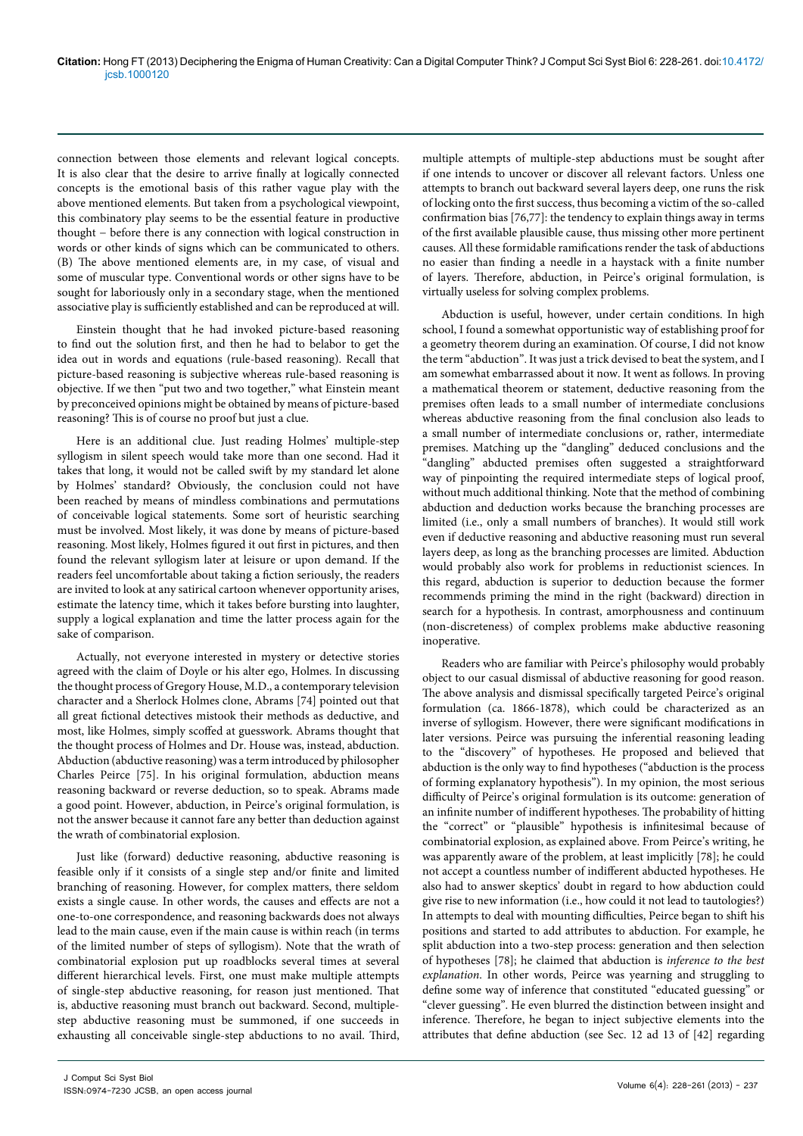connection between those elements and relevant logical concepts. It is also clear that the desire to arrive finally at logically connected concepts is the emotional basis of this rather vague play with the above mentioned elements. But taken from a psychological viewpoint, this combinatory play seems to be the essential feature in productive thought − before there is any connection with logical construction in words or other kinds of signs which can be communicated to others. (B) The above mentioned elements are, in my case, of visual and some of muscular type. Conventional words or other signs have to be sought for laboriously only in a secondary stage, when the mentioned associative play is sufficiently established and can be reproduced at will.

Einstein thought that he had invoked picture-based reasoning to find out the solution first, and then he had to belabor to get the idea out in words and equations (rule-based reasoning). Recall that picture-based reasoning is subjective whereas rule-based reasoning is objective. If we then "put two and two together," what Einstein meant by preconceived opinions might be obtained by means of picture-based reasoning? This is of course no proof but just a clue.

Here is an additional clue. Just reading Holmes' multiple-step syllogism in silent speech would take more than one second. Had it takes that long, it would not be called swift by my standard let alone by Holmes' standard? Obviously, the conclusion could not have been reached by means of mindless combinations and permutations of conceivable logical statements. Some sort of heuristic searching must be involved. Most likely, it was done by means of picture-based reasoning. Most likely, Holmes figured it out first in pictures, and then found the relevant syllogism later at leisure or upon demand. If the readers feel uncomfortable about taking a fiction seriously, the readers are invited to look at any satirical cartoon whenever opportunity arises, estimate the latency time, which it takes before bursting into laughter, supply a logical explanation and time the latter process again for the sake of comparison.

Actually, not everyone interested in mystery or detective stories agreed with the claim of Doyle or his alter ego, Holmes. In discussing the thought process of Gregory House, M.D., a contemporary television character and a Sherlock Holmes clone, Abrams [74] pointed out that all great fictional detectives mistook their methods as deductive, and most, like Holmes, simply scoffed at guesswork. Abrams thought that the thought process of Holmes and Dr. House was, instead, abduction. Abduction (abductive reasoning) was a term introduced by philosopher Charles Peirce [75]. In his original formulation, abduction means reasoning backward or reverse deduction, so to speak. Abrams made a good point. However, abduction, in Peirce's original formulation, is not the answer because it cannot fare any better than deduction against the wrath of combinatorial explosion.

Just like (forward) deductive reasoning, abductive reasoning is feasible only if it consists of a single step and/or finite and limited branching of reasoning. However, for complex matters, there seldom exists a single cause. In other words, the causes and effects are not a one-to-one correspondence, and reasoning backwards does not always lead to the main cause, even if the main cause is within reach (in terms of the limited number of steps of syllogism). Note that the wrath of combinatorial explosion put up roadblocks several times at several different hierarchical levels. First, one must make multiple attempts of single-step abductive reasoning, for reason just mentioned. That is, abductive reasoning must branch out backward. Second, multiplestep abductive reasoning must be summoned, if one succeeds in exhausting all conceivable single-step abductions to no avail. Third,

multiple attempts of multiple-step abductions must be sought after if one intends to uncover or discover all relevant factors. Unless one attempts to branch out backward several layers deep, one runs the risk of locking onto the first success, thus becoming a victim of the so-called confirmation bias [76,77]: the tendency to explain things away in terms of the first available plausible cause, thus missing other more pertinent causes. All these formidable ramifications render the task of abductions no easier than finding a needle in a haystack with a finite number of layers. Therefore, abduction, in Peirce's original formulation, is virtually useless for solving complex problems.

Abduction is useful, however, under certain conditions. In high school, I found a somewhat opportunistic way of establishing proof for a geometry theorem during an examination. Of course, I did not know the term "abduction". It was just a trick devised to beat the system, and I am somewhat embarrassed about it now. It went as follows. In proving a mathematical theorem or statement, deductive reasoning from the premises often leads to a small number of intermediate conclusions whereas abductive reasoning from the final conclusion also leads to a small number of intermediate conclusions or, rather, intermediate premises. Matching up the "dangling" deduced conclusions and the "dangling" abducted premises often suggested a straightforward way of pinpointing the required intermediate steps of logical proof, without much additional thinking. Note that the method of combining abduction and deduction works because the branching processes are limited (i.e., only a small numbers of branches). It would still work even if deductive reasoning and abductive reasoning must run several layers deep, as long as the branching processes are limited. Abduction would probably also work for problems in reductionist sciences. In this regard, abduction is superior to deduction because the former recommends priming the mind in the right (backward) direction in search for a hypothesis. In contrast, amorphousness and continuum (non-discreteness) of complex problems make abductive reasoning inoperative.

Readers who are familiar with Peirce's philosophy would probably object to our casual dismissal of abductive reasoning for good reason. The above analysis and dismissal specifically targeted Peirce's original formulation (ca. 1866-1878), which could be characterized as an inverse of syllogism. However, there were significant modifications in later versions. Peirce was pursuing the inferential reasoning leading to the "discovery" of hypotheses. He proposed and believed that abduction is the only way to find hypotheses ("abduction is the process of forming explanatory hypothesis"). In my opinion, the most serious difficulty of Peirce's original formulation is its outcome: generation of an infinite number of indifferent hypotheses. The probability of hitting the "correct" or "plausible" hypothesis is infinitesimal because of combinatorial explosion, as explained above. From Peirce's writing, he was apparently aware of the problem, at least implicitly [78]; he could not accept a countless number of indifferent abducted hypotheses. He also had to answer skeptics' doubt in regard to how abduction could give rise to new information (i.e., how could it not lead to tautologies?) In attempts to deal with mounting difficulties, Peirce began to shift his positions and started to add attributes to abduction. For example, he split abduction into a two-step process: generation and then selection of hypotheses [78]; he claimed that abduction is *inference to the best explanation*. In other words, Peirce was yearning and struggling to define some way of inference that constituted "educated guessing" or "clever guessing". He even blurred the distinction between insight and inference. Therefore, he began to inject subjective elements into the attributes that define abduction (see Sec. 12 ad 13 of [42] regarding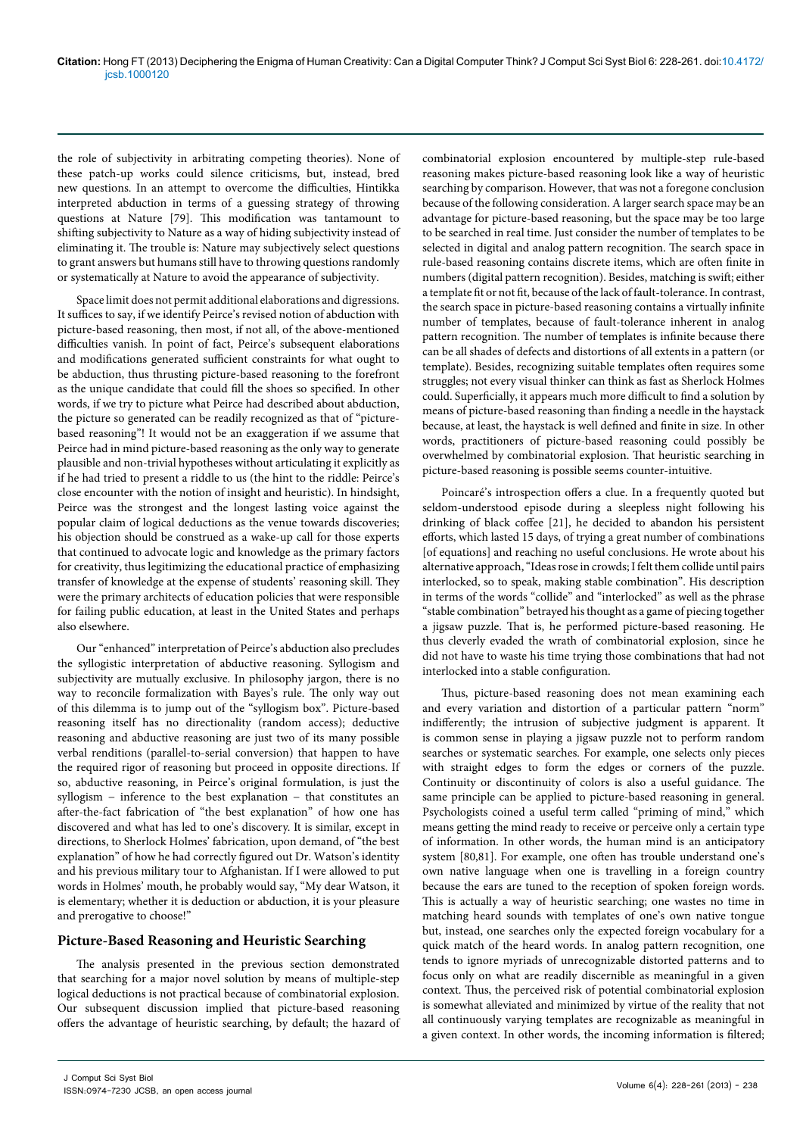the role of subjectivity in arbitrating competing theories). None of these patch-up works could silence criticisms, but, instead, bred new questions. In an attempt to overcome the difficulties, Hintikka interpreted abduction in terms of a guessing strategy of throwing questions at Nature [79]. This modification was tantamount to shifting subjectivity to Nature as a way of hiding subjectivity instead of eliminating it. The trouble is: Nature may subjectively select questions to grant answers but humans still have to throwing questions randomly or systematically at Nature to avoid the appearance of subjectivity.

Space limit does not permit additional elaborations and digressions. It suffices to say, if we identify Peirce's revised notion of abduction with picture-based reasoning, then most, if not all, of the above-mentioned difficulties vanish. In point of fact, Peirce's subsequent elaborations and modifications generated sufficient constraints for what ought to be abduction, thus thrusting picture-based reasoning to the forefront as the unique candidate that could fill the shoes so specified. In other words, if we try to picture what Peirce had described about abduction, the picture so generated can be readily recognized as that of "picturebased reasoning"! It would not be an exaggeration if we assume that Peirce had in mind picture-based reasoning as the only way to generate plausible and non-trivial hypotheses without articulating it explicitly as if he had tried to present a riddle to us (the hint to the riddle: Peirce's close encounter with the notion of insight and heuristic). In hindsight, Peirce was the strongest and the longest lasting voice against the popular claim of logical deductions as the venue towards discoveries; his objection should be construed as a wake-up call for those experts that continued to advocate logic and knowledge as the primary factors for creativity, thus legitimizing the educational practice of emphasizing transfer of knowledge at the expense of students' reasoning skill. They were the primary architects of education policies that were responsible for failing public education, at least in the United States and perhaps also elsewhere.

Our "enhanced" interpretation of Peirce's abduction also precludes the syllogistic interpretation of abductive reasoning. Syllogism and subjectivity are mutually exclusive. In philosophy jargon, there is no way to reconcile formalization with Bayes's rule. The only way out of this dilemma is to jump out of the "syllogism box". Picture-based reasoning itself has no directionality (random access); deductive reasoning and abductive reasoning are just two of its many possible verbal renditions (parallel-to-serial conversion) that happen to have the required rigor of reasoning but proceed in opposite directions. If so, abductive reasoning, in Peirce's original formulation, is just the syllogism – inference to the best explanation – that constitutes an after-the-fact fabrication of "the best explanation" of how one has discovered and what has led to one's discovery. It is similar, except in directions, to Sherlock Holmes' fabrication, upon demand, of "the best explanation" of how he had correctly figured out Dr. Watson's identity and his previous military tour to Afghanistan. If I were allowed to put words in Holmes' mouth, he probably would say, "My dear Watson, it is elementary; whether it is deduction or abduction, it is your pleasure and prerogative to choose!"

#### **Picture-Based Reasoning and Heuristic Searching**

The analysis presented in the previous section demonstrated that searching for a major novel solution by means of multiple-step logical deductions is not practical because of combinatorial explosion. Our subsequent discussion implied that picture-based reasoning offers the advantage of heuristic searching, by default; the hazard of

combinatorial explosion encountered by multiple-step rule-based reasoning makes picture-based reasoning look like a way of heuristic searching by comparison. However, that was not a foregone conclusion because of the following consideration. A larger search space may be an advantage for picture-based reasoning, but the space may be too large to be searched in real time. Just consider the number of templates to be selected in digital and analog pattern recognition. The search space in rule-based reasoning contains discrete items, which are often finite in numbers (digital pattern recognition). Besides, matching is swift; either a template fit or not fit, because of the lack of fault-tolerance. In contrast, the search space in picture-based reasoning contains a virtually infinite number of templates, because of fault-tolerance inherent in analog pattern recognition. The number of templates is infinite because there can be all shades of defects and distortions of all extents in a pattern (or template). Besides, recognizing suitable templates often requires some struggles; not every visual thinker can think as fast as Sherlock Holmes could. Superficially, it appears much more difficult to find a solution by means of picture-based reasoning than finding a needle in the haystack because, at least, the haystack is well defined and finite in size. In other words, practitioners of picture-based reasoning could possibly be overwhelmed by combinatorial explosion. That heuristic searching in picture-based reasoning is possible seems counter-intuitive.

Poincaré's introspection offers a clue. In a frequently quoted but seldom-understood episode during a sleepless night following his drinking of black coffee [21], he decided to abandon his persistent efforts, which lasted 15 days, of trying a great number of combinations [of equations] and reaching no useful conclusions. He wrote about his alternative approach, "Ideas rose in crowds; I felt them collide until pairs interlocked, so to speak, making stable combination". His description in terms of the words "collide" and "interlocked" as well as the phrase "stable combination" betrayed his thought as a game of piecing together a jigsaw puzzle. That is, he performed picture-based reasoning. He thus cleverly evaded the wrath of combinatorial explosion, since he did not have to waste his time trying those combinations that had not interlocked into a stable configuration.

Thus, picture-based reasoning does not mean examining each and every variation and distortion of a particular pattern "norm" indifferently; the intrusion of subjective judgment is apparent. It is common sense in playing a jigsaw puzzle not to perform random searches or systematic searches. For example, one selects only pieces with straight edges to form the edges or corners of the puzzle. Continuity or discontinuity of colors is also a useful guidance. The same principle can be applied to picture-based reasoning in general. Psychologists coined a useful term called "priming of mind," which means getting the mind ready to receive or perceive only a certain type of information. In other words, the human mind is an anticipatory system [80,81]. For example, one often has trouble understand one's own native language when one is travelling in a foreign country because the ears are tuned to the reception of spoken foreign words. This is actually a way of heuristic searching; one wastes no time in matching heard sounds with templates of one's own native tongue but, instead, one searches only the expected foreign vocabulary for a quick match of the heard words. In analog pattern recognition, one tends to ignore myriads of unrecognizable distorted patterns and to focus only on what are readily discernible as meaningful in a given context. Thus, the perceived risk of potential combinatorial explosion is somewhat alleviated and minimized by virtue of the reality that not all continuously varying templates are recognizable as meaningful in a given context. In other words, the incoming information is filtered;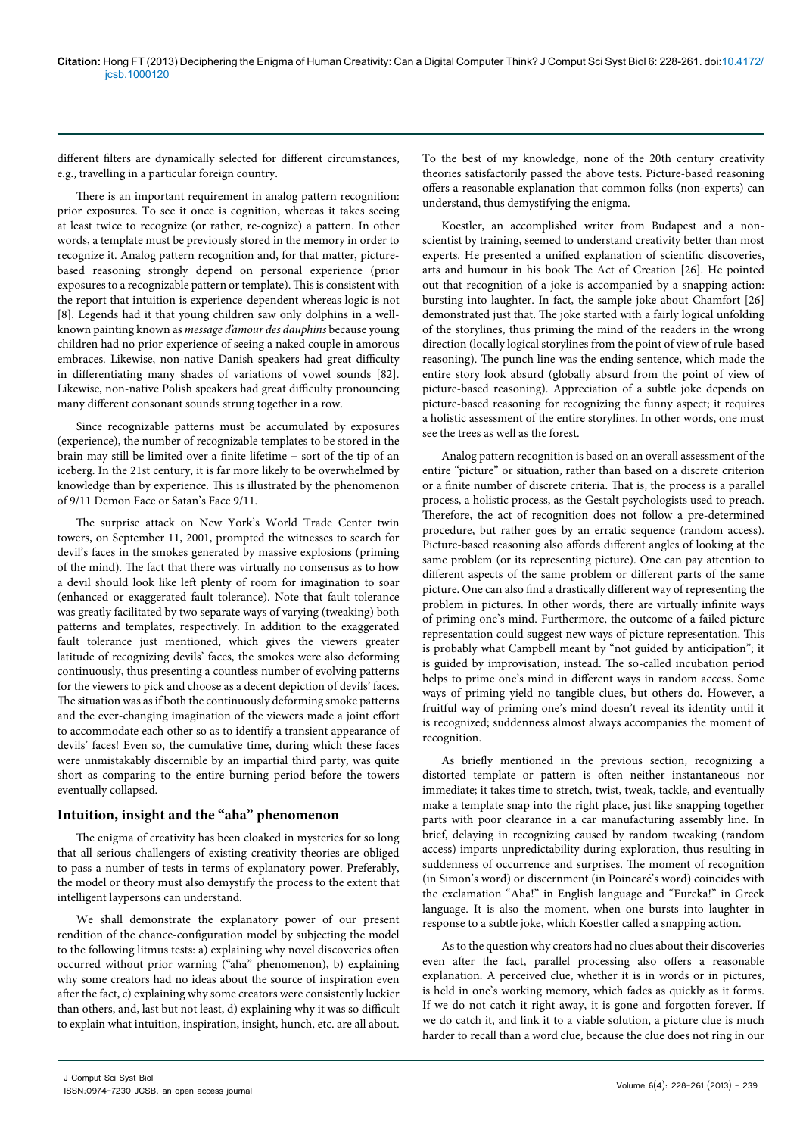different filters are dynamically selected for different circumstances, e.g., travelling in a particular foreign country.

There is an important requirement in analog pattern recognition: prior exposures. To see it once is cognition, whereas it takes seeing at least twice to recognize (or rather, re-cognize) a pattern. In other words, a template must be previously stored in the memory in order to recognize it. Analog pattern recognition and, for that matter, picturebased reasoning strongly depend on personal experience (prior exposures to a recognizable pattern or template). This is consistent with the report that intuition is experience-dependent whereas logic is not [8]. Legends had it that young children saw only dolphins in a wellknown painting known as *message d'amour des dauphins* because young children had no prior experience of seeing a naked couple in amorous embraces. Likewise, non-native Danish speakers had great difficulty in differentiating many shades of variations of vowel sounds [82]. Likewise, non-native Polish speakers had great difficulty pronouncing many different consonant sounds strung together in a row.

Since recognizable patterns must be accumulated by exposures (experience), the number of recognizable templates to be stored in the brain may still be limited over a finite lifetime − sort of the tip of an iceberg. In the 21st century, it is far more likely to be overwhelmed by knowledge than by experience. This is illustrated by the phenomenon of 9/11 Demon Face or Satan's Face 9/11.

The surprise attack on New York's World Trade Center twin towers, on September 11, 2001, prompted the witnesses to search for devil's faces in the smokes generated by massive explosions (priming of the mind). The fact that there was virtually no consensus as to how a devil should look like left plenty of room for imagination to soar (enhanced or exaggerated fault tolerance). Note that fault tolerance was greatly facilitated by two separate ways of varying (tweaking) both patterns and templates, respectively. In addition to the exaggerated fault tolerance just mentioned, which gives the viewers greater latitude of recognizing devils' faces, the smokes were also deforming continuously, thus presenting a countless number of evolving patterns for the viewers to pick and choose as a decent depiction of devils' faces. The situation was as if both the continuously deforming smoke patterns and the ever-changing imagination of the viewers made a joint effort to accommodate each other so as to identify a transient appearance of devils' faces! Even so, the cumulative time, during which these faces were unmistakably discernible by an impartial third party, was quite short as comparing to the entire burning period before the towers eventually collapsed.

#### **Intuition, insight and the "aha" phenomenon**

The enigma of creativity has been cloaked in mysteries for so long that all serious challengers of existing creativity theories are obliged to pass a number of tests in terms of explanatory power. Preferably, the model or theory must also demystify the process to the extent that intelligent laypersons can understand.

We shall demonstrate the explanatory power of our present rendition of the chance-configuration model by subjecting the model to the following litmus tests: a) explaining why novel discoveries often occurred without prior warning ("aha" phenomenon), b) explaining why some creators had no ideas about the source of inspiration even after the fact, c) explaining why some creators were consistently luckier than others, and, last but not least, d) explaining why it was so difficult to explain what intuition, inspiration, insight, hunch, etc. are all about.

To the best of my knowledge, none of the 20th century creativity theories satisfactorily passed the above tests. Picture-based reasoning offers a reasonable explanation that common folks (non-experts) can understand, thus demystifying the enigma.

Koestler, an accomplished writer from Budapest and a nonscientist by training, seemed to understand creativity better than most experts. He presented a unified explanation of scientific discoveries, arts and humour in his book The Act of Creation [26]. He pointed out that recognition of a joke is accompanied by a snapping action: bursting into laughter. In fact, the sample joke about Chamfort [26] demonstrated just that. The joke started with a fairly logical unfolding of the storylines, thus priming the mind of the readers in the wrong direction (locally logical storylines from the point of view of rule-based reasoning). The punch line was the ending sentence, which made the entire story look absurd (globally absurd from the point of view of picture-based reasoning). Appreciation of a subtle joke depends on picture-based reasoning for recognizing the funny aspect; it requires a holistic assessment of the entire storylines. In other words, one must see the trees as well as the forest.

Analog pattern recognition is based on an overall assessment of the entire "picture" or situation, rather than based on a discrete criterion or a finite number of discrete criteria. That is, the process is a parallel process, a holistic process, as the Gestalt psychologists used to preach. Therefore, the act of recognition does not follow a pre-determined procedure, but rather goes by an erratic sequence (random access). Picture-based reasoning also affords different angles of looking at the same problem (or its representing picture). One can pay attention to different aspects of the same problem or different parts of the same picture. One can also find a drastically different way of representing the problem in pictures. In other words, there are virtually infinite ways of priming one's mind. Furthermore, the outcome of a failed picture representation could suggest new ways of picture representation. This is probably what Campbell meant by "not guided by anticipation"; it is guided by improvisation, instead. The so-called incubation period helps to prime one's mind in different ways in random access. Some ways of priming yield no tangible clues, but others do. However, a fruitful way of priming one's mind doesn't reveal its identity until it is recognized; suddenness almost always accompanies the moment of recognition.

As briefly mentioned in the previous section, recognizing a distorted template or pattern is often neither instantaneous nor immediate; it takes time to stretch, twist, tweak, tackle, and eventually make a template snap into the right place, just like snapping together parts with poor clearance in a car manufacturing assembly line. In brief, delaying in recognizing caused by random tweaking (random access) imparts unpredictability during exploration, thus resulting in suddenness of occurrence and surprises. The moment of recognition (in Simon's word) or discernment (in Poincaré's word) coincides with the exclamation "Aha!" in English language and "Eureka!" in Greek language. It is also the moment, when one bursts into laughter in response to a subtle joke, which Koestler called a snapping action.

As to the question why creators had no clues about their discoveries even after the fact, parallel processing also offers a reasonable explanation. A perceived clue, whether it is in words or in pictures, is held in one's working memory, which fades as quickly as it forms. If we do not catch it right away, it is gone and forgotten forever. If we do catch it, and link it to a viable solution, a picture clue is much harder to recall than a word clue, because the clue does not ring in our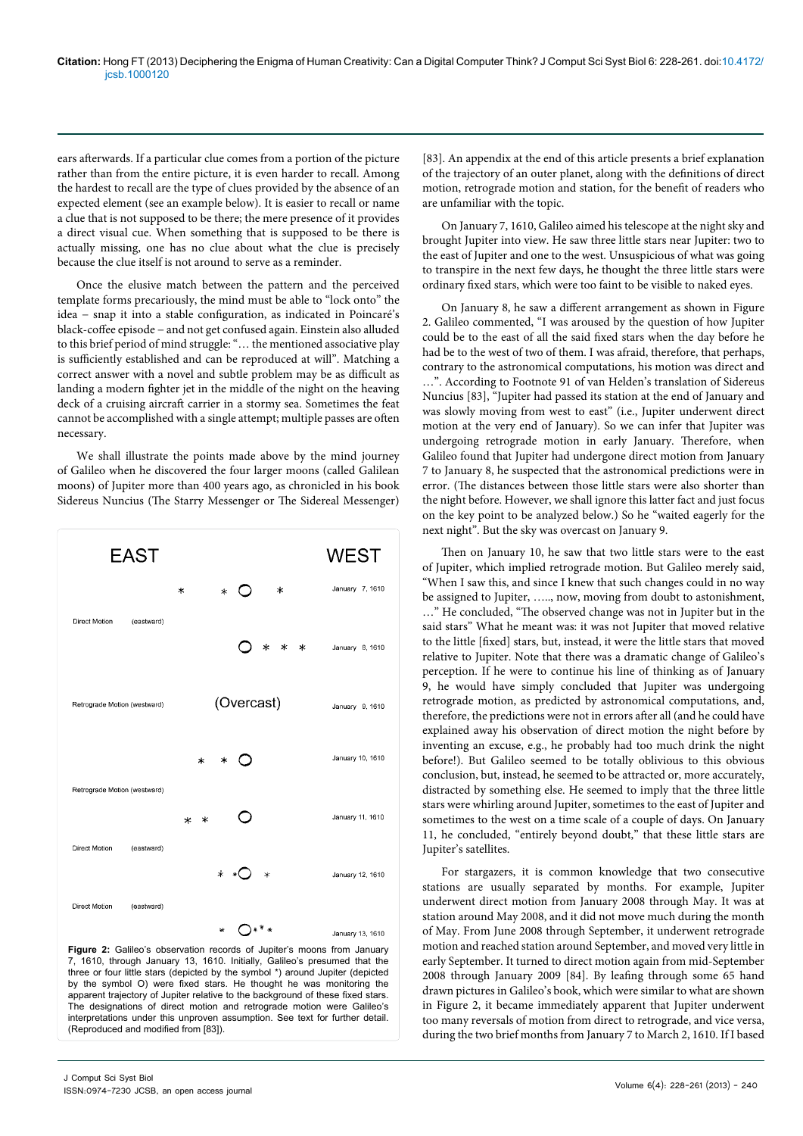ears afterwards. If a particular clue comes from a portion of the picture rather than from the entire picture, it is even harder to recall. Among the hardest to recall are the type of clues provided by the absence of an expected element (see an example below). It is easier to recall or name a clue that is not supposed to be there; the mere presence of it provides a direct visual cue. When something that is supposed to be there is actually missing, one has no clue about what the clue is precisely because the clue itself is not around to serve as a reminder.

Once the elusive match between the pattern and the perceived template forms precariously, the mind must be able to "lock onto" the idea − snap it into a stable configuration, as indicated in Poincaré's black-coffee episode − and not get confused again. Einstein also alluded to this brief period of mind struggle: "… the mentioned associative play is sufficiently established and can be reproduced at will". Matching a correct answer with a novel and subtle problem may be as difficult as landing a modern fighter jet in the middle of the night on the heaving deck of a cruising aircraft carrier in a stormy sea. Sometimes the feat cannot be accomplished with a single attempt; multiple passes are often necessary.

We shall illustrate the points made above by the mind journey of Galileo when he discovered the four larger moons (called Galilean moons) of Jupiter more than 400 years ago, as chronicled in his book Sidereus Nuncius (The Starry Messenger or The Sidereal Messenger)



**Figure 2:** Galileo's observation records of Jupiter's moons from January 7, 1610, through January 13, 1610. Initially, Galileo's presumed that the three or four little stars (depicted by the symbol \*) around Jupiter (depicted by the symbol O) were fixed stars. He thought he was monitoring the apparent trajectory of Jupiter relative to the background of these fixed stars. The designations of direct motion and retrograde motion were Galileo's interpretations under this unproven assumption. See text for further detail. (Reproduced and modified from [83]).

[83]. An appendix at the end of this article presents a brief explanation of the trajectory of an outer planet, along with the definitions of direct motion, retrograde motion and station, for the benefit of readers who are unfamiliar with the topic.

On January 7, 1610, Galileo aimed his telescope at the night sky and brought Jupiter into view. He saw three little stars near Jupiter: two to the east of Jupiter and one to the west. Unsuspicious of what was going to transpire in the next few days, he thought the three little stars were ordinary fixed stars, which were too faint to be visible to naked eyes.

On January 8, he saw a different arrangement as shown in Figure 2. Galileo commented, "I was aroused by the question of how Jupiter could be to the east of all the said fixed stars when the day before he had be to the west of two of them. I was afraid, therefore, that perhaps, contrary to the astronomical computations, his motion was direct and …". According to Footnote 91 of van Helden's translation of Sidereus Nuncius [83], "Jupiter had passed its station at the end of January and was slowly moving from west to east" (i.e., Jupiter underwent direct motion at the very end of January). So we can infer that Jupiter was undergoing retrograde motion in early January. Therefore, when Galileo found that Jupiter had undergone direct motion from January 7 to January 8, he suspected that the astronomical predictions were in error. (The distances between those little stars were also shorter than the night before. However, we shall ignore this latter fact and just focus on the key point to be analyzed below.) So he "waited eagerly for the next night". But the sky was overcast on January 9.

Then on January 10, he saw that two little stars were to the east of Jupiter, which implied retrograde motion. But Galileo merely said, "When I saw this, and since I knew that such changes could in no way be assigned to Jupiter, ….., now, moving from doubt to astonishment, …" He concluded, "The observed change was not in Jupiter but in the said stars" What he meant was: it was not Jupiter that moved relative to the little [fixed] stars, but, instead, it were the little stars that moved relative to Jupiter. Note that there was a dramatic change of Galileo's perception. If he were to continue his line of thinking as of January 9, he would have simply concluded that Jupiter was undergoing retrograde motion, as predicted by astronomical computations, and, therefore, the predictions were not in errors after all (and he could have explained away his observation of direct motion the night before by inventing an excuse, e.g., he probably had too much drink the night before!). But Galileo seemed to be totally oblivious to this obvious conclusion, but, instead, he seemed to be attracted or, more accurately, distracted by something else. He seemed to imply that the three little stars were whirling around Jupiter, sometimes to the east of Jupiter and sometimes to the west on a time scale of a couple of days. On January 11, he concluded, "entirely beyond doubt," that these little stars are Jupiter's satellites.

For stargazers, it is common knowledge that two consecutive stations are usually separated by months. For example, Jupiter underwent direct motion from January 2008 through May. It was at station around May 2008, and it did not move much during the month of May. From June 2008 through September, it underwent retrograde motion and reached station around September, and moved very little in early September. It turned to direct motion again from mid-September 2008 through January 2009 [84]. By leafing through some 65 hand drawn pictures in Galileo's book, which were similar to what are shown in Figure 2, it became immediately apparent that Jupiter underwent too many reversals of motion from direct to retrograde, and vice versa, during the two brief months from January 7 to March 2, 1610. If I based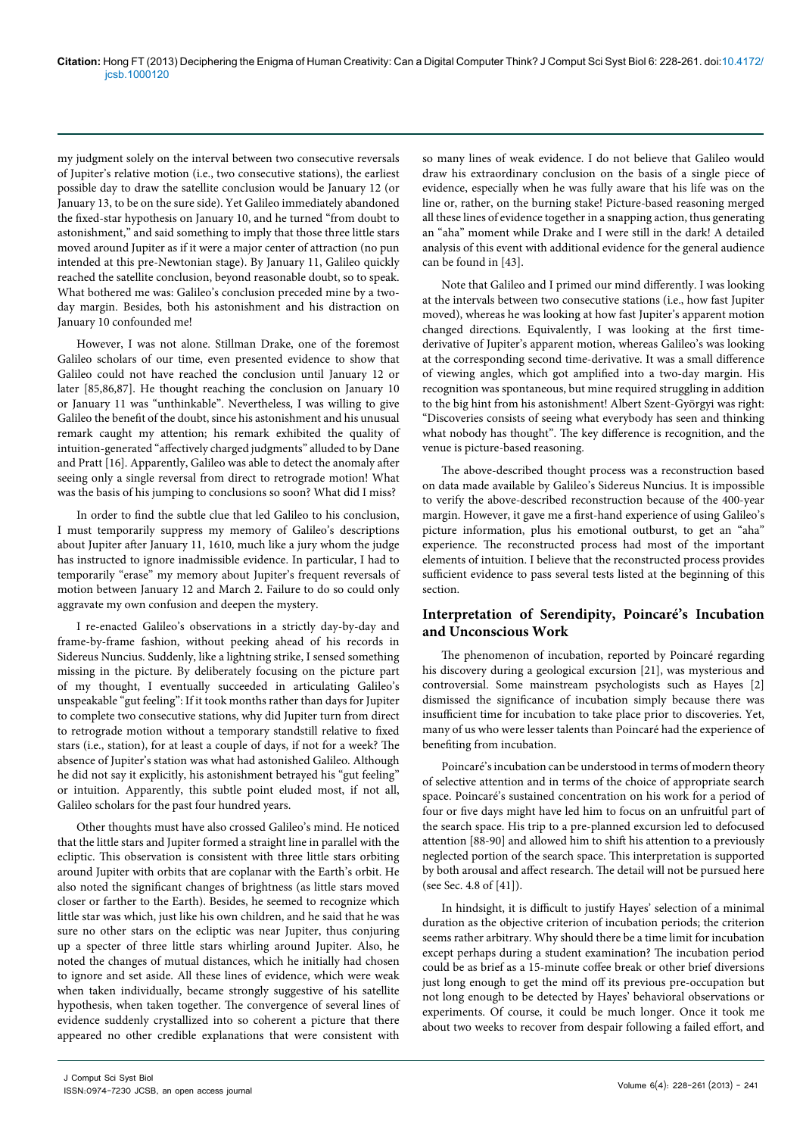my judgment solely on the interval between two consecutive reversals of Jupiter's relative motion (i.e., two consecutive stations), the earliest possible day to draw the satellite conclusion would be January 12 (or January 13, to be on the sure side). Yet Galileo immediately abandoned the fixed-star hypothesis on January 10, and he turned "from doubt to astonishment," and said something to imply that those three little stars moved around Jupiter as if it were a major center of attraction (no pun intended at this pre-Newtonian stage). By January 11, Galileo quickly reached the satellite conclusion, beyond reasonable doubt, so to speak. What bothered me was: Galileo's conclusion preceded mine by a twoday margin. Besides, both his astonishment and his distraction on January 10 confounded me!

However, I was not alone. Stillman Drake, one of the foremost Galileo scholars of our time, even presented evidence to show that Galileo could not have reached the conclusion until January 12 or later [85,86,87]. He thought reaching the conclusion on January 10 or January 11 was "unthinkable". Nevertheless, I was willing to give Galileo the benefit of the doubt, since his astonishment and his unusual remark caught my attention; his remark exhibited the quality of intuition-generated "affectively charged judgments" alluded to by Dane and Pratt [16]. Apparently, Galileo was able to detect the anomaly after seeing only a single reversal from direct to retrograde motion! What was the basis of his jumping to conclusions so soon? What did I miss?

In order to find the subtle clue that led Galileo to his conclusion, I must temporarily suppress my memory of Galileo's descriptions about Jupiter after January 11, 1610, much like a jury whom the judge has instructed to ignore inadmissible evidence. In particular, I had to temporarily "erase" my memory about Jupiter's frequent reversals of motion between January 12 and March 2. Failure to do so could only aggravate my own confusion and deepen the mystery.

I re-enacted Galileo's observations in a strictly day-by-day and frame-by-frame fashion, without peeking ahead of his records in Sidereus Nuncius. Suddenly, like a lightning strike, I sensed something missing in the picture. By deliberately focusing on the picture part of my thought, I eventually succeeded in articulating Galileo's unspeakable "gut feeling": If it took months rather than days for Jupiter to complete two consecutive stations, why did Jupiter turn from direct to retrograde motion without a temporary standstill relative to fixed stars (i.e., station), for at least a couple of days, if not for a week? The absence of Jupiter's station was what had astonished Galileo. Although he did not say it explicitly, his astonishment betrayed his "gut feeling" or intuition. Apparently, this subtle point eluded most, if not all, Galileo scholars for the past four hundred years.

Other thoughts must have also crossed Galileo's mind. He noticed that the little stars and Jupiter formed a straight line in parallel with the ecliptic. This observation is consistent with three little stars orbiting around Jupiter with orbits that are coplanar with the Earth's orbit. He also noted the significant changes of brightness (as little stars moved closer or farther to the Earth). Besides, he seemed to recognize which little star was which, just like his own children, and he said that he was sure no other stars on the ecliptic was near Jupiter, thus conjuring up a specter of three little stars whirling around Jupiter. Also, he noted the changes of mutual distances, which he initially had chosen to ignore and set aside. All these lines of evidence, which were weak when taken individually, became strongly suggestive of his satellite hypothesis, when taken together. The convergence of several lines of evidence suddenly crystallized into so coherent a picture that there appeared no other credible explanations that were consistent with so many lines of weak evidence. I do not believe that Galileo would draw his extraordinary conclusion on the basis of a single piece of evidence, especially when he was fully aware that his life was on the line or, rather, on the burning stake! Picture-based reasoning merged all these lines of evidence together in a snapping action, thus generating an "aha" moment while Drake and I were still in the dark! A detailed analysis of this event with additional evidence for the general audience can be found in [43].

Note that Galileo and I primed our mind differently. I was looking at the intervals between two consecutive stations (i.e., how fast Jupiter moved), whereas he was looking at how fast Jupiter's apparent motion changed directions. Equivalently, I was looking at the first timederivative of Jupiter's apparent motion, whereas Galileo's was looking at the corresponding second time-derivative. It was a small difference of viewing angles, which got amplified into a two-day margin. His recognition was spontaneous, but mine required struggling in addition to the big hint from his astonishment! Albert Szent-Györgyi was right: "Discoveries consists of seeing what everybody has seen and thinking what nobody has thought". The key difference is recognition, and the venue is picture-based reasoning.

The above-described thought process was a reconstruction based on data made available by Galileo's Sidereus Nuncius. It is impossible to verify the above-described reconstruction because of the 400-year margin. However, it gave me a first-hand experience of using Galileo's picture information, plus his emotional outburst, to get an "aha" experience. The reconstructed process had most of the important elements of intuition. I believe that the reconstructed process provides sufficient evidence to pass several tests listed at the beginning of this section.

## **Interpretation of Serendipity, Poincaré's Incubation and Unconscious Work**

The phenomenon of incubation, reported by Poincaré regarding his discovery during a geological excursion [21], was mysterious and controversial. Some mainstream psychologists such as Hayes [2] dismissed the significance of incubation simply because there was insufficient time for incubation to take place prior to discoveries. Yet, many of us who were lesser talents than Poincaré had the experience of benefiting from incubation.

Poincaré's incubation can be understood in terms of modern theory of selective attention and in terms of the choice of appropriate search space. Poincaré's sustained concentration on his work for a period of four or five days might have led him to focus on an unfruitful part of the search space. His trip to a pre-planned excursion led to defocused attention [88-90] and allowed him to shift his attention to a previously neglected portion of the search space. This interpretation is supported by both arousal and affect research. The detail will not be pursued here (see Sec. 4.8 of [41]).

In hindsight, it is difficult to justify Hayes' selection of a minimal duration as the objective criterion of incubation periods; the criterion seems rather arbitrary. Why should there be a time limit for incubation except perhaps during a student examination? The incubation period could be as brief as a 15-minute coffee break or other brief diversions just long enough to get the mind off its previous pre-occupation but not long enough to be detected by Hayes' behavioral observations or experiments. Of course, it could be much longer. Once it took me about two weeks to recover from despair following a failed effort, and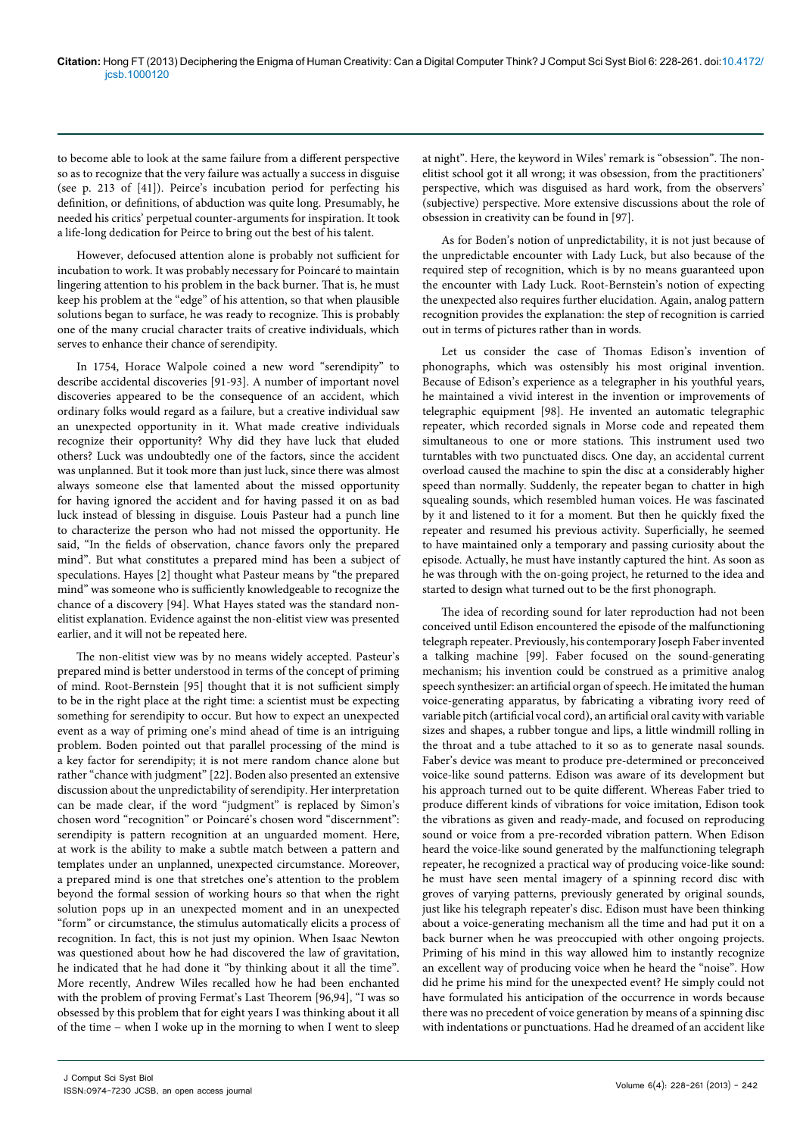to become able to look at the same failure from a different perspective so as to recognize that the very failure was actually a success in disguise (see p. 213 of [41]). Peirce's incubation period for perfecting his definition, or definitions, of abduction was quite long. Presumably, he needed his critics' perpetual counter-arguments for inspiration. It took a life-long dedication for Peirce to bring out the best of his talent.

However, defocused attention alone is probably not sufficient for incubation to work. It was probably necessary for Poincaré to maintain lingering attention to his problem in the back burner. That is, he must keep his problem at the "edge" of his attention, so that when plausible solutions began to surface, he was ready to recognize. This is probably one of the many crucial character traits of creative individuals, which serves to enhance their chance of serendipity.

In 1754, Horace Walpole coined a new word "serendipity" to describe accidental discoveries [91-93]. A number of important novel discoveries appeared to be the consequence of an accident, which ordinary folks would regard as a failure, but a creative individual saw an unexpected opportunity in it. What made creative individuals recognize their opportunity? Why did they have luck that eluded others? Luck was undoubtedly one of the factors, since the accident was unplanned. But it took more than just luck, since there was almost always someone else that lamented about the missed opportunity for having ignored the accident and for having passed it on as bad luck instead of blessing in disguise. Louis Pasteur had a punch line to characterize the person who had not missed the opportunity. He said, "In the fields of observation, chance favors only the prepared mind". But what constitutes a prepared mind has been a subject of speculations. Hayes [2] thought what Pasteur means by "the prepared mind" was someone who is sufficiently knowledgeable to recognize the chance of a discovery [94]. What Hayes stated was the standard nonelitist explanation. Evidence against the non-elitist view was presented earlier, and it will not be repeated here.

The non-elitist view was by no means widely accepted. Pasteur's prepared mind is better understood in terms of the concept of priming of mind. Root-Bernstein [95] thought that it is not sufficient simply to be in the right place at the right time: a scientist must be expecting something for serendipity to occur. But how to expect an unexpected event as a way of priming one's mind ahead of time is an intriguing problem. Boden pointed out that parallel processing of the mind is a key factor for serendipity; it is not mere random chance alone but rather "chance with judgment" [22]. Boden also presented an extensive discussion about the unpredictability of serendipity. Her interpretation can be made clear, if the word "judgment" is replaced by Simon's chosen word "recognition" or Poincaré's chosen word "discernment": serendipity is pattern recognition at an unguarded moment. Here, at work is the ability to make a subtle match between a pattern and templates under an unplanned, unexpected circumstance. Moreover, a prepared mind is one that stretches one's attention to the problem beyond the formal session of working hours so that when the right solution pops up in an unexpected moment and in an unexpected "form" or circumstance, the stimulus automatically elicits a process of recognition. In fact, this is not just my opinion. When Isaac Newton was questioned about how he had discovered the law of gravitation, he indicated that he had done it "by thinking about it all the time". More recently, Andrew Wiles recalled how he had been enchanted with the problem of proving Fermat's Last Theorem [96,94], "I was so obsessed by this problem that for eight years I was thinking about it all of the time − when I woke up in the morning to when I went to sleep at night". Here, the keyword in Wiles' remark is "obsession". The nonelitist school got it all wrong; it was obsession, from the practitioners' perspective, which was disguised as hard work, from the observers' (subjective) perspective. More extensive discussions about the role of obsession in creativity can be found in [97].

As for Boden's notion of unpredictability, it is not just because of the unpredictable encounter with Lady Luck, but also because of the required step of recognition, which is by no means guaranteed upon the encounter with Lady Luck. Root-Bernstein's notion of expecting the unexpected also requires further elucidation. Again, analog pattern recognition provides the explanation: the step of recognition is carried out in terms of pictures rather than in words.

Let us consider the case of Thomas Edison's invention of phonographs, which was ostensibly his most original invention. Because of Edison's experience as a telegrapher in his youthful years, he maintained a vivid interest in the invention or improvements of telegraphic equipment [98]. He invented an automatic telegraphic repeater, which recorded signals in Morse code and repeated them simultaneous to one or more stations. This instrument used two turntables with two punctuated discs. One day, an accidental current overload caused the machine to spin the disc at a considerably higher speed than normally. Suddenly, the repeater began to chatter in high squealing sounds, which resembled human voices. He was fascinated by it and listened to it for a moment. But then he quickly fixed the repeater and resumed his previous activity. Superficially, he seemed to have maintained only a temporary and passing curiosity about the episode. Actually, he must have instantly captured the hint. As soon as he was through with the on-going project, he returned to the idea and started to design what turned out to be the first phonograph.

The idea of recording sound for later reproduction had not been conceived until Edison encountered the episode of the malfunctioning telegraph repeater. Previously, his contemporary Joseph Faber invented a talking machine [99]. Faber focused on the sound-generating mechanism; his invention could be construed as a primitive analog speech synthesizer: an artificial organ of speech. He imitated the human voice-generating apparatus, by fabricating a vibrating ivory reed of variable pitch (artificial vocal cord), an artificial oral cavity with variable sizes and shapes, a rubber tongue and lips, a little windmill rolling in the throat and a tube attached to it so as to generate nasal sounds. Faber's device was meant to produce pre-determined or preconceived voice-like sound patterns. Edison was aware of its development but his approach turned out to be quite different. Whereas Faber tried to produce different kinds of vibrations for voice imitation, Edison took the vibrations as given and ready-made, and focused on reproducing sound or voice from a pre-recorded vibration pattern. When Edison heard the voice-like sound generated by the malfunctioning telegraph repeater, he recognized a practical way of producing voice-like sound: he must have seen mental imagery of a spinning record disc with groves of varying patterns, previously generated by original sounds, just like his telegraph repeater's disc. Edison must have been thinking about a voice-generating mechanism all the time and had put it on a back burner when he was preoccupied with other ongoing projects. Priming of his mind in this way allowed him to instantly recognize an excellent way of producing voice when he heard the "noise". How did he prime his mind for the unexpected event? He simply could not have formulated his anticipation of the occurrence in words because there was no precedent of voice generation by means of a spinning disc with indentations or punctuations. Had he dreamed of an accident like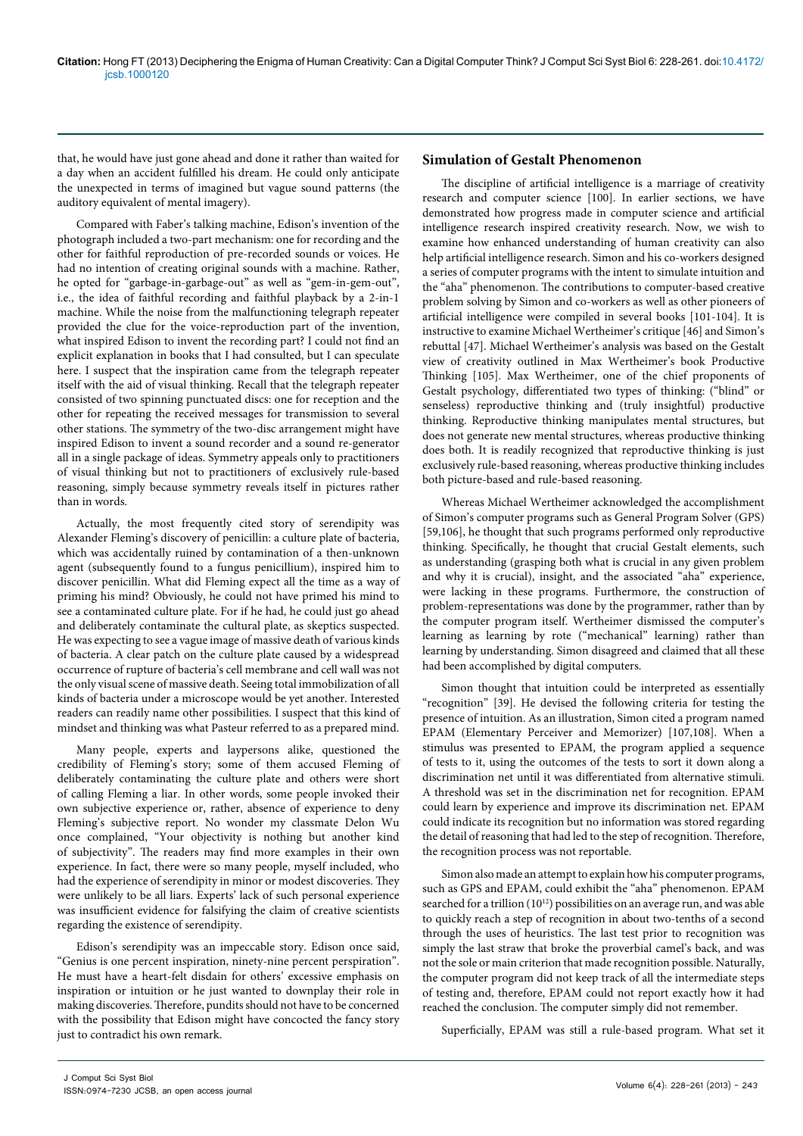that, he would have just gone ahead and done it rather than waited for a day when an accident fulfilled his dream. He could only anticipate the unexpected in terms of imagined but vague sound patterns (the auditory equivalent of mental imagery).

Compared with Faber's talking machine, Edison's invention of the photograph included a two-part mechanism: one for recording and the other for faithful reproduction of pre-recorded sounds or voices. He had no intention of creating original sounds with a machine. Rather, he opted for "garbage-in-garbage-out" as well as "gem-in-gem-out", i.e., the idea of faithful recording and faithful playback by a 2-in-1 machine. While the noise from the malfunctioning telegraph repeater provided the clue for the voice-reproduction part of the invention, what inspired Edison to invent the recording part? I could not find an explicit explanation in books that I had consulted, but I can speculate here. I suspect that the inspiration came from the telegraph repeater itself with the aid of visual thinking. Recall that the telegraph repeater consisted of two spinning punctuated discs: one for reception and the other for repeating the received messages for transmission to several other stations. The symmetry of the two-disc arrangement might have inspired Edison to invent a sound recorder and a sound re-generator all in a single package of ideas. Symmetry appeals only to practitioners of visual thinking but not to practitioners of exclusively rule-based reasoning, simply because symmetry reveals itself in pictures rather than in words.

Actually, the most frequently cited story of serendipity was Alexander Fleming's discovery of penicillin: a culture plate of bacteria, which was accidentally ruined by contamination of a then-unknown agent (subsequently found to a fungus penicillium), inspired him to discover penicillin. What did Fleming expect all the time as a way of priming his mind? Obviously, he could not have primed his mind to see a contaminated culture plate. For if he had, he could just go ahead and deliberately contaminate the cultural plate, as skeptics suspected. He was expecting to see a vague image of massive death of various kinds of bacteria. A clear patch on the culture plate caused by a widespread occurrence of rupture of bacteria's cell membrane and cell wall was not the only visual scene of massive death. Seeing total immobilization of all kinds of bacteria under a microscope would be yet another. Interested readers can readily name other possibilities. I suspect that this kind of mindset and thinking was what Pasteur referred to as a prepared mind.

Many people, experts and laypersons alike, questioned the credibility of Fleming's story; some of them accused Fleming of deliberately contaminating the culture plate and others were short of calling Fleming a liar. In other words, some people invoked their own subjective experience or, rather, absence of experience to deny Fleming's subjective report. No wonder my classmate Delon Wu once complained, "Your objectivity is nothing but another kind of subjectivity". The readers may find more examples in their own experience. In fact, there were so many people, myself included, who had the experience of serendipity in minor or modest discoveries. They were unlikely to be all liars. Experts' lack of such personal experience was insufficient evidence for falsifying the claim of creative scientists regarding the existence of serendipity.

Edison's serendipity was an impeccable story. Edison once said, "Genius is one percent inspiration, ninety-nine percent perspiration". He must have a heart-felt disdain for others' excessive emphasis on inspiration or intuition or he just wanted to downplay their role in making discoveries. Therefore, pundits should not have to be concerned with the possibility that Edison might have concocted the fancy story just to contradict his own remark.

#### **Simulation of Gestalt Phenomenon**

The discipline of artificial intelligence is a marriage of creativity research and computer science [100]. In earlier sections, we have demonstrated how progress made in computer science and artificial intelligence research inspired creativity research. Now, we wish to examine how enhanced understanding of human creativity can also help artificial intelligence research. Simon and his co-workers designed a series of computer programs with the intent to simulate intuition and the "aha" phenomenon. The contributions to computer-based creative problem solving by Simon and co-workers as well as other pioneers of artificial intelligence were compiled in several books [101-104]. It is instructive to examine Michael Wertheimer's critique [46] and Simon's rebuttal [47]. Michael Wertheimer's analysis was based on the Gestalt view of creativity outlined in Max Wertheimer's book Productive Thinking [105]. Max Wertheimer, one of the chief proponents of Gestalt psychology, differentiated two types of thinking: ("blind" or senseless) reproductive thinking and (truly insightful) productive thinking. Reproductive thinking manipulates mental structures, but does not generate new mental structures, whereas productive thinking does both. It is readily recognized that reproductive thinking is just exclusively rule-based reasoning, whereas productive thinking includes both picture-based and rule-based reasoning.

Whereas Michael Wertheimer acknowledged the accomplishment of Simon's computer programs such as General Program Solver (GPS) [59,106], he thought that such programs performed only reproductive thinking. Specifically, he thought that crucial Gestalt elements, such as understanding (grasping both what is crucial in any given problem and why it is crucial), insight, and the associated "aha" experience, were lacking in these programs. Furthermore, the construction of problem-representations was done by the programmer, rather than by the computer program itself. Wertheimer dismissed the computer's learning as learning by rote ("mechanical" learning) rather than learning by understanding. Simon disagreed and claimed that all these had been accomplished by digital computers.

Simon thought that intuition could be interpreted as essentially "recognition" [39]. He devised the following criteria for testing the presence of intuition. As an illustration, Simon cited a program named EPAM (Elementary Perceiver and Memorizer) [107,108]. When a stimulus was presented to EPAM, the program applied a sequence of tests to it, using the outcomes of the tests to sort it down along a discrimination net until it was differentiated from alternative stimuli. A threshold was set in the discrimination net for recognition. EPAM could learn by experience and improve its discrimination net. EPAM could indicate its recognition but no information was stored regarding the detail of reasoning that had led to the step of recognition. Therefore, the recognition process was not reportable.

Simon also made an attempt to explain how his computer programs, such as GPS and EPAM, could exhibit the "aha" phenomenon. EPAM searched for a trillion (1012) possibilities on an average run, and was able to quickly reach a step of recognition in about two-tenths of a second through the uses of heuristics. The last test prior to recognition was simply the last straw that broke the proverbial camel's back, and was not the sole or main criterion that made recognition possible. Naturally, the computer program did not keep track of all the intermediate steps of testing and, therefore, EPAM could not report exactly how it had reached the conclusion. The computer simply did not remember.

Superficially, EPAM was still a rule-based program. What set it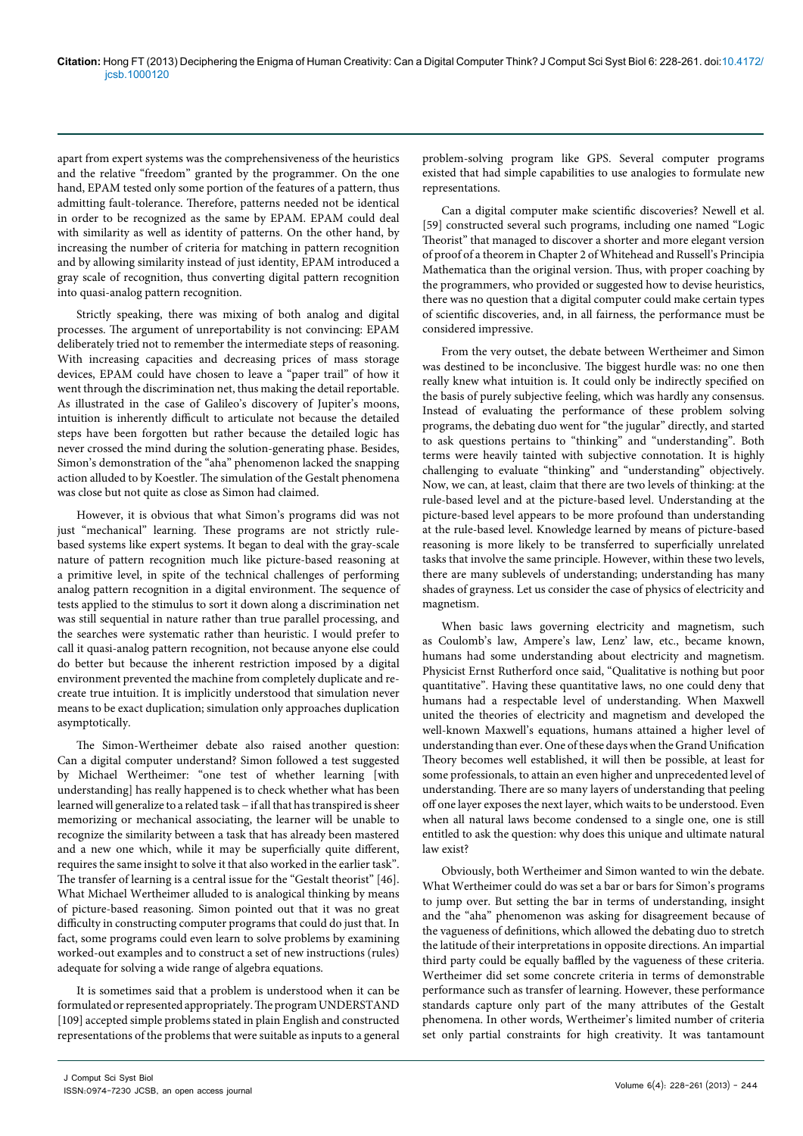apart from expert systems was the comprehensiveness of the heuristics and the relative "freedom" granted by the programmer. On the one hand, EPAM tested only some portion of the features of a pattern, thus admitting fault-tolerance. Therefore, patterns needed not be identical in order to be recognized as the same by EPAM. EPAM could deal with similarity as well as identity of patterns. On the other hand, by increasing the number of criteria for matching in pattern recognition and by allowing similarity instead of just identity, EPAM introduced a gray scale of recognition, thus converting digital pattern recognition into quasi-analog pattern recognition.

Strictly speaking, there was mixing of both analog and digital processes. The argument of unreportability is not convincing: EPAM deliberately tried not to remember the intermediate steps of reasoning. With increasing capacities and decreasing prices of mass storage devices, EPAM could have chosen to leave a "paper trail" of how it went through the discrimination net, thus making the detail reportable. As illustrated in the case of Galileo's discovery of Jupiter's moons, intuition is inherently difficult to articulate not because the detailed steps have been forgotten but rather because the detailed logic has never crossed the mind during the solution-generating phase. Besides, Simon's demonstration of the "aha" phenomenon lacked the snapping action alluded to by Koestler. The simulation of the Gestalt phenomena was close but not quite as close as Simon had claimed.

However, it is obvious that what Simon's programs did was not just "mechanical" learning. These programs are not strictly rulebased systems like expert systems. It began to deal with the gray-scale nature of pattern recognition much like picture-based reasoning at a primitive level, in spite of the technical challenges of performing analog pattern recognition in a digital environment. The sequence of tests applied to the stimulus to sort it down along a discrimination net was still sequential in nature rather than true parallel processing, and the searches were systematic rather than heuristic. I would prefer to call it quasi-analog pattern recognition, not because anyone else could do better but because the inherent restriction imposed by a digital environment prevented the machine from completely duplicate and recreate true intuition. It is implicitly understood that simulation never means to be exact duplication; simulation only approaches duplication asymptotically.

The Simon-Wertheimer debate also raised another question: Can a digital computer understand? Simon followed a test suggested by Michael Wertheimer: "one test of whether learning [with understanding] has really happened is to check whether what has been learned will generalize to a related task − if all that has transpired is sheer memorizing or mechanical associating, the learner will be unable to recognize the similarity between a task that has already been mastered and a new one which, while it may be superficially quite different, requires the same insight to solve it that also worked in the earlier task". The transfer of learning is a central issue for the "Gestalt theorist" [46]. What Michael Wertheimer alluded to is analogical thinking by means of picture-based reasoning. Simon pointed out that it was no great difficulty in constructing computer programs that could do just that. In fact, some programs could even learn to solve problems by examining worked-out examples and to construct a set of new instructions (rules) adequate for solving a wide range of algebra equations.

It is sometimes said that a problem is understood when it can be formulated or represented appropriately. The program UNDERSTAND [109] accepted simple problems stated in plain English and constructed representations of the problems that were suitable as inputs to a general

problem-solving program like GPS. Several computer programs existed that had simple capabilities to use analogies to formulate new representations.

Can a digital computer make scientific discoveries? Newell et al. [59] constructed several such programs, including one named "Logic Theorist" that managed to discover a shorter and more elegant version of proof of a theorem in Chapter 2 of Whitehead and Russell's Principia Mathematica than the original version. Thus, with proper coaching by the programmers, who provided or suggested how to devise heuristics, there was no question that a digital computer could make certain types of scientific discoveries, and, in all fairness, the performance must be considered impressive.

From the very outset, the debate between Wertheimer and Simon was destined to be inconclusive. The biggest hurdle was: no one then really knew what intuition is. It could only be indirectly specified on the basis of purely subjective feeling, which was hardly any consensus. Instead of evaluating the performance of these problem solving programs, the debating duo went for "the jugular" directly, and started to ask questions pertains to "thinking" and "understanding". Both terms were heavily tainted with subjective connotation. It is highly challenging to evaluate "thinking" and "understanding" objectively. Now, we can, at least, claim that there are two levels of thinking: at the rule-based level and at the picture-based level. Understanding at the picture-based level appears to be more profound than understanding at the rule-based level. Knowledge learned by means of picture-based reasoning is more likely to be transferred to superficially unrelated tasks that involve the same principle. However, within these two levels, there are many sublevels of understanding; understanding has many shades of grayness. Let us consider the case of physics of electricity and magnetism.

When basic laws governing electricity and magnetism, such as Coulomb's law, Ampere's law, Lenz' law, etc., became known, humans had some understanding about electricity and magnetism. Physicist Ernst Rutherford once said, "Qualitative is nothing but poor quantitative". Having these quantitative laws, no one could deny that humans had a respectable level of understanding. When Maxwell united the theories of electricity and magnetism and developed the well-known Maxwell's equations, humans attained a higher level of understanding than ever. One of these days when the Grand Unification Theory becomes well established, it will then be possible, at least for some professionals, to attain an even higher and unprecedented level of understanding. There are so many layers of understanding that peeling off one layer exposes the next layer, which waits to be understood. Even when all natural laws become condensed to a single one, one is still entitled to ask the question: why does this unique and ultimate natural law exist?

Obviously, both Wertheimer and Simon wanted to win the debate. What Wertheimer could do was set a bar or bars for Simon's programs to jump over. But setting the bar in terms of understanding, insight and the "aha" phenomenon was asking for disagreement because of the vagueness of definitions, which allowed the debating duo to stretch the latitude of their interpretations in opposite directions. An impartial third party could be equally baffled by the vagueness of these criteria. Wertheimer did set some concrete criteria in terms of demonstrable performance such as transfer of learning. However, these performance standards capture only part of the many attributes of the Gestalt phenomena. In other words, Wertheimer's limited number of criteria set only partial constraints for high creativity. It was tantamount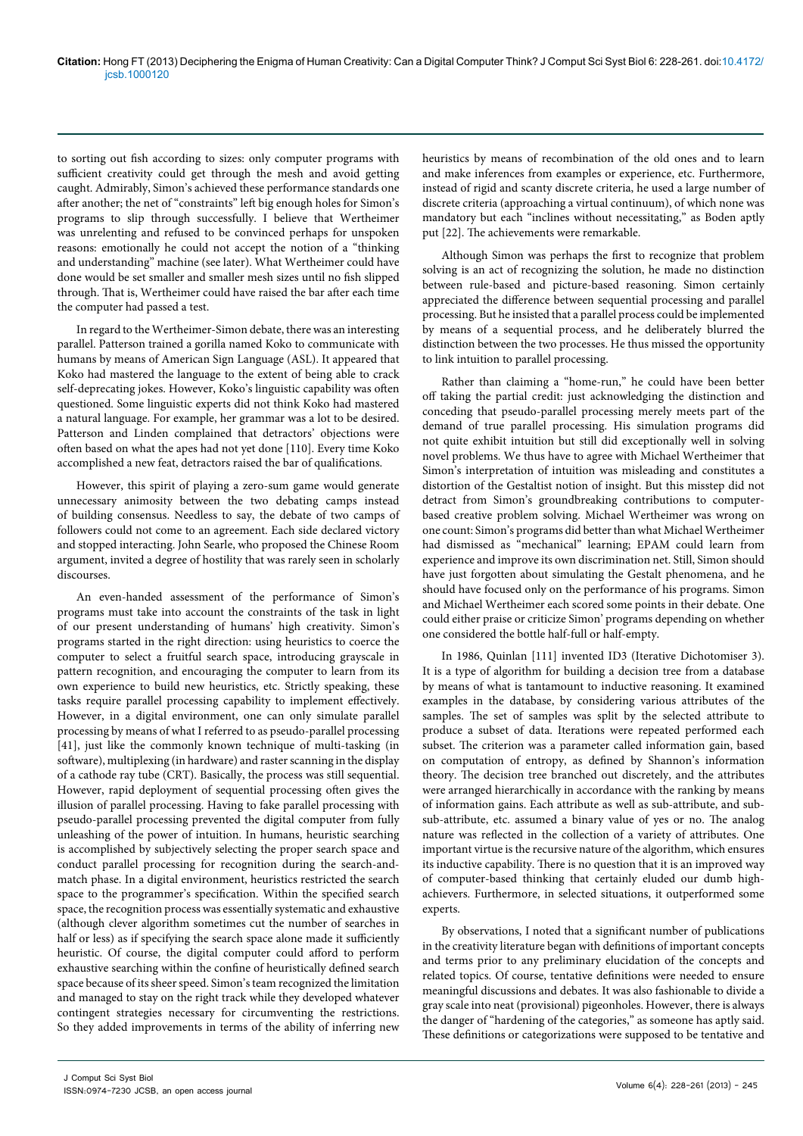to sorting out fish according to sizes: only computer programs with sufficient creativity could get through the mesh and avoid getting caught. Admirably, Simon's achieved these performance standards one after another; the net of "constraints" left big enough holes for Simon's programs to slip through successfully. I believe that Wertheimer was unrelenting and refused to be convinced perhaps for unspoken reasons: emotionally he could not accept the notion of a "thinking and understanding" machine (see later). What Wertheimer could have done would be set smaller and smaller mesh sizes until no fish slipped through. That is, Wertheimer could have raised the bar after each time the computer had passed a test.

In regard to the Wertheimer-Simon debate, there was an interesting parallel. Patterson trained a gorilla named Koko to communicate with humans by means of American Sign Language (ASL). It appeared that Koko had mastered the language to the extent of being able to crack self-deprecating jokes. However, Koko's linguistic capability was often questioned. Some linguistic experts did not think Koko had mastered a natural language. For example, her grammar was a lot to be desired. Patterson and Linden complained that detractors' objections were often based on what the apes had not yet done [110]. Every time Koko accomplished a new feat, detractors raised the bar of qualifications.

However, this spirit of playing a zero-sum game would generate unnecessary animosity between the two debating camps instead of building consensus. Needless to say, the debate of two camps of followers could not come to an agreement. Each side declared victory and stopped interacting. John Searle, who proposed the Chinese Room argument, invited a degree of hostility that was rarely seen in scholarly discourses.

An even-handed assessment of the performance of Simon's programs must take into account the constraints of the task in light of our present understanding of humans' high creativity. Simon's programs started in the right direction: using heuristics to coerce the computer to select a fruitful search space, introducing grayscale in pattern recognition, and encouraging the computer to learn from its own experience to build new heuristics, etc. Strictly speaking, these tasks require parallel processing capability to implement effectively. However, in a digital environment, one can only simulate parallel processing by means of what I referred to as pseudo-parallel processing [41], just like the commonly known technique of multi-tasking (in software), multiplexing (in hardware) and raster scanning in the display of a cathode ray tube (CRT). Basically, the process was still sequential. However, rapid deployment of sequential processing often gives the illusion of parallel processing. Having to fake parallel processing with pseudo-parallel processing prevented the digital computer from fully unleashing of the power of intuition. In humans, heuristic searching is accomplished by subjectively selecting the proper search space and conduct parallel processing for recognition during the search-andmatch phase. In a digital environment, heuristics restricted the search space to the programmer's specification. Within the specified search space, the recognition process was essentially systematic and exhaustive (although clever algorithm sometimes cut the number of searches in half or less) as if specifying the search space alone made it sufficiently heuristic. Of course, the digital computer could afford to perform exhaustive searching within the confine of heuristically defined search space because of its sheer speed. Simon's team recognized the limitation and managed to stay on the right track while they developed whatever contingent strategies necessary for circumventing the restrictions. So they added improvements in terms of the ability of inferring new

heuristics by means of recombination of the old ones and to learn and make inferences from examples or experience, etc. Furthermore, instead of rigid and scanty discrete criteria, he used a large number of discrete criteria (approaching a virtual continuum), of which none was mandatory but each "inclines without necessitating," as Boden aptly put [22]. The achievements were remarkable.

Although Simon was perhaps the first to recognize that problem solving is an act of recognizing the solution, he made no distinction between rule-based and picture-based reasoning. Simon certainly appreciated the difference between sequential processing and parallel processing. But he insisted that a parallel process could be implemented by means of a sequential process, and he deliberately blurred the distinction between the two processes. He thus missed the opportunity to link intuition to parallel processing.

Rather than claiming a "home-run," he could have been better off taking the partial credit: just acknowledging the distinction and conceding that pseudo-parallel processing merely meets part of the demand of true parallel processing. His simulation programs did not quite exhibit intuition but still did exceptionally well in solving novel problems. We thus have to agree with Michael Wertheimer that Simon's interpretation of intuition was misleading and constitutes a distortion of the Gestaltist notion of insight. But this misstep did not detract from Simon's groundbreaking contributions to computerbased creative problem solving. Michael Wertheimer was wrong on one count: Simon's programs did better than what Michael Wertheimer had dismissed as "mechanical" learning; EPAM could learn from experience and improve its own discrimination net. Still, Simon should have just forgotten about simulating the Gestalt phenomena, and he should have focused only on the performance of his programs. Simon and Michael Wertheimer each scored some points in their debate. One could either praise or criticize Simon' programs depending on whether one considered the bottle half-full or half-empty.

In 1986, Quinlan [111] invented ID3 (Iterative Dichotomiser 3). It is a type of algorithm for building a decision tree from a database by means of what is tantamount to inductive reasoning. It examined examples in the database, by considering various attributes of the samples. The set of samples was split by the selected attribute to produce a subset of data. Iterations were repeated performed each subset. The criterion was a parameter called information gain, based on computation of entropy, as defined by Shannon's information theory. The decision tree branched out discretely, and the attributes were arranged hierarchically in accordance with the ranking by means of information gains. Each attribute as well as sub-attribute, and subsub-attribute, etc. assumed a binary value of yes or no. The analog nature was reflected in the collection of a variety of attributes. One important virtue is the recursive nature of the algorithm, which ensures its inductive capability. There is no question that it is an improved way of computer-based thinking that certainly eluded our dumb highachievers. Furthermore, in selected situations, it outperformed some experts.

By observations, I noted that a significant number of publications in the creativity literature began with definitions of important concepts and terms prior to any preliminary elucidation of the concepts and related topics. Of course, tentative definitions were needed to ensure meaningful discussions and debates. It was also fashionable to divide a gray scale into neat (provisional) pigeonholes. However, there is always the danger of "hardening of the categories," as someone has aptly said. These definitions or categorizations were supposed to be tentative and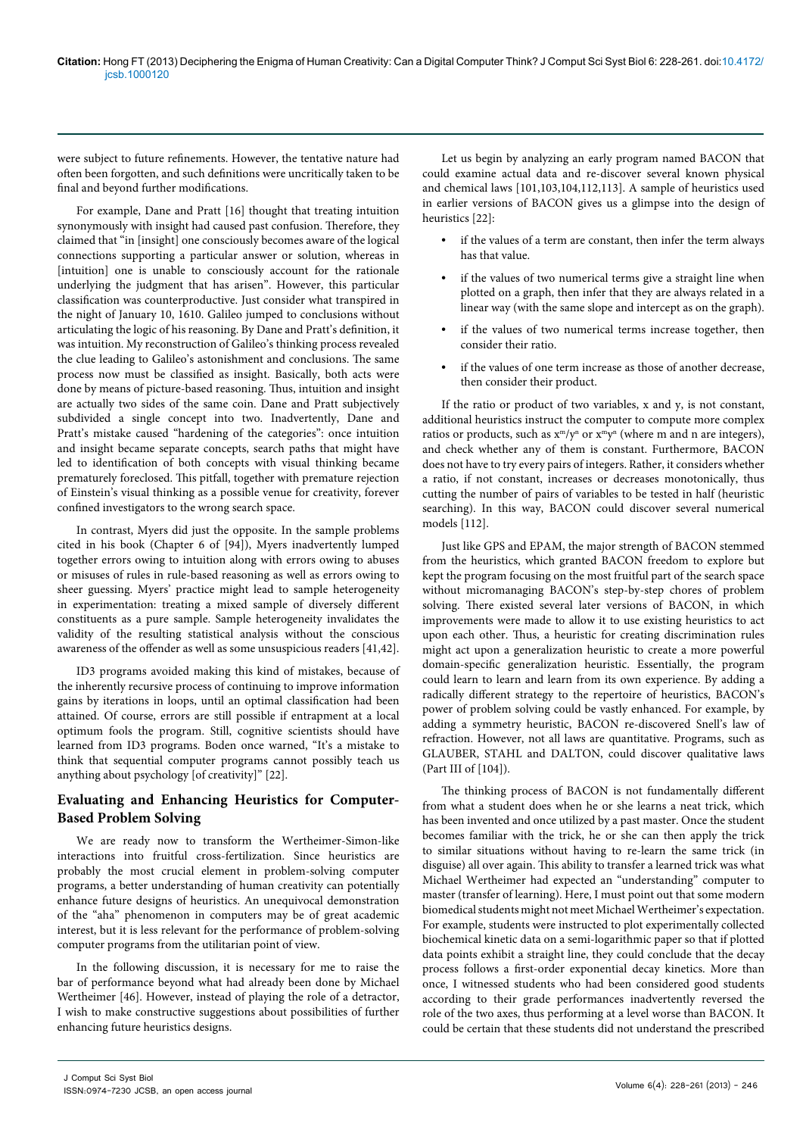were subject to future refinements. However, the tentative nature had often been forgotten, and such definitions were uncritically taken to be final and beyond further modifications.

For example, Dane and Pratt [16] thought that treating intuition synonymously with insight had caused past confusion. Therefore, they claimed that "in [insight] one consciously becomes aware of the logical connections supporting a particular answer or solution, whereas in [intuition] one is unable to consciously account for the rationale underlying the judgment that has arisen". However, this particular classification was counterproductive. Just consider what transpired in the night of January 10, 1610. Galileo jumped to conclusions without articulating the logic of his reasoning. By Dane and Pratt's definition, it was intuition. My reconstruction of Galileo's thinking process revealed the clue leading to Galileo's astonishment and conclusions. The same process now must be classified as insight. Basically, both acts were done by means of picture-based reasoning. Thus, intuition and insight are actually two sides of the same coin. Dane and Pratt subjectively subdivided a single concept into two. Inadvertently, Dane and Pratt's mistake caused "hardening of the categories": once intuition and insight became separate concepts, search paths that might have led to identification of both concepts with visual thinking became prematurely foreclosed. This pitfall, together with premature rejection of Einstein's visual thinking as a possible venue for creativity, forever confined investigators to the wrong search space.

In contrast, Myers did just the opposite. In the sample problems cited in his book (Chapter 6 of [94]), Myers inadvertently lumped together errors owing to intuition along with errors owing to abuses or misuses of rules in rule-based reasoning as well as errors owing to sheer guessing. Myers' practice might lead to sample heterogeneity in experimentation: treating a mixed sample of diversely different constituents as a pure sample. Sample heterogeneity invalidates the validity of the resulting statistical analysis without the conscious awareness of the offender as well as some unsuspicious readers [41,42].

ID3 programs avoided making this kind of mistakes, because of the inherently recursive process of continuing to improve information gains by iterations in loops, until an optimal classification had been attained. Of course, errors are still possible if entrapment at a local optimum fools the program. Still, cognitive scientists should have learned from ID3 programs. Boden once warned, "It's a mistake to think that sequential computer programs cannot possibly teach us anything about psychology [of creativity]" [22].

# **Evaluating and Enhancing Heuristics for Computer-Based Problem Solving**

We are ready now to transform the Wertheimer-Simon-like interactions into fruitful cross-fertilization. Since heuristics are probably the most crucial element in problem-solving computer programs, a better understanding of human creativity can potentially enhance future designs of heuristics. An unequivocal demonstration of the "aha" phenomenon in computers may be of great academic interest, but it is less relevant for the performance of problem-solving computer programs from the utilitarian point of view.

In the following discussion, it is necessary for me to raise the bar of performance beyond what had already been done by Michael Wertheimer [46]. However, instead of playing the role of a detractor, I wish to make constructive suggestions about possibilities of further enhancing future heuristics designs.

Let us begin by analyzing an early program named BACON that could examine actual data and re-discover several known physical and chemical laws [101,103,104,112,113]. A sample of heuristics used in earlier versions of BACON gives us a glimpse into the design of heuristics [22]:

- **•** if the values of a term are constant, then infer the term always has that value.
- **•** if the values of two numerical terms give a straight line when plotted on a graph, then infer that they are always related in a linear way (with the same slope and intercept as on the graph).
- **•** if the values of two numerical terms increase together, then consider their ratio.
- **•** if the values of one term increase as those of another decrease, then consider their product.

If the ratio or product of two variables, x and y, is not constant, additional heuristics instruct the computer to compute more complex ratios or products, such as  $x^m/y^n$  or  $x^m y^n$  (where m and n are integers), and check whether any of them is constant. Furthermore, BACON does not have to try every pairs of integers. Rather, it considers whether a ratio, if not constant, increases or decreases monotonically, thus cutting the number of pairs of variables to be tested in half (heuristic searching). In this way, BACON could discover several numerical models [112].

Just like GPS and EPAM, the major strength of BACON stemmed from the heuristics, which granted BACON freedom to explore but kept the program focusing on the most fruitful part of the search space without micromanaging BACON's step-by-step chores of problem solving. There existed several later versions of BACON, in which improvements were made to allow it to use existing heuristics to act upon each other. Thus, a heuristic for creating discrimination rules might act upon a generalization heuristic to create a more powerful domain-specific generalization heuristic. Essentially, the program could learn to learn and learn from its own experience. By adding a radically different strategy to the repertoire of heuristics, BACON's power of problem solving could be vastly enhanced. For example, by adding a symmetry heuristic, BACON re-discovered Snell's law of refraction. However, not all laws are quantitative. Programs, such as GLAUBER, STAHL and DALTON, could discover qualitative laws (Part III of [104]).

The thinking process of BACON is not fundamentally different from what a student does when he or she learns a neat trick, which has been invented and once utilized by a past master. Once the student becomes familiar with the trick, he or she can then apply the trick to similar situations without having to re-learn the same trick (in disguise) all over again. This ability to transfer a learned trick was what Michael Wertheimer had expected an "understanding" computer to master (transfer of learning). Here, I must point out that some modern biomedical students might not meet Michael Wertheimer's expectation. For example, students were instructed to plot experimentally collected biochemical kinetic data on a semi-logarithmic paper so that if plotted data points exhibit a straight line, they could conclude that the decay process follows a first-order exponential decay kinetics. More than once, I witnessed students who had been considered good students according to their grade performances inadvertently reversed the role of the two axes, thus performing at a level worse than BACON. It could be certain that these students did not understand the prescribed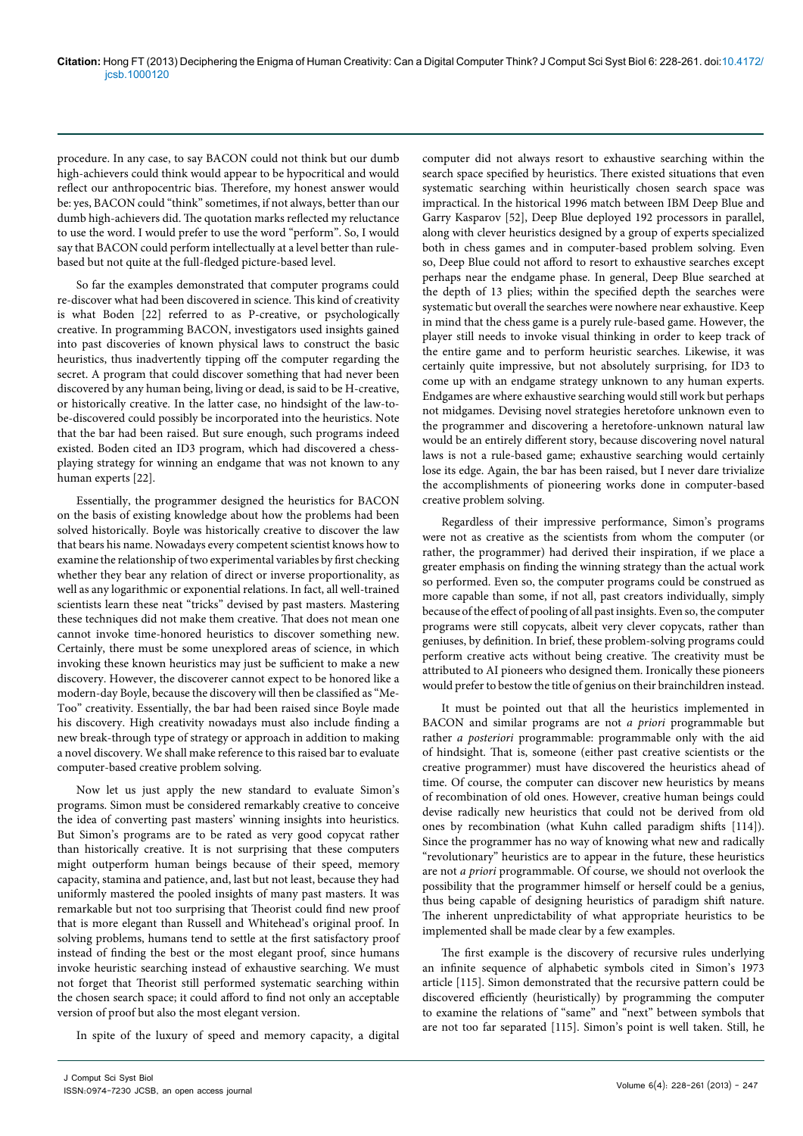procedure. In any case, to say BACON could not think but our dumb high-achievers could think would appear to be hypocritical and would reflect our anthropocentric bias. Therefore, my honest answer would be: yes, BACON could "think" sometimes, if not always, better than our dumb high-achievers did. The quotation marks reflected my reluctance to use the word. I would prefer to use the word "perform". So, I would say that BACON could perform intellectually at a level better than rulebased but not quite at the full-fledged picture-based level.

So far the examples demonstrated that computer programs could re-discover what had been discovered in science. This kind of creativity is what Boden [22] referred to as P-creative, or psychologically creative. In programming BACON, investigators used insights gained into past discoveries of known physical laws to construct the basic heuristics, thus inadvertently tipping off the computer regarding the secret. A program that could discover something that had never been discovered by any human being, living or dead, is said to be H-creative, or historically creative. In the latter case, no hindsight of the law-tobe-discovered could possibly be incorporated into the heuristics. Note that the bar had been raised. But sure enough, such programs indeed existed. Boden cited an ID3 program, which had discovered a chessplaying strategy for winning an endgame that was not known to any human experts [22].

Essentially, the programmer designed the heuristics for BACON on the basis of existing knowledge about how the problems had been solved historically. Boyle was historically creative to discover the law that bears his name. Nowadays every competent scientist knows how to examine the relationship of two experimental variables by first checking whether they bear any relation of direct or inverse proportionality, as well as any logarithmic or exponential relations. In fact, all well-trained scientists learn these neat "tricks" devised by past masters. Mastering these techniques did not make them creative. That does not mean one cannot invoke time-honored heuristics to discover something new. Certainly, there must be some unexplored areas of science, in which invoking these known heuristics may just be sufficient to make a new discovery. However, the discoverer cannot expect to be honored like a modern-day Boyle, because the discovery will then be classified as "Me-Too" creativity. Essentially, the bar had been raised since Boyle made his discovery. High creativity nowadays must also include finding a new break-through type of strategy or approach in addition to making a novel discovery. We shall make reference to this raised bar to evaluate computer-based creative problem solving.

Now let us just apply the new standard to evaluate Simon's programs. Simon must be considered remarkably creative to conceive the idea of converting past masters' winning insights into heuristics. But Simon's programs are to be rated as very good copycat rather than historically creative. It is not surprising that these computers might outperform human beings because of their speed, memory capacity, stamina and patience, and, last but not least, because they had uniformly mastered the pooled insights of many past masters. It was remarkable but not too surprising that Theorist could find new proof that is more elegant than Russell and Whitehead's original proof. In solving problems, humans tend to settle at the first satisfactory proof instead of finding the best or the most elegant proof, since humans invoke heuristic searching instead of exhaustive searching. We must not forget that Theorist still performed systematic searching within the chosen search space; it could afford to find not only an acceptable version of proof but also the most elegant version.

In spite of the luxury of speed and memory capacity, a digital

computer did not always resort to exhaustive searching within the search space specified by heuristics. There existed situations that even systematic searching within heuristically chosen search space was impractical. In the historical 1996 match between IBM Deep Blue and Garry Kasparov [52], Deep Blue deployed 192 processors in parallel, along with clever heuristics designed by a group of experts specialized both in chess games and in computer-based problem solving. Even so, Deep Blue could not afford to resort to exhaustive searches except perhaps near the endgame phase. In general, Deep Blue searched at the depth of 13 plies; within the specified depth the searches were systematic but overall the searches were nowhere near exhaustive. Keep in mind that the chess game is a purely rule-based game. However, the player still needs to invoke visual thinking in order to keep track of the entire game and to perform heuristic searches. Likewise, it was certainly quite impressive, but not absolutely surprising, for ID3 to come up with an endgame strategy unknown to any human experts. Endgames are where exhaustive searching would still work but perhaps not midgames. Devising novel strategies heretofore unknown even to the programmer and discovering a heretofore-unknown natural law would be an entirely different story, because discovering novel natural laws is not a rule-based game; exhaustive searching would certainly lose its edge. Again, the bar has been raised, but I never dare trivialize the accomplishments of pioneering works done in computer-based creative problem solving.

Regardless of their impressive performance, Simon's programs were not as creative as the scientists from whom the computer (or rather, the programmer) had derived their inspiration, if we place a greater emphasis on finding the winning strategy than the actual work so performed. Even so, the computer programs could be construed as more capable than some, if not all, past creators individually, simply because of the effect of pooling of all past insights. Even so, the computer programs were still copycats, albeit very clever copycats, rather than geniuses, by definition. In brief, these problem-solving programs could perform creative acts without being creative. The creativity must be attributed to AI pioneers who designed them. Ironically these pioneers would prefer to bestow the title of genius on their brainchildren instead.

It must be pointed out that all the heuristics implemented in BACON and similar programs are not *a priori* programmable but rather *a posteriori* programmable: programmable only with the aid of hindsight. That is, someone (either past creative scientists or the creative programmer) must have discovered the heuristics ahead of time. Of course, the computer can discover new heuristics by means of recombination of old ones. However, creative human beings could devise radically new heuristics that could not be derived from old ones by recombination (what Kuhn called paradigm shifts [114]). Since the programmer has no way of knowing what new and radically "revolutionary" heuristics are to appear in the future, these heuristics are not *a priori* programmable. Of course, we should not overlook the possibility that the programmer himself or herself could be a genius, thus being capable of designing heuristics of paradigm shift nature. The inherent unpredictability of what appropriate heuristics to be implemented shall be made clear by a few examples.

The first example is the discovery of recursive rules underlying an infinite sequence of alphabetic symbols cited in Simon's 1973 article [115]. Simon demonstrated that the recursive pattern could be discovered efficiently (heuristically) by programming the computer to examine the relations of "same" and "next" between symbols that are not too far separated [115]. Simon's point is well taken. Still, he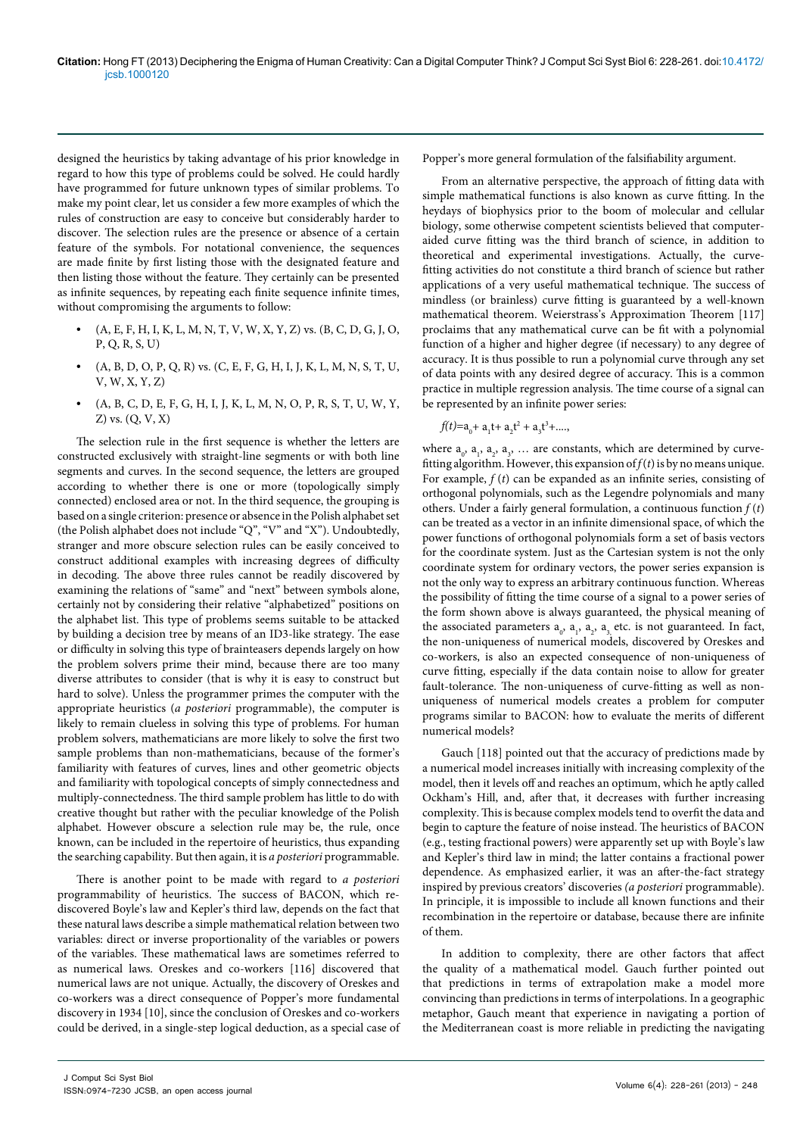designed the heuristics by taking advantage of his prior knowledge in regard to how this type of problems could be solved. He could hardly have programmed for future unknown types of similar problems. To make my point clear, let us consider a few more examples of which the rules of construction are easy to conceive but considerably harder to discover. The selection rules are the presence or absence of a certain feature of the symbols. For notational convenience, the sequences are made finite by first listing those with the designated feature and then listing those without the feature. They certainly can be presented as infinite sequences, by repeating each finite sequence infinite times, without compromising the arguments to follow:

- **•** (A, E, F, H, I, K, L, M, N, T, V, W, X, Y, Z) vs. (B, C, D, G, J, O, P, Q, R, S, U)
- **•** (A, B, D, O, P, Q, R) vs. (C, E, F, G, H, I, J, K, L, M, N, S, T, U, V, W, X, Y, Z)
- **•** (A, B, C, D, E, F, G, H, I, J, K, L, M, N, O, P, R, S, T, U, W, Y, Z) vs. (Q, V, X)

The selection rule in the first sequence is whether the letters are constructed exclusively with straight-line segments or with both line segments and curves. In the second sequence, the letters are grouped according to whether there is one or more (topologically simply connected) enclosed area or not. In the third sequence, the grouping is based on a single criterion: presence or absence in the Polish alphabet set (the Polish alphabet does not include "Q", "V" and "X"). Undoubtedly, stranger and more obscure selection rules can be easily conceived to construct additional examples with increasing degrees of difficulty in decoding. The above three rules cannot be readily discovered by examining the relations of "same" and "next" between symbols alone, certainly not by considering their relative "alphabetized" positions on the alphabet list. This type of problems seems suitable to be attacked by building a decision tree by means of an ID3-like strategy. The ease or difficulty in solving this type of brainteasers depends largely on how the problem solvers prime their mind, because there are too many diverse attributes to consider (that is why it is easy to construct but hard to solve). Unless the programmer primes the computer with the appropriate heuristics (*a posteriori* programmable), the computer is likely to remain clueless in solving this type of problems. For human problem solvers, mathematicians are more likely to solve the first two sample problems than non-mathematicians, because of the former's familiarity with features of curves, lines and other geometric objects and familiarity with topological concepts of simply connectedness and multiply-connectedness. The third sample problem has little to do with creative thought but rather with the peculiar knowledge of the Polish alphabet. However obscure a selection rule may be, the rule, once known, can be included in the repertoire of heuristics, thus expanding the searching capability. But then again, it is *a posteriori* programmable.

There is another point to be made with regard to *a posteriori* programmability of heuristics. The success of BACON, which rediscovered Boyle's law and Kepler's third law, depends on the fact that these natural laws describe a simple mathematical relation between two variables: direct or inverse proportionality of the variables or powers of the variables. These mathematical laws are sometimes referred to as numerical laws. Oreskes and co-workers [116] discovered that numerical laws are not unique. Actually, the discovery of Oreskes and co-workers was a direct consequence of Popper's more fundamental discovery in 1934 [10], since the conclusion of Oreskes and co-workers could be derived, in a single-step logical deduction, as a special case of Popper's more general formulation of the falsifiability argument.

From an alternative perspective, the approach of fitting data with simple mathematical functions is also known as curve fitting. In the heydays of biophysics prior to the boom of molecular and cellular biology, some otherwise competent scientists believed that computeraided curve fitting was the third branch of science, in addition to theoretical and experimental investigations. Actually, the curvefitting activities do not constitute a third branch of science but rather applications of a very useful mathematical technique. The success of mindless (or brainless) curve fitting is guaranteed by a well-known mathematical theorem. Weierstrass's Approximation Theorem [117] proclaims that any mathematical curve can be fit with a polynomial function of a higher and higher degree (if necessary) to any degree of accuracy. It is thus possible to run a polynomial curve through any set of data points with any desired degree of accuracy. This is a common practice in multiple regression analysis. The time course of a signal can be represented by an infinite power series:

$$
f(t)=a_0+a_1t+a_2t^2+a_3t^3+...,
$$

where  $a_0$ ,  $a_1$ ,  $a_2$ ,  $a_3$ , ... are constants, which are determined by curvefitting algorithm. However, this expansion of  $f(t)$  is by no means unique. For example, *f* (*t*) can be expanded as an infinite series, consisting of orthogonal polynomials, such as the Legendre polynomials and many others. Under a fairly general formulation, a continuous function  $f(t)$ can be treated as a vector in an infinite dimensional space, of which the power functions of orthogonal polynomials form a set of basis vectors for the coordinate system. Just as the Cartesian system is not the only coordinate system for ordinary vectors, the power series expansion is not the only way to express an arbitrary continuous function. Whereas the possibility of fitting the time course of a signal to a power series of the form shown above is always guaranteed, the physical meaning of the associated parameters  $a_0$ ,  $a_1$ ,  $a_2$ ,  $a_3$ , etc. is not guaranteed. In fact, the non-uniqueness of numerical models, discovered by Oreskes and co-workers, is also an expected consequence of non-uniqueness of curve fitting, especially if the data contain noise to allow for greater fault-tolerance. The non-uniqueness of curve-fitting as well as nonuniqueness of numerical models creates a problem for computer programs similar to BACON: how to evaluate the merits of different numerical models?

Gauch [118] pointed out that the accuracy of predictions made by a numerical model increases initially with increasing complexity of the model, then it levels off and reaches an optimum, which he aptly called Ockham's Hill, and, after that, it decreases with further increasing complexity. This is because complex models tend to overfit the data and begin to capture the feature of noise instead. The heuristics of BACON (e.g., testing fractional powers) were apparently set up with Boyle's law and Kepler's third law in mind; the latter contains a fractional power dependence. As emphasized earlier, it was an after-the-fact strategy inspired by previous creators' discoveries *(a posteriori* programmable). In principle, it is impossible to include all known functions and their recombination in the repertoire or database, because there are infinite of them.

In addition to complexity, there are other factors that affect the quality of a mathematical model. Gauch further pointed out that predictions in terms of extrapolation make a model more convincing than predictions in terms of interpolations. In a geographic metaphor, Gauch meant that experience in navigating a portion of the Mediterranean coast is more reliable in predicting the navigating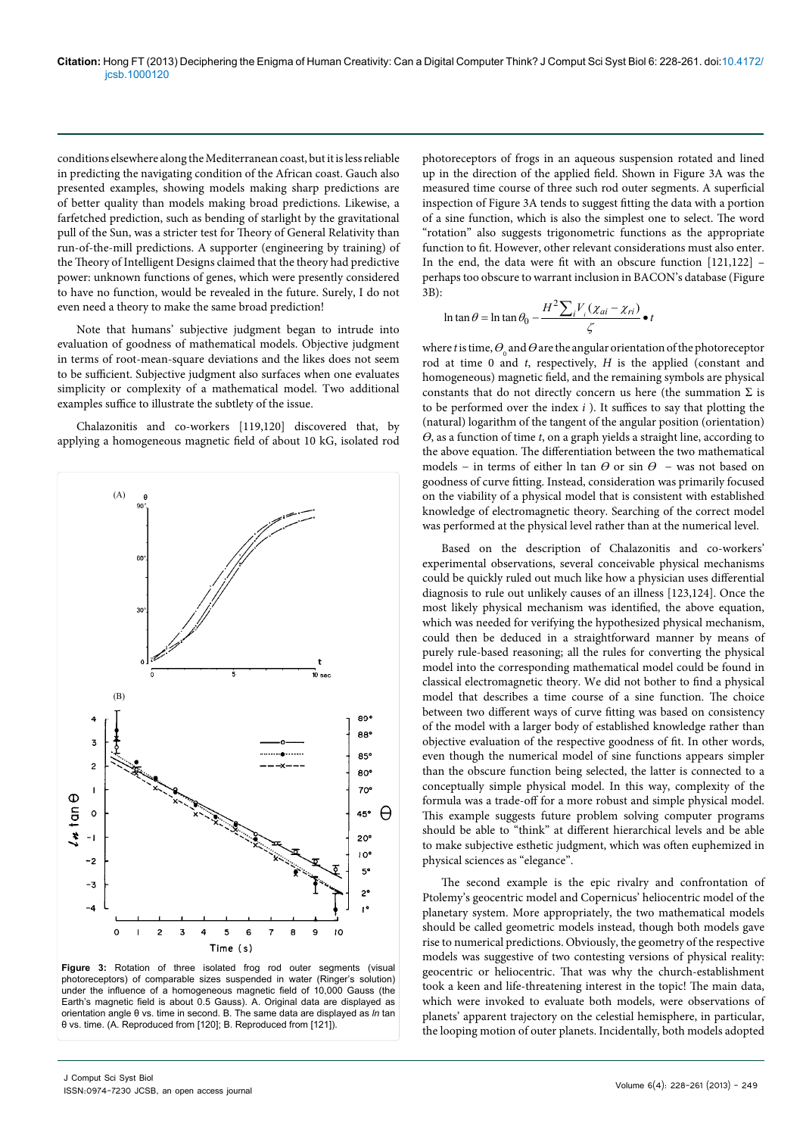conditions elsewhere along the Mediterranean coast, but it is less reliable in predicting the navigating condition of the African coast. Gauch also presented examples, showing models making sharp predictions are of better quality than models making broad predictions. Likewise, a farfetched prediction, such as bending of starlight by the gravitational pull of the Sun, was a stricter test for Theory of General Relativity than run-of-the-mill predictions. A supporter (engineering by training) of the Theory of Intelligent Designs claimed that the theory had predictive power: unknown functions of genes, which were presently considered to have no function, would be revealed in the future. Surely, I do not even need a theory to make the same broad prediction!

Note that humans' subjective judgment began to intrude into evaluation of goodness of mathematical models. Objective judgment in terms of root-mean-square deviations and the likes does not seem to be sufficient. Subjective judgment also surfaces when one evaluates simplicity or complexity of a mathematical model. Two additional examples suffice to illustrate the subtlety of the issue.

Chalazonitis and co-workers [119,120] discovered that, by applying a homogeneous magnetic field of about 10 kG, isolated rod



**Figure 3:** Rotation of three isolated frog rod outer segments (visual photoreceptors) of comparable sizes suspended in water (Ringer's solution) under the influence of a homogeneous magnetic field of 10,000 Gauss (the Earth's magnetic field is about 0.5 Gauss). A. Original data are displayed as orientation angle θ vs. time in second. B. The same data are displayed as *ln* tan θ vs. time. (A. Reproduced from [120]; B. Reproduced from [121]).

photoreceptors of frogs in an aqueous suspension rotated and lined up in the direction of the applied field. Shown in Figure 3A was the measured time course of three such rod outer segments. A superficial inspection of Figure 3A tends to suggest fitting the data with a portion of a sine function, which is also the simplest one to select. The word "rotation" also suggests trigonometric functions as the appropriate function to fit. However, other relevant considerations must also enter. In the end, the data were fit with an obscure function [121,122] – perhaps too obscure to warrant inclusion in BACON's database (Figure 3B):

$$
\ln \tan \theta = \ln \tan \theta_0 - \frac{H^2 \sum_i V_i (x_{ai} - x_{ri})}{\zeta} \bullet t
$$

where *t* is time,  $\theta$ <sub>0</sub> and  $\theta$  are the angular orientation of the photoreceptor rod at time 0 and *t*, respectively, *H* is the applied (constant and homogeneous) magnetic field, and the remaining symbols are physical constants that do not directly concern us here (the summation  $\Sigma$  is to be performed over the index *i* ). It suffices to say that plotting the (natural) logarithm of the tangent of the angular position (orientation) *ϴ*, as a function of time *t*, on a graph yields a straight line, according to the above equation. The differentiation between the two mathematical models – in terms of either ln tan  $\theta$  or sin  $\theta$  – was not based on goodness of curve fitting. Instead, consideration was primarily focused on the viability of a physical model that is consistent with established knowledge of electromagnetic theory. Searching of the correct model was performed at the physical level rather than at the numerical level.

Based on the description of Chalazonitis and co-workers' experimental observations, several conceivable physical mechanisms could be quickly ruled out much like how a physician uses differential diagnosis to rule out unlikely causes of an illness [123,124]. Once the most likely physical mechanism was identified, the above equation, which was needed for verifying the hypothesized physical mechanism, could then be deduced in a straightforward manner by means of purely rule-based reasoning; all the rules for converting the physical model into the corresponding mathematical model could be found in classical electromagnetic theory. We did not bother to find a physical model that describes a time course of a sine function. The choice between two different ways of curve fitting was based on consistency of the model with a larger body of established knowledge rather than objective evaluation of the respective goodness of fit. In other words, even though the numerical model of sine functions appears simpler than the obscure function being selected, the latter is connected to a conceptually simple physical model. In this way, complexity of the formula was a trade-off for a more robust and simple physical model. This example suggests future problem solving computer programs should be able to "think" at different hierarchical levels and be able to make subjective esthetic judgment, which was often euphemized in physical sciences as "elegance".

The second example is the epic rivalry and confrontation of Ptolemy's geocentric model and Copernicus' heliocentric model of the planetary system. More appropriately, the two mathematical models should be called geometric models instead, though both models gave rise to numerical predictions. Obviously, the geometry of the respective models was suggestive of two contesting versions of physical reality: geocentric or heliocentric. That was why the church-establishment took a keen and life-threatening interest in the topic! The main data, which were invoked to evaluate both models, were observations of planets' apparent trajectory on the celestial hemisphere, in particular, the looping motion of outer planets. Incidentally, both models adopted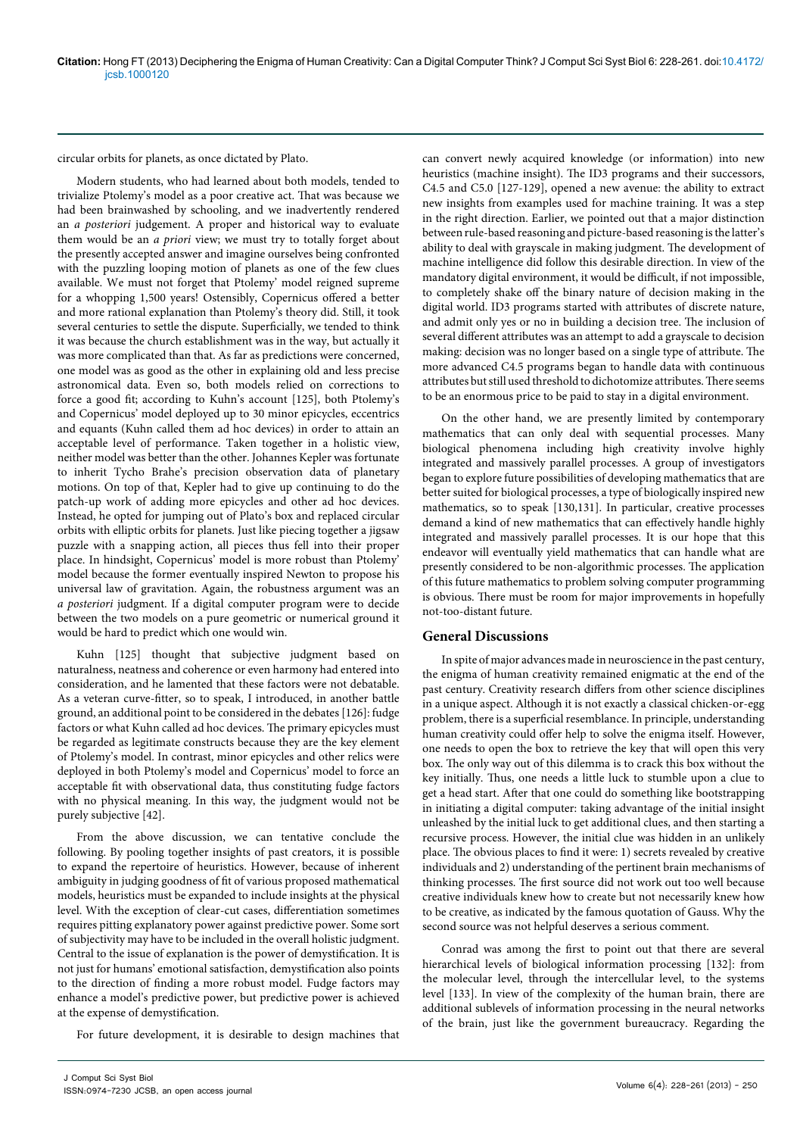circular orbits for planets, as once dictated by Plato.

Modern students, who had learned about both models, tended to trivialize Ptolemy's model as a poor creative act. That was because we had been brainwashed by schooling, and we inadvertently rendered an *a posteriori* judgement. A proper and historical way to evaluate them would be an *a priori* view; we must try to totally forget about the presently accepted answer and imagine ourselves being confronted with the puzzling looping motion of planets as one of the few clues available. We must not forget that Ptolemy' model reigned supreme for a whopping 1,500 years! Ostensibly, Copernicus offered a better and more rational explanation than Ptolemy's theory did. Still, it took several centuries to settle the dispute. Superficially, we tended to think it was because the church establishment was in the way, but actually it was more complicated than that. As far as predictions were concerned, one model was as good as the other in explaining old and less precise astronomical data. Even so, both models relied on corrections to force a good fit; according to Kuhn's account [125], both Ptolemy's and Copernicus' model deployed up to 30 minor epicycles, eccentrics and equants (Kuhn called them ad hoc devices) in order to attain an acceptable level of performance. Taken together in a holistic view, neither model was better than the other. Johannes Kepler was fortunate to inherit Tycho Brahe's precision observation data of planetary motions. On top of that, Kepler had to give up continuing to do the patch-up work of adding more epicycles and other ad hoc devices. Instead, he opted for jumping out of Plato's box and replaced circular orbits with elliptic orbits for planets. Just like piecing together a jigsaw puzzle with a snapping action, all pieces thus fell into their proper place. In hindsight, Copernicus' model is more robust than Ptolemy' model because the former eventually inspired Newton to propose his universal law of gravitation. Again, the robustness argument was an *a posteriori* judgment. If a digital computer program were to decide between the two models on a pure geometric or numerical ground it would be hard to predict which one would win.

Kuhn [125] thought that subjective judgment based on naturalness, neatness and coherence or even harmony had entered into consideration, and he lamented that these factors were not debatable. As a veteran curve-fitter, so to speak, I introduced, in another battle ground, an additional point to be considered in the debates [126]: fudge factors or what Kuhn called ad hoc devices. The primary epicycles must be regarded as legitimate constructs because they are the key element of Ptolemy's model. In contrast, minor epicycles and other relics were deployed in both Ptolemy's model and Copernicus' model to force an acceptable fit with observational data, thus constituting fudge factors with no physical meaning. In this way, the judgment would not be purely subjective [42].

From the above discussion, we can tentative conclude the following. By pooling together insights of past creators, it is possible to expand the repertoire of heuristics. However, because of inherent ambiguity in judging goodness of fit of various proposed mathematical models, heuristics must be expanded to include insights at the physical level. With the exception of clear-cut cases, differentiation sometimes requires pitting explanatory power against predictive power. Some sort of subjectivity may have to be included in the overall holistic judgment. Central to the issue of explanation is the power of demystification. It is not just for humans' emotional satisfaction, demystification also points to the direction of finding a more robust model. Fudge factors may enhance a model's predictive power, but predictive power is achieved at the expense of demystification.

For future development, it is desirable to design machines that

can convert newly acquired knowledge (or information) into new heuristics (machine insight). The ID3 programs and their successors, C4.5 and C5.0 [127-129], opened a new avenue: the ability to extract new insights from examples used for machine training. It was a step in the right direction. Earlier, we pointed out that a major distinction between rule-based reasoning and picture-based reasoning is the latter's ability to deal with grayscale in making judgment. The development of machine intelligence did follow this desirable direction. In view of the mandatory digital environment, it would be difficult, if not impossible, to completely shake off the binary nature of decision making in the digital world. ID3 programs started with attributes of discrete nature, and admit only yes or no in building a decision tree. The inclusion of several different attributes was an attempt to add a grayscale to decision making: decision was no longer based on a single type of attribute. The more advanced C4.5 programs began to handle data with continuous attributes but still used threshold to dichotomize attributes. There seems to be an enormous price to be paid to stay in a digital environment.

On the other hand, we are presently limited by contemporary mathematics that can only deal with sequential processes. Many biological phenomena including high creativity involve highly integrated and massively parallel processes. A group of investigators began to explore future possibilities of developing mathematics that are better suited for biological processes, a type of biologically inspired new mathematics, so to speak [130,131]. In particular, creative processes demand a kind of new mathematics that can effectively handle highly integrated and massively parallel processes. It is our hope that this endeavor will eventually yield mathematics that can handle what are presently considered to be non-algorithmic processes. The application of this future mathematics to problem solving computer programming is obvious. There must be room for major improvements in hopefully not-too-distant future.

#### **General Discussions**

In spite of major advances made in neuroscience in the past century, the enigma of human creativity remained enigmatic at the end of the past century. Creativity research differs from other science disciplines in a unique aspect. Although it is not exactly a classical chicken-or-egg problem, there is a superficial resemblance. In principle, understanding human creativity could offer help to solve the enigma itself. However, one needs to open the box to retrieve the key that will open this very box. The only way out of this dilemma is to crack this box without the key initially. Thus, one needs a little luck to stumble upon a clue to get a head start. After that one could do something like bootstrapping in initiating a digital computer: taking advantage of the initial insight unleashed by the initial luck to get additional clues, and then starting a recursive process. However, the initial clue was hidden in an unlikely place. The obvious places to find it were: 1) secrets revealed by creative individuals and 2) understanding of the pertinent brain mechanisms of thinking processes. The first source did not work out too well because creative individuals knew how to create but not necessarily knew how to be creative, as indicated by the famous quotation of Gauss. Why the second source was not helpful deserves a serious comment.

Conrad was among the first to point out that there are several hierarchical levels of biological information processing [132]: from the molecular level, through the intercellular level, to the systems level [133]. In view of the complexity of the human brain, there are additional sublevels of information processing in the neural networks of the brain, just like the government bureaucracy. Regarding the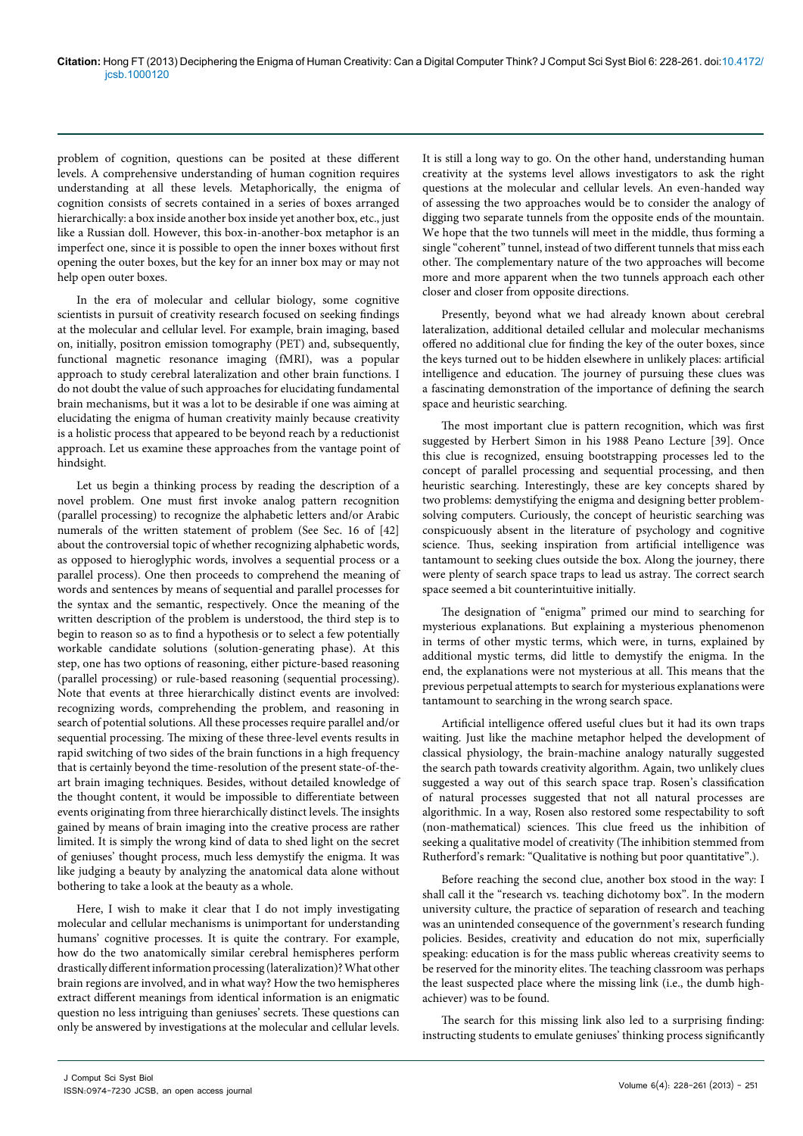problem of cognition, questions can be posited at these different levels. A comprehensive understanding of human cognition requires understanding at all these levels. Metaphorically, the enigma of cognition consists of secrets contained in a series of boxes arranged hierarchically: a box inside another box inside yet another box, etc., just like a Russian doll. However, this box-in-another-box metaphor is an imperfect one, since it is possible to open the inner boxes without first opening the outer boxes, but the key for an inner box may or may not help open outer boxes.

In the era of molecular and cellular biology, some cognitive scientists in pursuit of creativity research focused on seeking findings at the molecular and cellular level. For example, brain imaging, based on, initially, positron emission tomography (PET) and, subsequently, functional magnetic resonance imaging (fMRI), was a popular approach to study cerebral lateralization and other brain functions. I do not doubt the value of such approaches for elucidating fundamental brain mechanisms, but it was a lot to be desirable if one was aiming at elucidating the enigma of human creativity mainly because creativity is a holistic process that appeared to be beyond reach by a reductionist approach. Let us examine these approaches from the vantage point of hindsight.

Let us begin a thinking process by reading the description of a novel problem. One must first invoke analog pattern recognition (parallel processing) to recognize the alphabetic letters and/or Arabic numerals of the written statement of problem (See Sec. 16 of [42] about the controversial topic of whether recognizing alphabetic words, as opposed to hieroglyphic words, involves a sequential process or a parallel process). One then proceeds to comprehend the meaning of words and sentences by means of sequential and parallel processes for the syntax and the semantic, respectively. Once the meaning of the written description of the problem is understood, the third step is to begin to reason so as to find a hypothesis or to select a few potentially workable candidate solutions (solution-generating phase). At this step, one has two options of reasoning, either picture-based reasoning (parallel processing) or rule-based reasoning (sequential processing). Note that events at three hierarchically distinct events are involved: recognizing words, comprehending the problem, and reasoning in search of potential solutions. All these processes require parallel and/or sequential processing. The mixing of these three-level events results in rapid switching of two sides of the brain functions in a high frequency that is certainly beyond the time-resolution of the present state-of-theart brain imaging techniques. Besides, without detailed knowledge of the thought content, it would be impossible to differentiate between events originating from three hierarchically distinct levels. The insights gained by means of brain imaging into the creative process are rather limited. It is simply the wrong kind of data to shed light on the secret of geniuses' thought process, much less demystify the enigma. It was like judging a beauty by analyzing the anatomical data alone without bothering to take a look at the beauty as a whole.

Here, I wish to make it clear that I do not imply investigating molecular and cellular mechanisms is unimportant for understanding humans' cognitive processes. It is quite the contrary. For example, how do the two anatomically similar cerebral hemispheres perform drastically different information processing (lateralization)? What other brain regions are involved, and in what way? How the two hemispheres extract different meanings from identical information is an enigmatic question no less intriguing than geniuses' secrets. These questions can only be answered by investigations at the molecular and cellular levels.

It is still a long way to go. On the other hand, understanding human creativity at the systems level allows investigators to ask the right questions at the molecular and cellular levels. An even-handed way of assessing the two approaches would be to consider the analogy of digging two separate tunnels from the opposite ends of the mountain. We hope that the two tunnels will meet in the middle, thus forming a single "coherent" tunnel, instead of two different tunnels that miss each other. The complementary nature of the two approaches will become more and more apparent when the two tunnels approach each other closer and closer from opposite directions.

Presently, beyond what we had already known about cerebral lateralization, additional detailed cellular and molecular mechanisms offered no additional clue for finding the key of the outer boxes, since the keys turned out to be hidden elsewhere in unlikely places: artificial intelligence and education. The journey of pursuing these clues was a fascinating demonstration of the importance of defining the search space and heuristic searching.

The most important clue is pattern recognition, which was first suggested by Herbert Simon in his 1988 Peano Lecture [39]. Once this clue is recognized, ensuing bootstrapping processes led to the concept of parallel processing and sequential processing, and then heuristic searching. Interestingly, these are key concepts shared by two problems: demystifying the enigma and designing better problemsolving computers. Curiously, the concept of heuristic searching was conspicuously absent in the literature of psychology and cognitive science. Thus, seeking inspiration from artificial intelligence was tantamount to seeking clues outside the box. Along the journey, there were plenty of search space traps to lead us astray. The correct search space seemed a bit counterintuitive initially.

The designation of "enigma" primed our mind to searching for mysterious explanations. But explaining a mysterious phenomenon in terms of other mystic terms, which were, in turns, explained by additional mystic terms, did little to demystify the enigma. In the end, the explanations were not mysterious at all. This means that the previous perpetual attempts to search for mysterious explanations were tantamount to searching in the wrong search space.

Artificial intelligence offered useful clues but it had its own traps waiting. Just like the machine metaphor helped the development of classical physiology, the brain-machine analogy naturally suggested the search path towards creativity algorithm. Again, two unlikely clues suggested a way out of this search space trap. Rosen's classification of natural processes suggested that not all natural processes are algorithmic. In a way, Rosen also restored some respectability to soft (non-mathematical) sciences. This clue freed us the inhibition of seeking a qualitative model of creativity (The inhibition stemmed from Rutherford's remark: "Qualitative is nothing but poor quantitative".).

Before reaching the second clue, another box stood in the way: I shall call it the "research vs. teaching dichotomy box". In the modern university culture, the practice of separation of research and teaching was an unintended consequence of the government's research funding policies. Besides, creativity and education do not mix, superficially speaking: education is for the mass public whereas creativity seems to be reserved for the minority elites. The teaching classroom was perhaps the least suspected place where the missing link (i.e., the dumb highachiever) was to be found.

The search for this missing link also led to a surprising finding: instructing students to emulate geniuses' thinking process significantly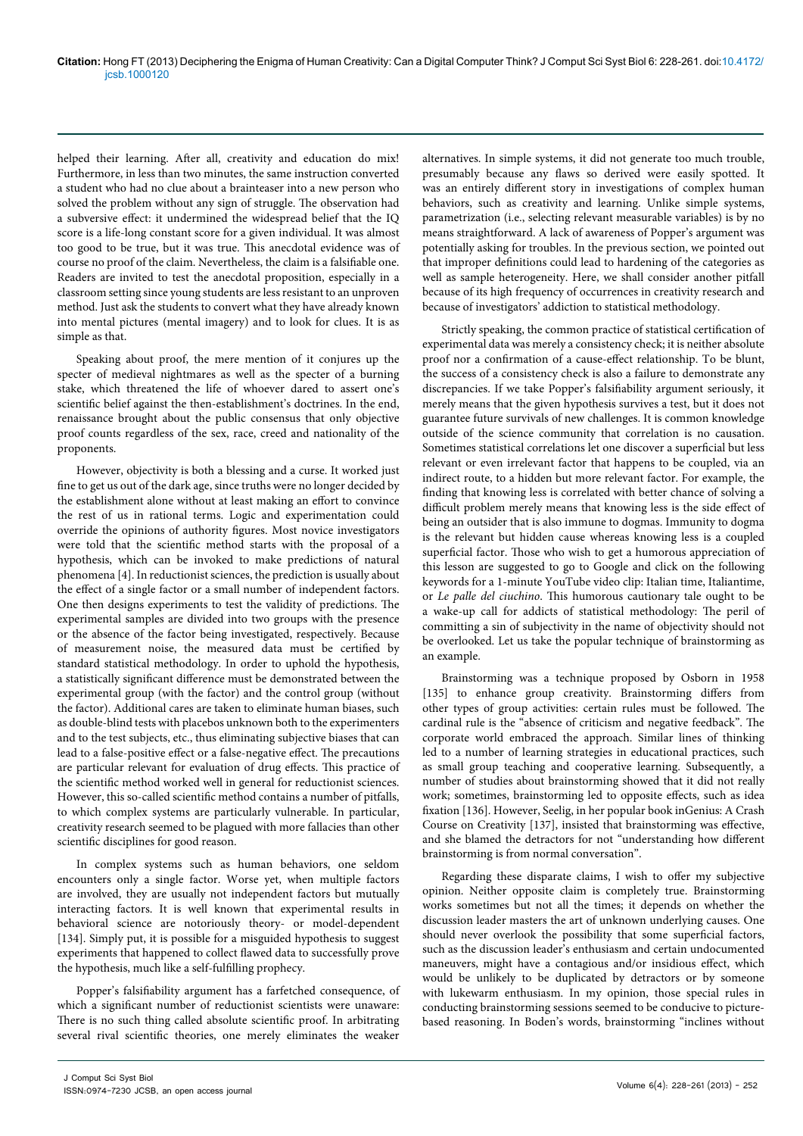helped their learning. After all, creativity and education do mix! Furthermore, in less than two minutes, the same instruction converted a student who had no clue about a brainteaser into a new person who solved the problem without any sign of struggle. The observation had a subversive effect: it undermined the widespread belief that the IQ score is a life-long constant score for a given individual. It was almost too good to be true, but it was true. This anecdotal evidence was of course no proof of the claim. Nevertheless, the claim is a falsifiable one. Readers are invited to test the anecdotal proposition, especially in a classroom setting since young students are less resistant to an unproven method. Just ask the students to convert what they have already known into mental pictures (mental imagery) and to look for clues. It is as simple as that.

Speaking about proof, the mere mention of it conjures up the specter of medieval nightmares as well as the specter of a burning stake, which threatened the life of whoever dared to assert one's scientific belief against the then-establishment's doctrines. In the end, renaissance brought about the public consensus that only objective proof counts regardless of the sex, race, creed and nationality of the proponents.

However, objectivity is both a blessing and a curse. It worked just fine to get us out of the dark age, since truths were no longer decided by the establishment alone without at least making an effort to convince the rest of us in rational terms. Logic and experimentation could override the opinions of authority figures. Most novice investigators were told that the scientific method starts with the proposal of a hypothesis, which can be invoked to make predictions of natural phenomena [4]. In reductionist sciences, the prediction is usually about the effect of a single factor or a small number of independent factors. One then designs experiments to test the validity of predictions. The experimental samples are divided into two groups with the presence or the absence of the factor being investigated, respectively. Because of measurement noise, the measured data must be certified by standard statistical methodology. In order to uphold the hypothesis, a statistically significant difference must be demonstrated between the experimental group (with the factor) and the control group (without the factor). Additional cares are taken to eliminate human biases, such as double-blind tests with placebos unknown both to the experimenters and to the test subjects, etc., thus eliminating subjective biases that can lead to a false-positive effect or a false-negative effect. The precautions are particular relevant for evaluation of drug effects. This practice of the scientific method worked well in general for reductionist sciences. However, this so-called scientific method contains a number of pitfalls, to which complex systems are particularly vulnerable. In particular, creativity research seemed to be plagued with more fallacies than other scientific disciplines for good reason.

In complex systems such as human behaviors, one seldom encounters only a single factor. Worse yet, when multiple factors are involved, they are usually not independent factors but mutually interacting factors. It is well known that experimental results in behavioral science are notoriously theory- or model-dependent [134]. Simply put, it is possible for a misguided hypothesis to suggest experiments that happened to collect flawed data to successfully prove the hypothesis, much like a self-fulfilling prophecy.

Popper's falsifiability argument has a farfetched consequence, of which a significant number of reductionist scientists were unaware: There is no such thing called absolute scientific proof. In arbitrating several rival scientific theories, one merely eliminates the weaker

alternatives. In simple systems, it did not generate too much trouble, presumably because any flaws so derived were easily spotted. It was an entirely different story in investigations of complex human behaviors, such as creativity and learning. Unlike simple systems, parametrization (i.e., selecting relevant measurable variables) is by no means straightforward. A lack of awareness of Popper's argument was potentially asking for troubles. In the previous section, we pointed out that improper definitions could lead to hardening of the categories as well as sample heterogeneity. Here, we shall consider another pitfall because of its high frequency of occurrences in creativity research and because of investigators' addiction to statistical methodology.

Strictly speaking, the common practice of statistical certification of experimental data was merely a consistency check; it is neither absolute proof nor a confirmation of a cause-effect relationship. To be blunt, the success of a consistency check is also a failure to demonstrate any discrepancies. If we take Popper's falsifiability argument seriously, it merely means that the given hypothesis survives a test, but it does not guarantee future survivals of new challenges. It is common knowledge outside of the science community that correlation is no causation. Sometimes statistical correlations let one discover a superficial but less relevant or even irrelevant factor that happens to be coupled, via an indirect route, to a hidden but more relevant factor. For example, the finding that knowing less is correlated with better chance of solving a difficult problem merely means that knowing less is the side effect of being an outsider that is also immune to dogmas. Immunity to dogma is the relevant but hidden cause whereas knowing less is a coupled superficial factor. Those who wish to get a humorous appreciation of this lesson are suggested to go to Google and click on the following keywords for a 1-minute YouTube video clip: Italian time, Italiantime, or *Le palle del ciuchino*. This humorous cautionary tale ought to be a wake-up call for addicts of statistical methodology: The peril of committing a sin of subjectivity in the name of objectivity should not be overlooked. Let us take the popular technique of brainstorming as an example.

Brainstorming was a technique proposed by Osborn in 1958 [135] to enhance group creativity. Brainstorming differs from other types of group activities: certain rules must be followed. The cardinal rule is the "absence of criticism and negative feedback". The corporate world embraced the approach. Similar lines of thinking led to a number of learning strategies in educational practices, such as small group teaching and cooperative learning. Subsequently, a number of studies about brainstorming showed that it did not really work; sometimes, brainstorming led to opposite effects, such as idea fixation [136]. However, Seelig, in her popular book inGenius: A Crash Course on Creativity [137], insisted that brainstorming was effective, and she blamed the detractors for not "understanding how different brainstorming is from normal conversation".

Regarding these disparate claims, I wish to offer my subjective opinion. Neither opposite claim is completely true. Brainstorming works sometimes but not all the times; it depends on whether the discussion leader masters the art of unknown underlying causes. One should never overlook the possibility that some superficial factors, such as the discussion leader's enthusiasm and certain undocumented maneuvers, might have a contagious and/or insidious effect, which would be unlikely to be duplicated by detractors or by someone with lukewarm enthusiasm. In my opinion, those special rules in conducting brainstorming sessions seemed to be conducive to picturebased reasoning. In Boden's words, brainstorming "inclines without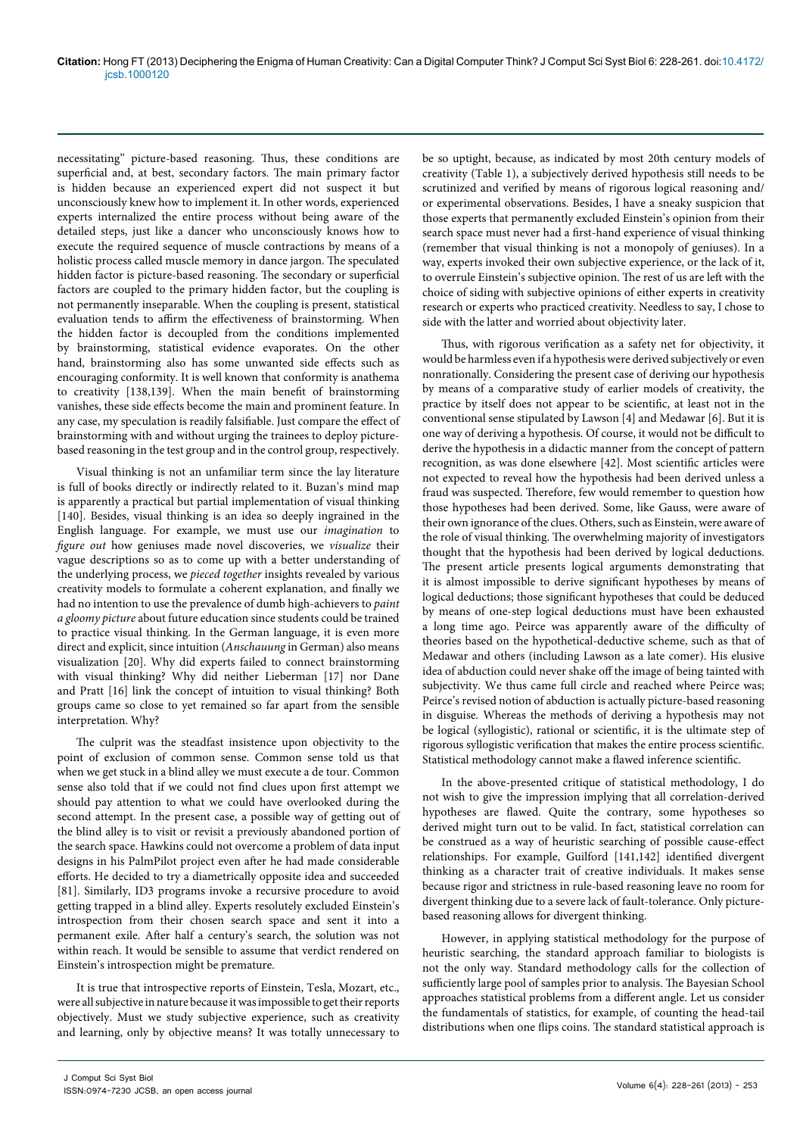necessitating" picture-based reasoning. Thus, these conditions are superficial and, at best, secondary factors. The main primary factor is hidden because an experienced expert did not suspect it but unconsciously knew how to implement it. In other words, experienced experts internalized the entire process without being aware of the detailed steps, just like a dancer who unconsciously knows how to execute the required sequence of muscle contractions by means of a holistic process called muscle memory in dance jargon. The speculated hidden factor is picture-based reasoning. The secondary or superficial factors are coupled to the primary hidden factor, but the coupling is not permanently inseparable. When the coupling is present, statistical evaluation tends to affirm the effectiveness of brainstorming. When the hidden factor is decoupled from the conditions implemented by brainstorming, statistical evidence evaporates. On the other hand, brainstorming also has some unwanted side effects such as encouraging conformity. It is well known that conformity is anathema to creativity [138,139]. When the main benefit of brainstorming vanishes, these side effects become the main and prominent feature. In any case, my speculation is readily falsifiable. Just compare the effect of brainstorming with and without urging the trainees to deploy picturebased reasoning in the test group and in the control group, respectively.

Visual thinking is not an unfamiliar term since the lay literature is full of books directly or indirectly related to it. Buzan's mind map is apparently a practical but partial implementation of visual thinking [140]. Besides, visual thinking is an idea so deeply ingrained in the English language. For example, we must use our *imagination* to *figure out* how geniuses made novel discoveries, we *visualize* their vague descriptions so as to come up with a better understanding of the underlying process, we *pieced together* insights revealed by various creativity models to formulate a coherent explanation, and finally we had no intention to use the prevalence of dumb high-achievers to *paint a gloomy picture* about future education since students could be trained to practice visual thinking. In the German language, it is even more direct and explicit, since intuition (*Anschauung* in German) also means visualization [20]. Why did experts failed to connect brainstorming with visual thinking? Why did neither Lieberman [17] nor Dane and Pratt [16] link the concept of intuition to visual thinking? Both groups came so close to yet remained so far apart from the sensible interpretation. Why?

The culprit was the steadfast insistence upon objectivity to the point of exclusion of common sense. Common sense told us that when we get stuck in a blind alley we must execute a de tour. Common sense also told that if we could not find clues upon first attempt we should pay attention to what we could have overlooked during the second attempt. In the present case, a possible way of getting out of the blind alley is to visit or revisit a previously abandoned portion of the search space. Hawkins could not overcome a problem of data input designs in his PalmPilot project even after he had made considerable efforts. He decided to try a diametrically opposite idea and succeeded [81]. Similarly, ID3 programs invoke a recursive procedure to avoid getting trapped in a blind alley. Experts resolutely excluded Einstein's introspection from their chosen search space and sent it into a permanent exile. After half a century's search, the solution was not within reach. It would be sensible to assume that verdict rendered on Einstein's introspection might be premature.

It is true that introspective reports of Einstein, Tesla, Mozart, etc., were all subjective in nature because it was impossible to get their reports objectively. Must we study subjective experience, such as creativity and learning, only by objective means? It was totally unnecessary to be so uptight, because, as indicated by most 20th century models of creativity (Table 1), a subjectively derived hypothesis still needs to be scrutinized and verified by means of rigorous logical reasoning and/ or experimental observations. Besides, I have a sneaky suspicion that those experts that permanently excluded Einstein's opinion from their search space must never had a first-hand experience of visual thinking (remember that visual thinking is not a monopoly of geniuses). In a way, experts invoked their own subjective experience, or the lack of it, to overrule Einstein's subjective opinion. The rest of us are left with the choice of siding with subjective opinions of either experts in creativity research or experts who practiced creativity. Needless to say, I chose to side with the latter and worried about objectivity later.

Thus, with rigorous verification as a safety net for objectivity, it would be harmless even if a hypothesis were derived subjectively or even nonrationally. Considering the present case of deriving our hypothesis by means of a comparative study of earlier models of creativity, the practice by itself does not appear to be scientific, at least not in the conventional sense stipulated by Lawson [4] and Medawar [6]. But it is one way of deriving a hypothesis. Of course, it would not be difficult to derive the hypothesis in a didactic manner from the concept of pattern recognition, as was done elsewhere [42]. Most scientific articles were not expected to reveal how the hypothesis had been derived unless a fraud was suspected. Therefore, few would remember to question how those hypotheses had been derived. Some, like Gauss, were aware of their own ignorance of the clues. Others, such as Einstein, were aware of the role of visual thinking. The overwhelming majority of investigators thought that the hypothesis had been derived by logical deductions. The present article presents logical arguments demonstrating that it is almost impossible to derive significant hypotheses by means of logical deductions; those significant hypotheses that could be deduced by means of one-step logical deductions must have been exhausted a long time ago. Peirce was apparently aware of the difficulty of theories based on the hypothetical-deductive scheme, such as that of Medawar and others (including Lawson as a late comer). His elusive idea of abduction could never shake off the image of being tainted with subjectivity. We thus came full circle and reached where Peirce was; Peirce's revised notion of abduction is actually picture-based reasoning in disguise. Whereas the methods of deriving a hypothesis may not be logical (syllogistic), rational or scientific, it is the ultimate step of rigorous syllogistic verification that makes the entire process scientific. Statistical methodology cannot make a flawed inference scientific.

In the above-presented critique of statistical methodology, I do not wish to give the impression implying that all correlation-derived hypotheses are flawed. Quite the contrary, some hypotheses so derived might turn out to be valid. In fact, statistical correlation can be construed as a way of heuristic searching of possible cause-effect relationships. For example, Guilford [141,142] identified divergent thinking as a character trait of creative individuals. It makes sense because rigor and strictness in rule-based reasoning leave no room for divergent thinking due to a severe lack of fault-tolerance. Only picturebased reasoning allows for divergent thinking.

However, in applying statistical methodology for the purpose of heuristic searching, the standard approach familiar to biologists is not the only way. Standard methodology calls for the collection of sufficiently large pool of samples prior to analysis. The Bayesian School approaches statistical problems from a different angle. Let us consider the fundamentals of statistics, for example, of counting the head-tail distributions when one flips coins. The standard statistical approach is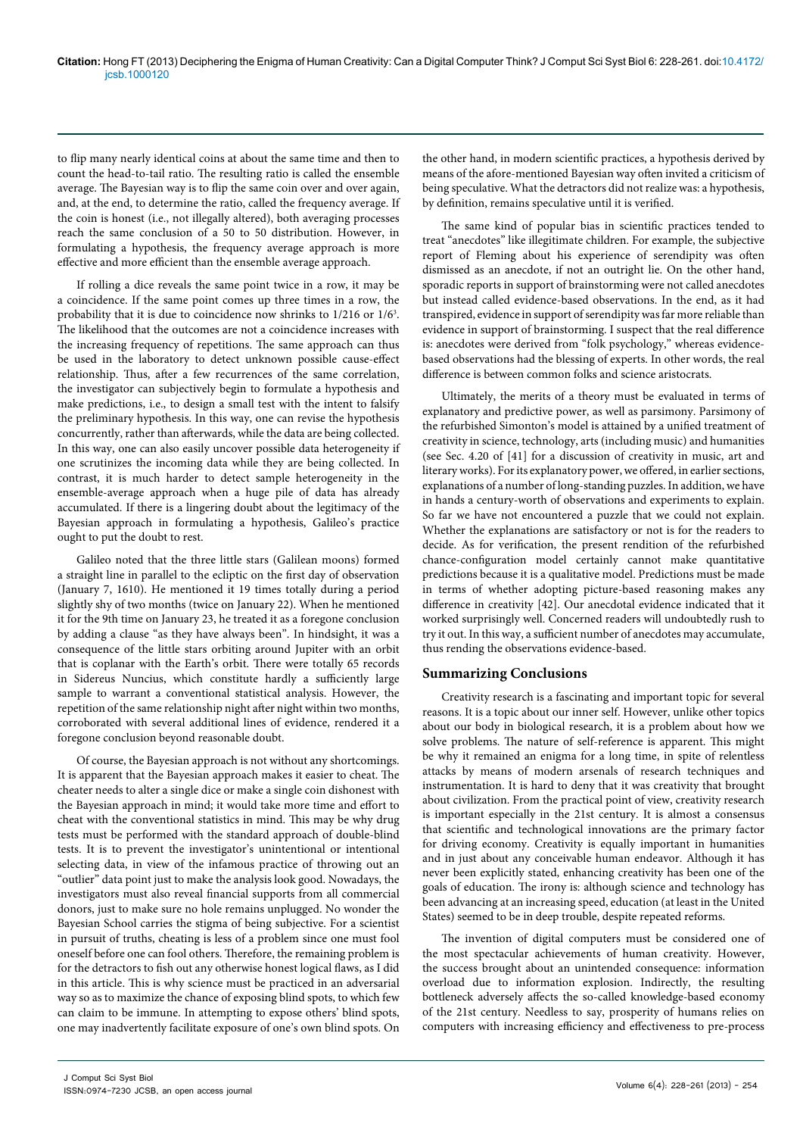to flip many nearly identical coins at about the same time and then to count the head-to-tail ratio. The resulting ratio is called the ensemble average. The Bayesian way is to flip the same coin over and over again, and, at the end, to determine the ratio, called the frequency average. If the coin is honest (i.e., not illegally altered), both averaging processes reach the same conclusion of a 50 to 50 distribution. However, in formulating a hypothesis, the frequency average approach is more effective and more efficient than the ensemble average approach.

If rolling a dice reveals the same point twice in a row, it may be a coincidence. If the same point comes up three times in a row, the probability that it is due to coincidence now shrinks to 1/216 or 1/6<sup>3</sup>. The likelihood that the outcomes are not a coincidence increases with the increasing frequency of repetitions. The same approach can thus be used in the laboratory to detect unknown possible cause-effect relationship. Thus, after a few recurrences of the same correlation, the investigator can subjectively begin to formulate a hypothesis and make predictions, i.e., to design a small test with the intent to falsify the preliminary hypothesis. In this way, one can revise the hypothesis concurrently, rather than afterwards, while the data are being collected. In this way, one can also easily uncover possible data heterogeneity if one scrutinizes the incoming data while they are being collected. In contrast, it is much harder to detect sample heterogeneity in the ensemble-average approach when a huge pile of data has already accumulated. If there is a lingering doubt about the legitimacy of the Bayesian approach in formulating a hypothesis, Galileo's practice ought to put the doubt to rest.

Galileo noted that the three little stars (Galilean moons) formed a straight line in parallel to the ecliptic on the first day of observation (January 7, 1610). He mentioned it 19 times totally during a period slightly shy of two months (twice on January 22). When he mentioned it for the 9th time on January 23, he treated it as a foregone conclusion by adding a clause "as they have always been". In hindsight, it was a consequence of the little stars orbiting around Jupiter with an orbit that is coplanar with the Earth's orbit. There were totally 65 records in Sidereus Nuncius, which constitute hardly a sufficiently large sample to warrant a conventional statistical analysis. However, the repetition of the same relationship night after night within two months, corroborated with several additional lines of evidence, rendered it a foregone conclusion beyond reasonable doubt.

Of course, the Bayesian approach is not without any shortcomings. It is apparent that the Bayesian approach makes it easier to cheat. The cheater needs to alter a single dice or make a single coin dishonest with the Bayesian approach in mind; it would take more time and effort to cheat with the conventional statistics in mind. This may be why drug tests must be performed with the standard approach of double-blind tests. It is to prevent the investigator's unintentional or intentional selecting data, in view of the infamous practice of throwing out an "outlier" data point just to make the analysis look good. Nowadays, the investigators must also reveal financial supports from all commercial donors, just to make sure no hole remains unplugged. No wonder the Bayesian School carries the stigma of being subjective. For a scientist in pursuit of truths, cheating is less of a problem since one must fool oneself before one can fool others. Therefore, the remaining problem is for the detractors to fish out any otherwise honest logical flaws, as I did in this article. This is why science must be practiced in an adversarial way so as to maximize the chance of exposing blind spots, to which few can claim to be immune. In attempting to expose others' blind spots, one may inadvertently facilitate exposure of one's own blind spots. On

the other hand, in modern scientific practices, a hypothesis derived by means of the afore-mentioned Bayesian way often invited a criticism of being speculative. What the detractors did not realize was: a hypothesis, by definition, remains speculative until it is verified.

The same kind of popular bias in scientific practices tended to treat "anecdotes" like illegitimate children. For example, the subjective report of Fleming about his experience of serendipity was often dismissed as an anecdote, if not an outright lie. On the other hand, sporadic reports in support of brainstorming were not called anecdotes but instead called evidence-based observations. In the end, as it had transpired, evidence in support of serendipity was far more reliable than evidence in support of brainstorming. I suspect that the real difference is: anecdotes were derived from "folk psychology," whereas evidencebased observations had the blessing of experts. In other words, the real difference is between common folks and science aristocrats.

Ultimately, the merits of a theory must be evaluated in terms of explanatory and predictive power, as well as parsimony. Parsimony of the refurbished Simonton's model is attained by a unified treatment of creativity in science, technology, arts (including music) and humanities (see Sec. 4.20 of [41] for a discussion of creativity in music, art and literary works). For its explanatory power, we offered, in earlier sections, explanations of a number of long-standing puzzles. In addition, we have in hands a century-worth of observations and experiments to explain. So far we have not encountered a puzzle that we could not explain. Whether the explanations are satisfactory or not is for the readers to decide. As for verification, the present rendition of the refurbished chance-configuration model certainly cannot make quantitative predictions because it is a qualitative model. Predictions must be made in terms of whether adopting picture-based reasoning makes any difference in creativity [42]. Our anecdotal evidence indicated that it worked surprisingly well. Concerned readers will undoubtedly rush to try it out. In this way, a sufficient number of anecdotes may accumulate, thus rending the observations evidence-based.

#### **Summarizing Conclusions**

Creativity research is a fascinating and important topic for several reasons. It is a topic about our inner self. However, unlike other topics about our body in biological research, it is a problem about how we solve problems. The nature of self-reference is apparent. This might be why it remained an enigma for a long time, in spite of relentless attacks by means of modern arsenals of research techniques and instrumentation. It is hard to deny that it was creativity that brought about civilization. From the practical point of view, creativity research is important especially in the 21st century. It is almost a consensus that scientific and technological innovations are the primary factor for driving economy. Creativity is equally important in humanities and in just about any conceivable human endeavor. Although it has never been explicitly stated, enhancing creativity has been one of the goals of education. The irony is: although science and technology has been advancing at an increasing speed, education (at least in the United States) seemed to be in deep trouble, despite repeated reforms.

The invention of digital computers must be considered one of the most spectacular achievements of human creativity. However, the success brought about an unintended consequence: information overload due to information explosion. Indirectly, the resulting bottleneck adversely affects the so-called knowledge-based economy of the 21st century. Needless to say, prosperity of humans relies on computers with increasing efficiency and effectiveness to pre-process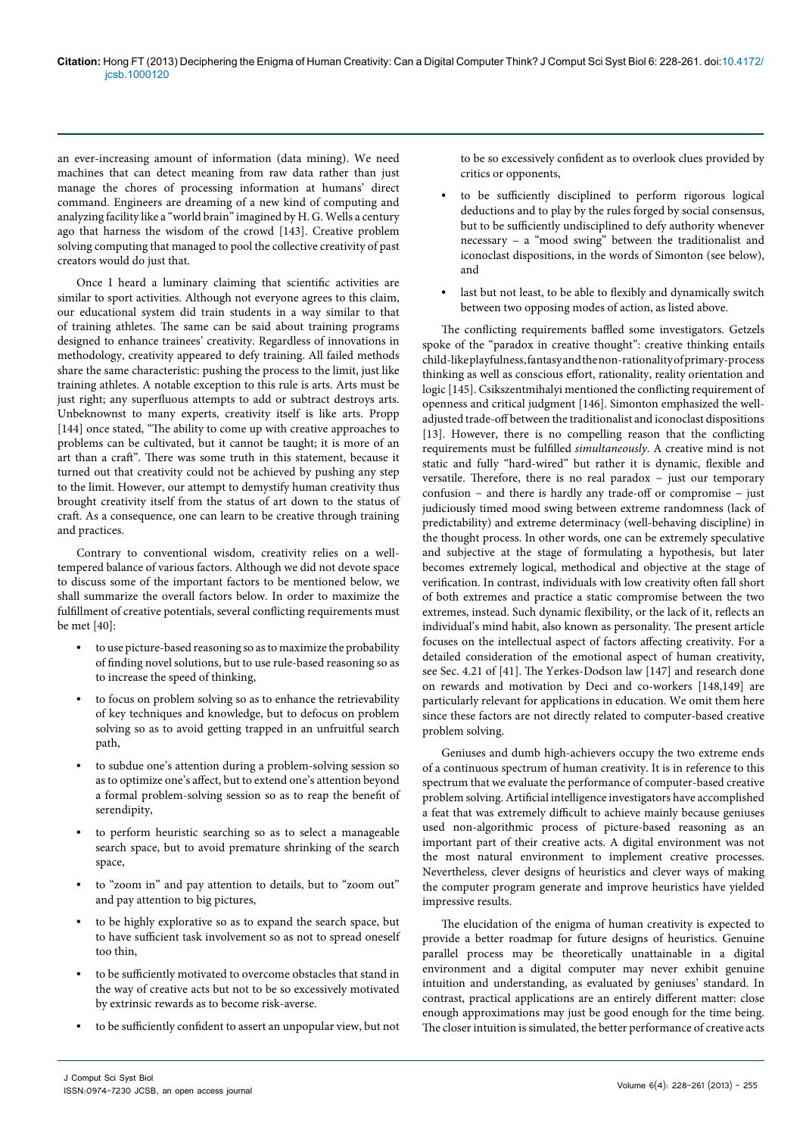an ever-increasing amount of information (data mining). We need machines that can detect meaning from raw data rather than just manage the chores of processing information at humans' direct command. Engineers are dreaming of a new kind of computing and analyzing facility like a "world brain" imagined by H. G. Wells a century ago that harness the wisdom of the crowd [143]. Creative problem solving computing that managed to pool the collective creativity of past creators would do just that.

Once I heard a luminary claiming that scientific activities are similar to sport activities. Although not everyone agrees to this claim, our educational system did train students in a way similar to that of training athletes. The same can be said about training programs designed to enhance trainees' creativity. Regardless of innovations in methodology, creativity appeared to defy training. All failed methods share the same characteristic: pushing the process to the limit, just like training athletes. A notable exception to this rule is arts. Arts must be just right; any superfluous attempts to add or subtract destroys arts. Unbeknownst to many experts, creativity itself is like arts. Propp [144] once stated, "The ability to come up with creative approaches to problems can be cultivated, but it cannot be taught; it is more of an art than a craft". There was some truth in this statement, because it turned out that creativity could not be achieved by pushing any step to the limit. However, our attempt to demystify human creativity thus brought creativity itself from the status of art down to the status of craft. As a consequence, one can learn to be creative through training and practices.

Contrary to conventional wisdom, creativity relies on a welltempered balance of various factors. Although we did not devote space to discuss some of the important factors to be mentioned below, we shall summarize the overall factors below. In order to maximize the fulfillment of creative potentials, several conflicting requirements must be met [40]:

- **•** to use picture-based reasoning so as to maximize the probability of finding novel solutions, but to use rule-based reasoning so as to increase the speed of thinking,
- **•** to focus on problem solving so as to enhance the retrievability of key techniques and knowledge, but to defocus on problem solving so as to avoid getting trapped in an unfruitful search path,
- **•** to subdue one's attention during a problem-solving session so as to optimize one's affect, but to extend one's attention beyond a formal problem-solving session so as to reap the benefit of serendipity,
- **•** to perform heuristic searching so as to select a manageable search space, but to avoid premature shrinking of the search space,
- **•** to "zoom in" and pay attention to details, but to "zoom out" and pay attention to big pictures,
- **•** to be highly explorative so as to expand the search space, but to have sufficient task involvement so as not to spread oneself too thin,
- **•** to be sufficiently motivated to overcome obstacles that stand in the way of creative acts but not to be so excessively motivated by extrinsic rewards as to become risk-averse.
- **•** to be sufficiently confident to assert an unpopular view, but not

to be so excessively confident as to overlook clues provided by critics or opponents,

- **•** to be sufficiently disciplined to perform rigorous logical deductions and to play by the rules forged by social consensus, but to be sufficiently undisciplined to defy authority whenever necessary – a "mood swing" between the traditionalist and iconoclast dispositions, in the words of Simonton (see below), and
- **•** last but not least, to be able to flexibly and dynamically switch between two opposing modes of action, as listed above.

The conflicting requirements baffled some investigators. Getzels spoke of the "paradox in creative thought": creative thinking entails child-like playfulness, fantasy and the non-rationality of primary-process thinking as well as conscious effort, rationality, reality orientation and logic [145]. Csikszentmihalyi mentioned the conflicting requirement of openness and critical judgment [146]. Simonton emphasized the welladjusted trade-off between the traditionalist and iconoclast dispositions [13]. However, there is no compelling reason that the conflicting requirements must be fulfilled *simultaneously*. A creative mind is not static and fully "hard-wired" but rather it is dynamic, flexible and versatile. Therefore, there is no real paradox − just our temporary confusion − and there is hardly any trade-off or compromise − just judiciously timed mood swing between extreme randomness (lack of predictability) and extreme determinacy (well-behaving discipline) in the thought process. In other words, one can be extremely speculative and subjective at the stage of formulating a hypothesis, but later becomes extremely logical, methodical and objective at the stage of verification. In contrast, individuals with low creativity often fall short of both extremes and practice a static compromise between the two extremes, instead. Such dynamic flexibility, or the lack of it, reflects an individual's mind habit, also known as personality. The present article focuses on the intellectual aspect of factors affecting creativity. For a detailed consideration of the emotional aspect of human creativity, see Sec. 4.21 of [41]. The Yerkes-Dodson law [147] and research done on rewards and motivation by Deci and co-workers [148,149] are particularly relevant for applications in education. We omit them here since these factors are not directly related to computer-based creative problem solving.

Geniuses and dumb high-achievers occupy the two extreme ends of a continuous spectrum of human creativity. It is in reference to this spectrum that we evaluate the performance of computer-based creative problem solving. Artificial intelligence investigators have accomplished a feat that was extremely difficult to achieve mainly because geniuses used non-algorithmic process of picture-based reasoning as an important part of their creative acts. A digital environment was not the most natural environment to implement creative processes. Nevertheless, clever designs of heuristics and clever ways of making the computer program generate and improve heuristics have yielded impressive results.

The elucidation of the enigma of human creativity is expected to provide a better roadmap for future designs of heuristics. Genuine parallel process may be theoretically unattainable in a digital environment and a digital computer may never exhibit genuine intuition and understanding, as evaluated by geniuses' standard. In contrast, practical applications are an entirely different matter: close enough approximations may just be good enough for the time being. The closer intuition is simulated, the better performance of creative acts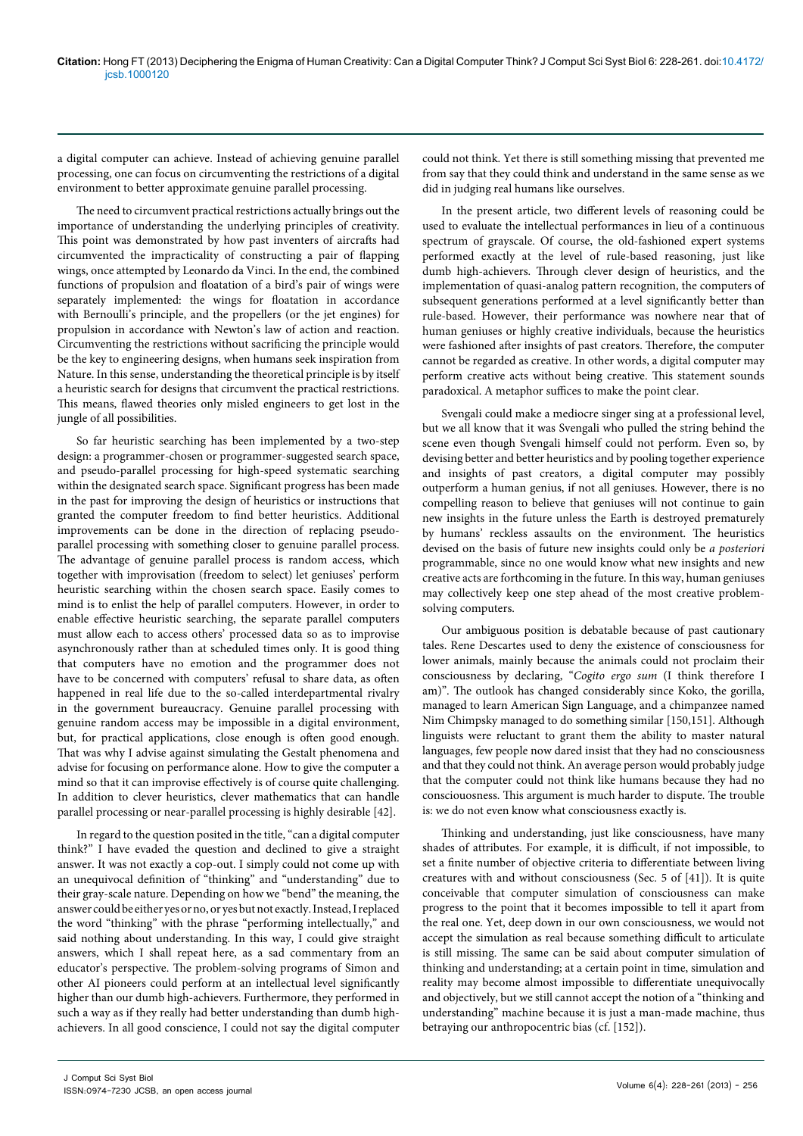a digital computer can achieve. Instead of achieving genuine parallel processing, one can focus on circumventing the restrictions of a digital environment to better approximate genuine parallel processing.

The need to circumvent practical restrictions actually brings out the importance of understanding the underlying principles of creativity. This point was demonstrated by how past inventers of aircrafts had circumvented the impracticality of constructing a pair of flapping wings, once attempted by Leonardo da Vinci. In the end, the combined functions of propulsion and floatation of a bird's pair of wings were separately implemented: the wings for floatation in accordance with Bernoulli's principle, and the propellers (or the jet engines) for propulsion in accordance with Newton's law of action and reaction. Circumventing the restrictions without sacrificing the principle would be the key to engineering designs, when humans seek inspiration from Nature. In this sense, understanding the theoretical principle is by itself a heuristic search for designs that circumvent the practical restrictions. This means, flawed theories only misled engineers to get lost in the jungle of all possibilities.

So far heuristic searching has been implemented by a two-step design: a programmer-chosen or programmer-suggested search space, and pseudo-parallel processing for high-speed systematic searching within the designated search space. Significant progress has been made in the past for improving the design of heuristics or instructions that granted the computer freedom to find better heuristics. Additional improvements can be done in the direction of replacing pseudoparallel processing with something closer to genuine parallel process. The advantage of genuine parallel process is random access, which together with improvisation (freedom to select) let geniuses' perform heuristic searching within the chosen search space. Easily comes to mind is to enlist the help of parallel computers. However, in order to enable effective heuristic searching, the separate parallel computers must allow each to access others' processed data so as to improvise asynchronously rather than at scheduled times only. It is good thing that computers have no emotion and the programmer does not have to be concerned with computers' refusal to share data, as often happened in real life due to the so-called interdepartmental rivalry in the government bureaucracy. Genuine parallel processing with genuine random access may be impossible in a digital environment, but, for practical applications, close enough is often good enough. That was why I advise against simulating the Gestalt phenomena and advise for focusing on performance alone. How to give the computer a mind so that it can improvise effectively is of course quite challenging. In addition to clever heuristics, clever mathematics that can handle parallel processing or near-parallel processing is highly desirable [42].

In regard to the question posited in the title, "can a digital computer think?" I have evaded the question and declined to give a straight answer. It was not exactly a cop-out. I simply could not come up with an unequivocal definition of "thinking" and "understanding" due to their gray-scale nature. Depending on how we "bend" the meaning, the answer could be either yes or no, or yes but not exactly. Instead, I replaced the word "thinking" with the phrase "performing intellectually," and said nothing about understanding. In this way, I could give straight answers, which I shall repeat here, as a sad commentary from an educator's perspective. The problem-solving programs of Simon and other AI pioneers could perform at an intellectual level significantly higher than our dumb high-achievers. Furthermore, they performed in such a way as if they really had better understanding than dumb highachievers. In all good conscience, I could not say the digital computer

could not think. Yet there is still something missing that prevented me from say that they could think and understand in the same sense as we did in judging real humans like ourselves.

In the present article, two different levels of reasoning could be used to evaluate the intellectual performances in lieu of a continuous spectrum of grayscale. Of course, the old-fashioned expert systems performed exactly at the level of rule-based reasoning, just like dumb high-achievers. Through clever design of heuristics, and the implementation of quasi-analog pattern recognition, the computers of subsequent generations performed at a level significantly better than rule-based. However, their performance was nowhere near that of human geniuses or highly creative individuals, because the heuristics were fashioned after insights of past creators. Therefore, the computer cannot be regarded as creative. In other words, a digital computer may perform creative acts without being creative. This statement sounds paradoxical. A metaphor suffices to make the point clear.

Svengali could make a mediocre singer sing at a professional level, but we all know that it was Svengali who pulled the string behind the scene even though Svengali himself could not perform. Even so, by devising better and better heuristics and by pooling together experience and insights of past creators, a digital computer may possibly outperform a human genius, if not all geniuses. However, there is no compelling reason to believe that geniuses will not continue to gain new insights in the future unless the Earth is destroyed prematurely by humans' reckless assaults on the environment. The heuristics devised on the basis of future new insights could only be *a posteriori* programmable, since no one would know what new insights and new creative acts are forthcoming in the future. In this way, human geniuses may collectively keep one step ahead of the most creative problemsolving computers.

Our ambiguous position is debatable because of past cautionary tales. Rene Descartes used to deny the existence of consciousness for lower animals, mainly because the animals could not proclaim their consciousness by declaring, "*Cogito ergo sum* (I think therefore I am)". The outlook has changed considerably since Koko, the gorilla, managed to learn American Sign Language, and a chimpanzee named Nim Chimpsky managed to do something similar [150,151]. Although linguists were reluctant to grant them the ability to master natural languages, few people now dared insist that they had no consciousness and that they could not think. An average person would probably judge that the computer could not think like humans because they had no consciouosness. This argument is much harder to dispute. The trouble is: we do not even know what consciousness exactly is.

Thinking and understanding, just like consciousness, have many shades of attributes. For example, it is difficult, if not impossible, to set a finite number of objective criteria to differentiate between living creatures with and without consciousness (Sec. 5 of [41]). It is quite conceivable that computer simulation of consciousness can make progress to the point that it becomes impossible to tell it apart from the real one. Yet, deep down in our own consciousness, we would not accept the simulation as real because something difficult to articulate is still missing. The same can be said about computer simulation of thinking and understanding; at a certain point in time, simulation and reality may become almost impossible to differentiate unequivocally and objectively, but we still cannot accept the notion of a "thinking and understanding" machine because it is just a man-made machine, thus betraying our anthropocentric bias (cf. [152]).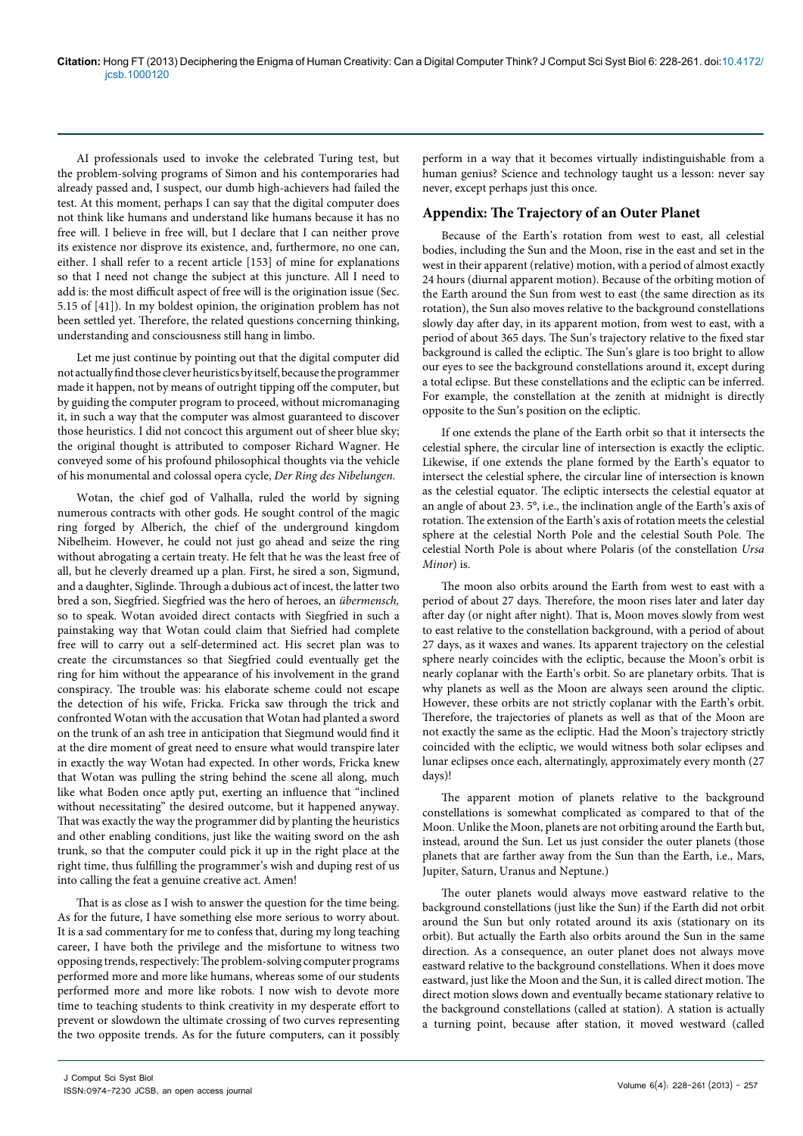AI professionals used to invoke the celebrated Turing test, but the problem-solving programs of Simon and his contemporaries had already passed and, I suspect, our dumb high-achievers had failed the test. At this moment, perhaps I can say that the digital computer does not think like humans and understand like humans because it has no free will. I believe in free will, but I declare that I can neither prove its existence nor disprove its existence, and, furthermore, no one can, either. I shall refer to a recent article [153] of mine for explanations so that I need not change the subject at this juncture. All I need to add is: the most difficult aspect of free will is the origination issue (Sec. 5.15 of [41]). In my boldest opinion, the origination problem has not been settled yet. Therefore, the related questions concerning thinking, understanding and consciousness still hang in limbo.

Let me just continue by pointing out that the digital computer did not actually find those clever heuristics by itself, because the programmer made it happen, not by means of outright tipping off the computer, but by guiding the computer program to proceed, without micromanaging it, in such a way that the computer was almost guaranteed to discover those heuristics. I did not concoct this argument out of sheer blue sky; the original thought is attributed to composer Richard Wagner. He conveyed some of his profound philosophical thoughts via the vehicle of his monumental and colossal opera cycle, *Der Ring des Nibelungen.*

Wotan, the chief god of Valhalla, ruled the world by signing numerous contracts with other gods. He sought control of the magic ring forged by Alberich, the chief of the underground kingdom Nibelheim. However, he could not just go ahead and seize the ring without abrogating a certain treaty. He felt that he was the least free of all, but he cleverly dreamed up a plan. First, he sired a son, Sigmund, and a daughter, Siglinde. Through a dubious act of incest, the latter two bred a son, Siegfried. Siegfried was the hero of heroes, an *übermensch,* so to speak. Wotan avoided direct contacts with Siegfried in such a painstaking way that Wotan could claim that Siefried had complete free will to carry out a self-determined act. His secret plan was to create the circumstances so that Siegfried could eventually get the ring for him without the appearance of his involvement in the grand conspiracy. The trouble was: his elaborate scheme could not escape the detection of his wife, Fricka. Fricka saw through the trick and confronted Wotan with the accusation that Wotan had planted a sword on the trunk of an ash tree in anticipation that Siegmund would find it at the dire moment of great need to ensure what would transpire later in exactly the way Wotan had expected. In other words, Fricka knew that Wotan was pulling the string behind the scene all along, much like what Boden once aptly put, exerting an influence that "inclined without necessitating" the desired outcome, but it happened anyway. That was exactly the way the programmer did by planting the heuristics and other enabling conditions, just like the waiting sword on the ash trunk, so that the computer could pick it up in the right place at the right time, thus fulfilling the programmer's wish and duping rest of us into calling the feat a genuine creative act. Amen!

That is as close as I wish to answer the question for the time being. As for the future, I have something else more serious to worry about. It is a sad commentary for me to confess that, during my long teaching career, I have both the privilege and the misfortune to witness two opposing trends, respectively: The problem-solving computer programs performed more and more like humans, whereas some of our students performed more and more like robots. I now wish to devote more time to teaching students to think creativity in my desperate effort to prevent or slowdown the ultimate crossing of two curves representing the two opposite trends. As for the future computers, can it possibly

perform in a way that it becomes virtually indistinguishable from a human genius? Science and technology taught us a lesson: never say never, except perhaps just this once.

#### **Appendix: The Trajectory of an Outer Planet**

Because of the Earth's rotation from west to east, all celestial bodies, including the Sun and the Moon, rise in the east and set in the west in their apparent (relative) motion, with a period of almost exactly 24 hours (diurnal apparent motion). Because of the orbiting motion of the Earth around the Sun from west to east (the same direction as its rotation), the Sun also moves relative to the background constellations slowly day after day, in its apparent motion, from west to east, with a period of about 365 days. The Sun's trajectory relative to the fixed star background is called the ecliptic. The Sun's glare is too bright to allow our eyes to see the background constellations around it, except during a total eclipse. But these constellations and the ecliptic can be inferred. For example, the constellation at the zenith at midnight is directly opposite to the Sun's position on the ecliptic.

If one extends the plane of the Earth orbit so that it intersects the celestial sphere, the circular line of intersection is exactly the ecliptic. Likewise, if one extends the plane formed by the Earth's equator to intersect the celestial sphere, the circular line of intersection is known as the celestial equator. The ecliptic intersects the celestial equator at an angle of about 23. 5°, i.e., the inclination angle of the Earth's axis of rotation. The extension of the Earth's axis of rotation meets the celestial sphere at the celestial North Pole and the celestial South Pole. The celestial North Pole is about where Polaris (of the constellation *Ursa Minor*) is.

The moon also orbits around the Earth from west to east with a period of about 27 days. Therefore, the moon rises later and later day after day (or night after night). That is, Moon moves slowly from west to east relative to the constellation background, with a period of about 27 days, as it waxes and wanes. Its apparent trajectory on the celestial sphere nearly coincides with the ecliptic, because the Moon's orbit is nearly coplanar with the Earth's orbit. So are planetary orbits. That is why planets as well as the Moon are always seen around the cliptic. However, these orbits are not strictly coplanar with the Earth's orbit. Therefore, the trajectories of planets as well as that of the Moon are not exactly the same as the ecliptic. Had the Moon's trajectory strictly coincided with the ecliptic, we would witness both solar eclipses and lunar eclipses once each, alternatingly, approximately every month (27 days)!

The apparent motion of planets relative to the background constellations is somewhat complicated as compared to that of the Moon. Unlike the Moon, planets are not orbiting around the Earth but, instead, around the Sun. Let us just consider the outer planets (those planets that are farther away from the Sun than the Earth, i.e., Mars, Jupiter, Saturn, Uranus and Neptune.)

The outer planets would always move eastward relative to the background constellations (just like the Sun) if the Earth did not orbit around the Sun but only rotated around its axis (stationary on its orbit). But actually the Earth also orbits around the Sun in the same direction. As a consequence, an outer planet does not always move eastward relative to the background constellations. When it does move eastward, just like the Moon and the Sun, it is called direct motion. The direct motion slows down and eventually became stationary relative to the background constellations (called at station). A station is actually a turning point, because after station, it moved westward (called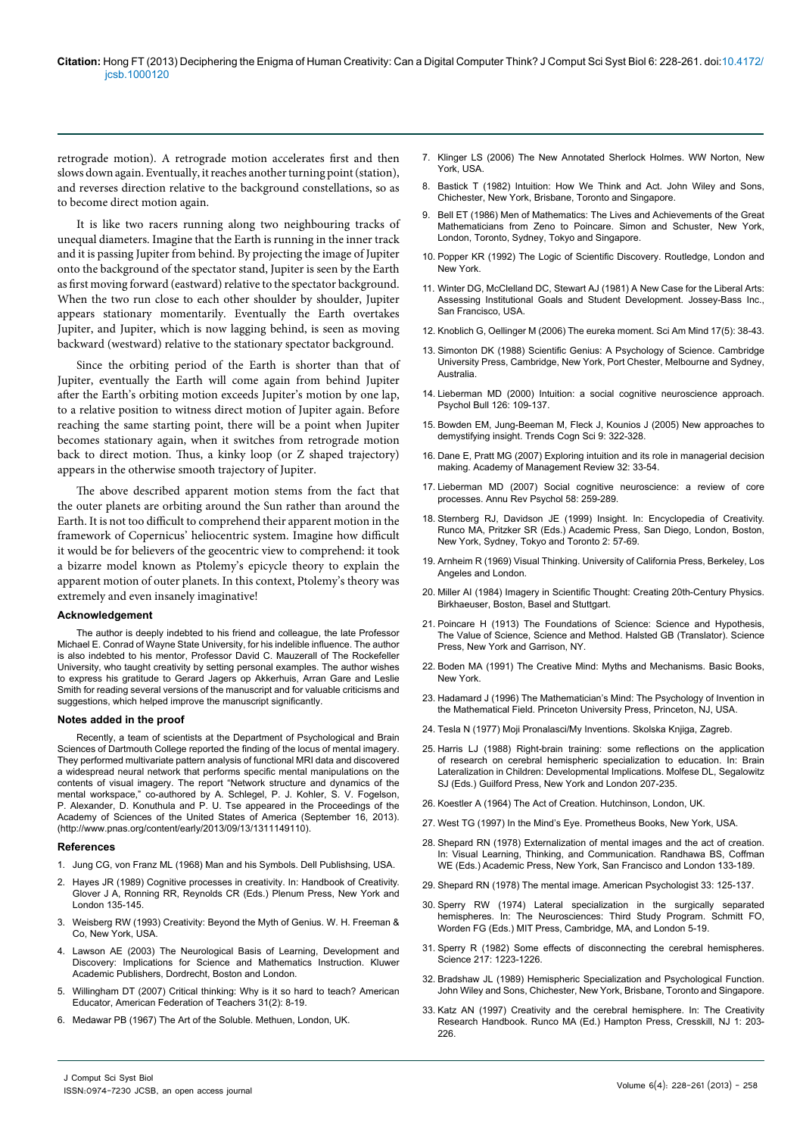retrograde motion). A retrograde motion accelerates first and then slows down again. Eventually, it reaches another turning point (station), and reverses direction relative to the background constellations, so as to become direct motion again.

It is like two racers running along two neighbouring tracks of unequal diameters. Imagine that the Earth is running in the inner track and it is passing Jupiter from behind. By projecting the image of Jupiter onto the background of the spectator stand, Jupiter is seen by the Earth as first moving forward (eastward) relative to the spectator background. When the two run close to each other shoulder by shoulder, Jupiter appears stationary momentarily. Eventually the Earth overtakes Jupiter, and Jupiter, which is now lagging behind, is seen as moving backward (westward) relative to the stationary spectator background.

Since the orbiting period of the Earth is shorter than that of Jupiter, eventually the Earth will come again from behind Jupiter after the Earth's orbiting motion exceeds Jupiter's motion by one lap, to a relative position to witness direct motion of Jupiter again. Before reaching the same starting point, there will be a point when Jupiter becomes stationary again, when it switches from retrograde motion back to direct motion. Thus, a kinky loop (or Z shaped trajectory) appears in the otherwise smooth trajectory of Jupiter.

The above described apparent motion stems from the fact that the outer planets are orbiting around the Sun rather than around the Earth. It is not too difficult to comprehend their apparent motion in the framework of Copernicus' heliocentric system. Imagine how difficult it would be for believers of the geocentric view to comprehend: it took a bizarre model known as Ptolemy's epicycle theory to explain the apparent motion of outer planets. In this context, Ptolemy's theory was extremely and even insanely imaginative!

#### **Acknowledgement**

The author is deeply indebted to his friend and colleague, the late Professor Michael E. Conrad of Wayne State University, for his indelible influence. The author is also indebted to his mentor, Professor David C. Mauzerall of The Rockefeller University, who taught creativity by setting personal examples. The author wishes to express his gratitude to Gerard Jagers op Akkerhuis, Arran Gare and Leslie Smith for reading several versions of the manuscript and for valuable criticisms and suggestions, which helped improve the manuscript significantly.

#### **Notes added in the proof**

Recently, a team of scientists at the Department of Psychological and Brain Sciences of Dartmouth College reported the finding of the locus of mental imagery. They performed multivariate pattern analysis of functional MRI data and discovered a widespread neural network that performs specific mental manipulations on the contents of visual imagery. The report "Network structure and dynamics of the mental workspace," co-authored by A. Schlegel, P. J. Kohler, S. V. Fogelson, P. Alexander, D. Konuthula and P. U. Tse appeared in the Proceedings of the Academy of Sciences of the United States of America (September 16, 2013). ([http://www.pnas.org/content/early/2013/09/13/1311149110\)](http://www.pnas.org/content/early/2013/09/13/1311149110).

#### **References**

- 1. [Jung CG, von Franz ML \(1968\) Man and his Symbols. Dell Publishsing, USA.](http://www.nazi.org.uk/philosophy pdfs/JungManAndHisSymbols.pdf)
- 2. [Hayes JR \(1989\) Cognitive processes in creativity. In: Handbook of Creativity.](http://link.springer.com/chapter/10.1007%2F978-1-4757-5356-1_7) [Glover J A, Ronning RR, Reynolds CR \(Eds.\) Plenum Press, New York and](http://link.springer.com/chapter/10.1007%2F978-1-4757-5356-1_7) [London 135-145.](http://link.springer.com/chapter/10.1007%2F978-1-4757-5356-1_7)
- 3. Weisberg RW (1993) Creativity: Beyond the Myth of Genius. W. H. Freeman & Co, New York, USA.
- 4. [Lawson AE \(2003\) The Neurological Basis of Learning, Development and](http://link.springer.com/book/10.1007/0-306-48206-1/page/1) [Discovery: Implications for Science and Mathematics Instruction. Kluwer](http://link.springer.com/book/10.1007/0-306-48206-1/page/1) [Academic Publishers, Dordrecht, Boston and London.](http://link.springer.com/book/10.1007/0-306-48206-1/page/1)
- 5. [Willingham DT \(2007\) Critical thinking: Why is it so hard to teach? American](http://www.aft.org/pdfs/americaneducator/summer2007/Crit_Thinking.pdf) [Educator, American Federation of Teachers 31\(2\): 8-19.](http://www.aft.org/pdfs/americaneducator/summer2007/Crit_Thinking.pdf)
- 6. Medawar PB (1967) The Art of the Soluble. Methuen, London, UK.
- 7. Klinger LS (2006) The New Annotated Sherlock Holmes. WW Norton, New York, USA.
- 8. Bastick T (1982) Intuition: How We Think and Act. John Wiley and Sons, Chichester, New York, Brisbane, Toronto and Singapore.
- Bell ET (1986) Men of Mathematics: The Lives and Achievements of the Great Mathematicians from Zeno to Poincare. Simon and Schuster, New York, London, Toronto, Sydney, Tokyo and Singapore.
- 10. [Popper KR \(1992\) The Logic of Scientific Discovery. Routledge, London and](http://s-f-walker.org.uk/pubsebooks/pdfs/popper-logic-scientific-discovery.pdf)  [New York.](http://s-f-walker.org.uk/pubsebooks/pdfs/popper-logic-scientific-discovery.pdf)
- 11. Winter DG, McClelland DC, Stewart AJ (1981) A New Case for the Liberal Arts: Assessing Institutional Goals and Student Development. Jossey-Bass Inc., San Francisco, USA.
- 12. Knoblich G, Oellinger M (2006) The eureka moment. Sci Am Mind 17(5): 38-43.
- 13. Simonton DK (1988) Scientific Genius: A Psychology of Science. Cambridge University Press, Cambridge, New York, Port Chester, Melbourne and Sydney, Australia.
- 14. [Lieberman MD \(2000\) Intuition: a social cognitive neuroscience approach.](http://www.ncbi.nlm.nih.gov/pubmed/10668352)  [Psychol Bull 126: 109-137.](http://www.ncbi.nlm.nih.gov/pubmed/10668352)
- 15. [Bowden EM, Jung-Beeman M, Fleck J, Kounios J \(2005\) New approaches to](http://www.ncbi.nlm.nih.gov/pubmed/15953756)  [demystifying insight. Trends Cogn Sci 9: 322-328.](http://www.ncbi.nlm.nih.gov/pubmed/15953756)
- 16. [Dane E, Pratt MG \(2007\) Exploring intuition and its role in managerial decision](http://www.jeremym.fr/blog/wp-content/uploads/Recherche/A commenter/E.Dane-M.G.Pratt_ExploringIntuitionandItsRolesinManagerialDecisionMaking.pdf)  [making. Academy of Management Review 32: 33-54.](http://www.jeremym.fr/blog/wp-content/uploads/Recherche/A commenter/E.Dane-M.G.Pratt_ExploringIntuitionandItsRolesinManagerialDecisionMaking.pdf)
- 17. [Lieberman MD \(2007\) Social cognitive neuroscience: a review of core](http://www.ncbi.nlm.nih.gov/pubmed/17002553)  [processes. Annu Rev Psychol 58: 259-289.](http://www.ncbi.nlm.nih.gov/pubmed/17002553)
- 18. Sternberg RJ, Davidson JE (1999) Insight. In: Encyclopedia of Creativity. Runco MA, Pritzker SR (Eds.) Academic Press, San Diego, London, Boston, New York, Sydney, Tokyo and Toronto 2: 57-69.
- 19. Arnheim R (1969) Visual Thinking. University of California Press, Berkeley, Los Angeles and London.
- 20. Miller AI (1984) Imagery in Scientific Thought: Creating 20th-Century Physics. Birkhaeuser, Boston, Basel and Stuttgart.
- 21. Poincare H (1913) [The Foundations of Science: Science and Hypothesis,](http://www.gutenberg.org/files/39713/39713-h/39713-h.htm)  [The Value of Science, Science and Method. Halsted GB \(Translator\). Science](http://www.gutenberg.org/files/39713/39713-h/39713-h.htm)  [Press, New York and Garrison, NY.](http://www.gutenberg.org/files/39713/39713-h/39713-h.htm)
- 22. [Boden MA \(1991\) The Creative Mind: Myths and Mechanisms. Basic Books,](http://www.psych.utoronto.ca/users/reingold/courses/ai/cache/bbs.boden.html)  [New York.](http://www.psych.utoronto.ca/users/reingold/courses/ai/cache/bbs.boden.html)
- 23. Hadamard J (1996) The Mathematician's Mind: The Psychology of Invention in the Mathematical Field. Princeton University Press, Princeton, NJ, USA.
- 24. Tesla N (1977) Moji Pronalasci/My Inventions. Skolska Knjiga, Zagreb.
- 25. Harris LJ (1988) Right-brain training: some reflections on the application of research on cerebral hemispheric specialization to education. In: Brain Lateralization in Children: Developmental Implications. Molfese DL, Segalowitz SJ (Eds.) Guilford Press, New York and London 207-235.
- 26. Koestler A (1964) The Act of Creation. Hutchinson, London, UK.
- 27. West TG (1997) In the Mind's Eye. Prometheus Books, New York, USA.
- 28. Shepard RN (1978) Externalization of mental images and the act of creation. In: Visual Learning, Thinking, and Communication. Randhawa BS, Coffman WE (Eds.) Academic Press, New York, San Francisco and London 133-189.
- 29. Shepard RN (1978) The mental image. American Psychologist 33: 125-137.
- 30. Sperry RW (1974) Lateral specialization in the surgically separated hemispheres. In: The Neurosciences: Third Study Program. Schmitt FO, Worden FG (Eds.) MIT Press, Cambridge, MA, and London 5-19.
- 31. [Sperry R \(1982\) Some effects of disconnecting the cerebral hemispheres.](http://www.ncbi.nlm.nih.gov/pubmed/7112125)  [Science 217: 1223-1226.](http://www.ncbi.nlm.nih.gov/pubmed/7112125)
- 32. [Bradshaw JL \(1989\) Hemispheric Specialization and Psychological Function.](http://books.google.co.in/books/about/Hemispheric_specialization_and_psycholog.html?id=n-tqAAAAMAAJ&redir_esc=y)  [John Wiley and Sons, Chichester, New York, Brisbane, Toronto and Singapore.](http://books.google.co.in/books/about/Hemispheric_specialization_and_psycholog.html?id=n-tqAAAAMAAJ&redir_esc=y)
- 33. Katz AN (1997) Creativity and the cerebral hemisphere. In: The Creativity Research Handbook. Runco MA (Ed.) Hampton Press, Cresskill, NJ 1: 203- 226.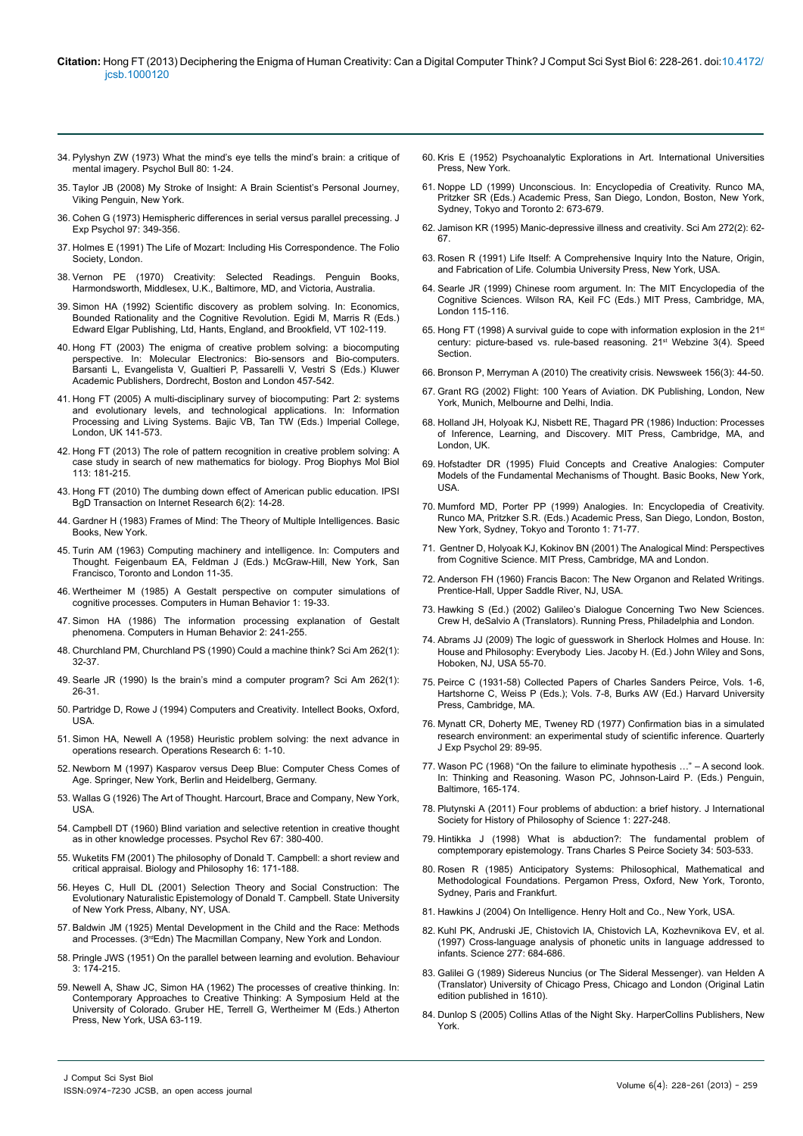#### **Citation:** Hong FT (2013) Deciphering the Enigma of Human Creativity: Can a Digital Computer Think? J Comput Sci Syst Biol 6: 228-261. doi:10.4172/ jcsb.1000120

- 34. [Pylyshyn ZW \(1973\) What the mind's eye tells the mind's brain: a critique of](http://link.springer.com/chapter/10.1007%2F978-94-010-1193-8_1) [mental imagery. Psychol Bull 80: 1-24.](http://link.springer.com/chapter/10.1007%2F978-94-010-1193-8_1)
- 35. Taylor JB (2008) My Stroke of Insight: A Brain Scientist's Personal Journey, Viking Penguin, New York.
- 36. [Cohen G \(1973\) Hemispheric differences in serial versus parallel precessing. J](http://www.ncbi.nlm.nih.gov/pubmed/4705242) [Exp Psychol 97: 349-356.](http://www.ncbi.nlm.nih.gov/pubmed/4705242)
- 37. Holmes E (1991) The Life of Mozart: Including His Correspondence. The Folio Society, London.
- 38. Vernon PE (1970) Creativity: Selected Readings. Penguin Books, Harmondsworth, Middlesex, U.K., Baltimore, MD, and Victoria, Australia.
- 39. [Simon HA \(1992\) Scientific discovery as problem](https://www.e-elgar.co.uk/bookentry_main.lasso?id=409) solving. In: Economics, [Bounded Rationality and the Cognitive Revolution. Egidi M, Marris R \(Eds.\)](https://www.e-elgar.co.uk/bookentry_main.lasso?id=409) Edward Elgar Publishing[, Ltd, Hants, England, and Brookfield, VT 102-119.](https://www.e-elgar.co.uk/bookentry_main.lasso?id=409)
- 40. [Hong FT \(2003\) The enigma of creative problem solving: a biocomputing](http://link.springer.com/chapter/10.1007/978-94-010-0141-0_22) [perspective. In: Molecular Electronics: Bio-sensors and Bio-computers.](http://link.springer.com/chapter/10.1007/978-94-010-0141-0_22) [Barsanti L, Evangelista V, Gualtieri P, Passarelli V, Vestri S \(Eds.\) Kluwer](http://link.springer.com/chapter/10.1007/978-94-010-0141-0_22) [Academic Publishers, Dordrecht, Boston and London 457-542.](http://link.springer.com/chapter/10.1007/978-94-010-0141-0_22)
- 41. [Hong FT \(2005\) A multi-disciplinary survey of](http://citeseerx.ist.psu.edu/viewdoc/summary?doi=10.1.1.202.282) biocomputing: Part 2: systems [and evolutionary levels, and technological applications. In: Information](http://citeseerx.ist.psu.edu/viewdoc/summary?doi=10.1.1.202.282) [Processing and Living Systems. Bajic VB, Tan TW \(Eds.\) Imperial College,](http://citeseerx.ist.psu.edu/viewdoc/summary?doi=10.1.1.202.282) [London, UK 141-573.](http://citeseerx.ist.psu.edu/viewdoc/summary?doi=10.1.1.202.282)
- 42. [Hong FT \(2013\) The role of pattern recognition in creative problem solving: A](http://www.ncbi.nlm.nih.gov/pubmed/23597605) [case study in search of new mathematics for biology. Prog Biophys Mol Biol](http://www.ncbi.nlm.nih.gov/pubmed/23597605) [113: 181-215.](http://www.ncbi.nlm.nih.gov/pubmed/23597605)
- 43. [Hong FT \(2010\) The dumbing down effect of American public education. IPSI](http://www.internetjournals.net/journals/tir/2010/July/Paper 03.pdf) [BgD Transaction on Internet Research 6\(2\): 14-28.](http://www.internetjournals.net/journals/tir/2010/July/Paper 03.pdf)
- 44. [Gardner H \(1983\) Frames of Mind: The Theory of Multiple Intelligences. Basic](http://educatorsthinkspace.wikispaces.com/Frames+of+mind+the+theory+of+multiple+intelligences) [Books, New York.](http://educatorsthinkspace.wikispaces.com/Frames+of+mind+the+theory+of+multiple+intelligences)
- 45. Turin AM (1963) Computing machinery and intelligence. In: Computers and Thought. Feigenbaum EA, Feldman J (Eds.) McGraw-Hill, New York, San Francisco, Toronto and London 11-35.
- 46. [Wertheimer M \(1985\) A Gestalt perspective on computer simulations of](http://www.sciencedirect.com/science/article/pii/0747563285900044) [cognitive processes. Computers in Human Behavior 1: 19-33.](http://www.sciencedirect.com/science/article/pii/0747563285900044)
- 47. [Simon HA \(1986\) The information processing explanation of Gestalt](http://www.sciencedirect.com/science/article/pii/0747563286900063) [phenomena. Computers in Human Behavior 2: 241-255.](http://www.sciencedirect.com/science/article/pii/0747563286900063)
- 48. [Churchland PM, Churchland PS \(1990\) Could a machine think? Sci Am 262\(1\):](http://www.ncbi.nlm.nih.gov/pubmed/2294584) [32-37.](http://www.ncbi.nlm.nih.gov/pubmed/2294584)
- 49. Searle JR (1990[\) Is the brain's mind a computer program? Sci Am 262\(1\):](http://www.ncbi.nlm.nih.gov/pubmed/2294583) [26-31.](http://www.ncbi.nlm.nih.gov/pubmed/2294583)
- 50. Partridge D, Rowe J (1994) Computers and Creativity. Intellect Books, Oxford, USA.
- 51. [Simon HA, Newell A \(1958\) Heuristic problem solving: the next advance in](http://www.jstor.org/discover/10.2307/167397?uid=3737496&uid=2129&uid=2&uid=70&uid=4&sid=21102578068783) [operations research. Operations Research 6: 1-10.](http://www.jstor.org/discover/10.2307/167397?uid=3737496&uid=2129&uid=2&uid=70&uid=4&sid=21102578068783)
- 52. Newborn M (1997) Kasparov versus Deep Blue: Computer Chess Comes of Age. Springer, New York, Berlin and Heidelberg, Germany.
- 53. Wallas G (1926) The Art of Thought. Harcourt, Brace and Company, New York, USA.
- 54. [Campbell DT \(1960\) Blind variation and selective retention in creative thought](http://www.ncbi.nlm.nih.gov/pubmed/13690223) [as in other knowledge processes. Psychol Rev 67: 380-400.](http://www.ncbi.nlm.nih.gov/pubmed/13690223)
- 55. [Wuketits FM \(2001\) The philosophy of Donald T. Campbell: a short review and](http://link.springer.com/article/10.1023%2FA%3A1006721104642) [critical appraisal. Biology and Philosophy 16: 171-188.](http://link.springer.com/article/10.1023%2FA%3A1006721104642)
- 56. Heyes C, Hull DL (2001) Selection Theory and Social Construction: The Evolutionary Naturalistic Epistemology of Donald T. Campbell. State University of New York Press, Albany, NY, USA.
- 57. [Baldwin JM \(1925\) Mental Development in the Child and the Race: Methods](http://archive.org/stream/mentaldevelopmen00baldiala#page/n5/mode/2up) and Processes. (3<sup>rd</sup>Edn) The Macmillan Company, New York and London.
- 58. [Pringle JWS \(1951\) On the parallel between learning and evolution. Behaviour](http://www.jstor.org/discover/10.2307/4532726?uid=3737496&uid=2129&uid=2&uid=70&uid=4&sid=21102578068783) [3: 174-215.](http://www.jstor.org/discover/10.2307/4532726?uid=3737496&uid=2129&uid=2&uid=70&uid=4&sid=21102578068783)
- 59. Newell A, Shaw JC, Simon HA (1962) The processes of creative thinking. In: Contemporary Approaches to Creative Thinking: A Symposium Held at the University of Colorado. Gruber HE, Terrell G, Wertheimer M (Eds.) Atherton Press, New York, USA 63-119.
- 60. [Kris E \(1952\) Psychoanalytic Explorations in Art. International Universities](http://ajp.psychiatryonline.org/article.aspx?articleID=174681)  [Press, New York.](http://ajp.psychiatryonline.org/article.aspx?articleID=174681)
- 61. Noppe LD (1999) Unconscious. In: Encyclopedia of Creativity. Runco MA, Pritzker SR (Eds.) Academic Press, San Diego, London, Boston, New York, Sydney, Tokyo and Toronto 2: 673-679.
- 62. [Jamison KR \(1995\) Manic-depressive illness and creativity. Sci Am 272\(2\): 62-](http://www.ncbi.nlm.nih.gov/pubmed/7817188) [67.](http://www.ncbi.nlm.nih.gov/pubmed/7817188)
- 63. Rosen R (1991) Life Itself: A Comprehensive Inquiry Into the Nature, Origin, and Fabrication of Life. Columbia University Press, New York, USA.
- 64. [Searle JR \(1999\) Chinese room argument. In: The MIT Encyclopedia of the](http://ai.ato.ms/MITECS/Entry/searle.html)  [Cognitive Sciences. Wilson RA, Keil FC \(Eds.\) MIT Press, Cambridge, MA,](http://ai.ato.ms/MITECS/Entry/searle.html)  [London 115-116.](http://ai.ato.ms/MITECS/Entry/searle.html)
- 65. Hong FT (1998) A survival guide to cope with information explosion in the 21st century: picture-based vs. rule-based reasoning. 21st Webzine 3(4). Speed **Section**
- 66. [Bronson P, Merryman A \(2010\) The creativity crisis. Newsweek 156\(3\): 44-50.](http://www.thedailybeast.com/newsweek/2010/07/10/the-creativity-crisis.html)
- 67. Grant RG (2002) Flight: 100 Years of Aviation. DK Publishing, London, New York, Munich, Melbourne and Delhi, India.
- 68. Holland JH, Holyoak KJ, Nisbett RE, Thagard PR (1986) Induction: Processes of Inference, Learning, and Discovery. MIT Press, Cambridge, MA, and London, UK.
- 69. Hofstadter DR (1995) Fluid Concepts and Creative Analogies: Computer Models of the Fundamental Mechanisms of Thought. Basic Books, New York, USA.
- 70. Mumford MD, Porter PP (1999) Analogies. In: Encyclopedia of Creativity. Runco MA, Pritzker S.R. (Eds.) Academic Press, San Diego, London, Boston, New York, Sydney, Tokyo and Toronto 1: 71-77.
- 71. [Gentner D, Holyoak KJ, Kokinov BN \(2001\) The Analogical Mind: Perspectives](http://www.google.co.in/url?sa=t&rct=j&q=&esrc=s&source=web&cd=4&ved=0CEIQFjAD&url=http%3A%2F%2Fwww.nbu.bg%2Fcogs%2Fpersonal%2Fkokinov%2FCOG501%2FThe%2520Analogical%2520Mind.pdf&ei=Ol5eUruxJ5HrrQf23YDwBA&usg=AFQjCNG1LxcxchrLuRzqmoknGL9dqyAY3Q&bvm=bv.541767)  [from Cognitive Science. MIT Press, Cambridge, MA and London.](http://www.google.co.in/url?sa=t&rct=j&q=&esrc=s&source=web&cd=4&ved=0CEIQFjAD&url=http%3A%2F%2Fwww.nbu.bg%2Fcogs%2Fpersonal%2Fkokinov%2FCOG501%2FThe%2520Analogical%2520Mind.pdf&ei=Ol5eUruxJ5HrrQf23YDwBA&usg=AFQjCNG1LxcxchrLuRzqmoknGL9dqyAY3Q&bvm=bv.541767)
- 72. Anderson FH (1960) Francis Bacon: The New Organon and Related Writings. Prentice-Hall, Upper Saddle River, NJ, USA.
- 73. [Hawking S \(Ed.\) \(2002\) Galileo's Dialogue Concerning Two New Sciences.](http://galileoandeinstein.physics.virginia.edu/tns.htm)  [Crew H, deSalvio A \(Translators\). Running Press, Philadelphia and London.](http://galileoandeinstein.physics.virginia.edu/tns.htm)
- 74. Abrams JJ (2009) The logic of guesswork in Sherlock Holmes and House. In: House and Philosophy: Everybody Lies. Jacoby H. (Ed.) John Wiley and Sons, Hoboken, NJ, USA 55-70.
- 75. Peirce C (1931-58) Collected Papers of Charles Sanders Peirce, Vols. 1-6, Hartshorne C, Weiss P (Eds.); Vols. 7-8, Burks AW (Ed.) Harvard University Press, Cambridge, MA.
- 76. [Mynatt CR, Doherty ME, Tweney RD \(1977\) Confirmation bias in a simulated](http://www.tandfonline.com/doi/abs/10.1080/00335557743000053#.Uhh6e5whbDc)  [research environment: an experimental study of scientific inference. Quarterly](http://www.tandfonline.com/doi/abs/10.1080/00335557743000053#.Uhh6e5whbDc)  [J Exp Psychol 29: 89-95.](http://www.tandfonline.com/doi/abs/10.1080/00335557743000053#.Uhh6e5whbDc)
- 77. Wason PC (1968) "On the failure to eliminate hypothesis …" A second look. In: Thinking and Reasoning. Wason PC, Johnson-Laird P. (Eds.) Penguin, Baltimore, 165-174.
- 78. [Plutynski A \(2011\) Four problems of abduction: a brief history. J International](http://155.97.32.9/~plutynsk/HOPOSproofs.pdf)  [Society for History of Philosophy of Science 1: 227-248.](http://155.97.32.9/~plutynsk/HOPOSproofs.pdf)
- 79. [Hintikka J \(1998\) What is abduction?: The fundamental problem of](http://www.jstor.org/discover/10.2307/40320712?uid=3737496&uid=2129&uid=2&uid=70&uid=4&sid=21102579965417)  [comptemporary epistemology. Trans Charles S Peirce Society 34: 503-533.](http://www.jstor.org/discover/10.2307/40320712?uid=3737496&uid=2129&uid=2&uid=70&uid=4&sid=21102579965417)
- 80. [Rosen R \(1985\) Anticipatory Systems: Philosophical, Mathematical and](http://books.google.co.in/books?id=YjDmry604qMC&printsec=frontcover&dq=Anticipatory+Systems:+Philosophical,+Mathematical+and+Methodological+Foundations.&hl=en&sa=X&ei=-VAfUvXXHsSFrAfV0oDwCA&ved=0CC0Q6AEwAA#v=onepage&q=Anticipatory Systems%3A Philosophi)  [Methodological Foundations. Pergamon Press, Oxford, New York, Toronto,](http://books.google.co.in/books?id=YjDmry604qMC&printsec=frontcover&dq=Anticipatory+Systems:+Philosophical,+Mathematical+and+Methodological+Foundations.&hl=en&sa=X&ei=-VAfUvXXHsSFrAfV0oDwCA&ved=0CC0Q6AEwAA#v=onepage&q=Anticipatory Systems%3A Philosophi)  [Sydney, Paris and Frankfurt.](http://books.google.co.in/books?id=YjDmry604qMC&printsec=frontcover&dq=Anticipatory+Systems:+Philosophical,+Mathematical+and+Methodological+Foundations.&hl=en&sa=X&ei=-VAfUvXXHsSFrAfV0oDwCA&ved=0CC0Q6AEwAA#v=onepage&q=Anticipatory Systems%3A Philosophi)
- 81. Hawkins J (2004) On Intelligence. Henry Holt and Co., New York, USA.
- 82. [Kuhl PK, Andruski JE, Chistovich IA, Chistovich LA, Kozhevnikova EV, et al.](http://www.ncbi.nlm.nih.gov/pubmed/9235890)  [\(1997\) Cross-language analysis of phonetic units in language addressed to](http://www.ncbi.nlm.nih.gov/pubmed/9235890)  [infants. Science 277: 684-686.](http://www.ncbi.nlm.nih.gov/pubmed/9235890)
- 83. Galilei G (1989) Sidereus Nuncius (or The Sideral Messenger). van Helden A (Translator) University of Chicago Press, Chicago and London (Original Latin edition published in 1610).
- 84. [Dunlop S \(2005\) Collins Atlas of the Night Sky. HarperCollins Publishers, New](http://www.amazon.com/Atlas-Night-Sky-Smithsonian-Institution/dp/0060818913)  [York.](http://www.amazon.com/Atlas-Night-Sky-Smithsonian-Institution/dp/0060818913)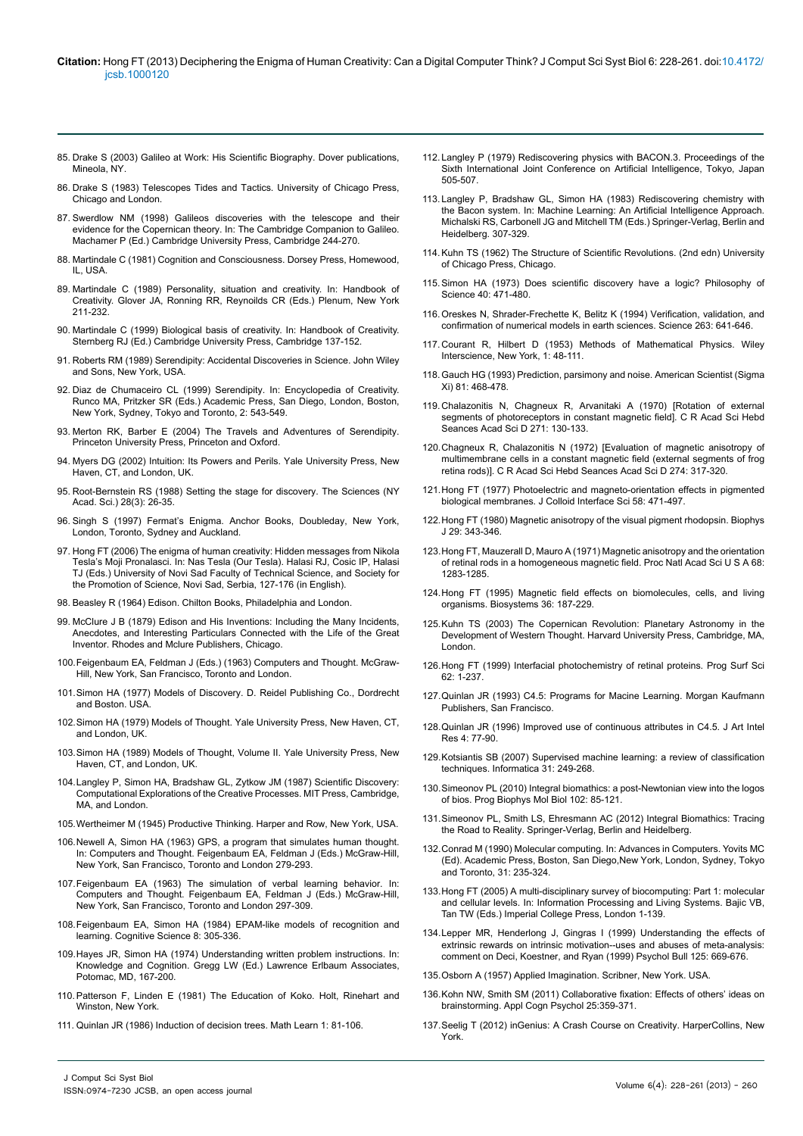#### **Citation:** Hong FT (2013) Deciphering the Enigma of Human Creativity: Can a Digital Computer Think? J Comput Sci Syst Biol 6: 228-261. doi:10.4172/ jcsb.1000120

- 85. Drake S (2003[\) Galileo at Work: His Scientific Biography. Dover publications,](http://books.google.co.in/books?id=OwOlRPbrZeQC&pg=PR4&lpg=PR4&dq=Drake+S+%281978%29+Galileo+at+Work:+His+Scientific+Biography.+University+of+Chicago+Press,+Chicago.+Reprinted,+2003,+Dover+publications,+Mineola,+NY.&source=bl&ots=Z1CW32PAa1&sig=uNAZHFUeDon) [Mineola, NY.](http://books.google.co.in/books?id=OwOlRPbrZeQC&pg=PR4&lpg=PR4&dq=Drake+S+%281978%29+Galileo+at+Work:+His+Scientific+Biography.+University+of+Chicago+Press,+Chicago.+Reprinted,+2003,+Dover+publications,+Mineola,+NY.&source=bl&ots=Z1CW32PAa1&sig=uNAZHFUeDon)
- 86. Drake S (1983) Telescopes Tides and Tactics. University of Chicago Press, Chicago and London.
- 87. Swerdlow NM (1998) Galileos discoveries with the telescope and their evidence for the Copernican theory. In: The Cambridge Companion to Galileo. Machamer P (Ed.) Cambridge University Press, Cambridge 244-270.
- 88. Martindale C (1981) Cognition and Consciousness. Dorsey Press, Homewood, IL, USA.
- 89. [Martindale C \(1989\) Personality, situation and creativity. In: Handbook of](http://link.springer.com/chapter/10.1007/978-1-4757-5356-1_13) [Creativity. Glover JA, Ronning RR, Reynoilds CR \(Eds.\) Plenum, New York](http://link.springer.com/chapter/10.1007/978-1-4757-5356-1_13) [211-232.](http://link.springer.com/chapter/10.1007/978-1-4757-5356-1_13)
- 90. [Martindale C \(1999\) Biological basis of creativity. In: Handbook of Creativity.](http://books.google.co.in/books?hl=en&lr=&id=d1KTEQpQ6vsC&oi=fnd&pg=PA137&dq=Martindale+C+%281999%29+Biological+basis+of+creativity.+In:+Handbook+of+Creativity&ots=Fr223kpmB0&sig=_YwfmeonxdyuLdALYKloBhLfyno&redir_esc=y#v=onepage&q&f=false) [Sternberg RJ \(Ed.\) Cambridge University Press,](http://books.google.co.in/books?hl=en&lr=&id=d1KTEQpQ6vsC&oi=fnd&pg=PA137&dq=Martindale+C+%281999%29+Biological+basis+of+creativity.+In:+Handbook+of+Creativity&ots=Fr223kpmB0&sig=_YwfmeonxdyuLdALYKloBhLfyno&redir_esc=y#v=onepage&q&f=false) Cambridge 137-152.
- 91. Roberts RM (1989) Serendipity: Accidental Discoveries in Science. John Wiley and Sons, New York, USA.
- 92. Diaz de Chumaceiro CL (1999) Serendipity. In: Encyclopedia of Creativity. Runco MA, Pritzker SR (Eds.) Academic Press, San Diego, London, Boston, New York, Sydney, Tokyo and Toronto, 2: 543-549.
- 93. [Merton RK, Barber E \(2004\) The Travels and Adventures of Serendipity.](http://press.princeton.edu/chapters/s7576.html) [Princeton University Press, Princeton and Oxford.](http://press.princeton.edu/chapters/s7576.html)
- 94. Myers DG (2002) Intuition: Its Powers and Perils. Yale University Press, New Haven, CT, and London, UK.
- 95. [Root-Bernstein RS \(1988\) Setting the stage for discovery. T](http://onlinelibrary.wiley.com/doi/10.1002/j.2326-1951.1988.tb03019.x/abstract)he Sciences (NY Acad. Sci.) 28(3): 26-35.
- 96. Singh S (1997) Fermat's Enigma. Anchor Books, Doubleday, New York, London, Toronto, Sydney and Auckland.
- 97. Hong FT (2006) The enigma of human creativity: Hidden messages from Nikola Tesla's Moji Pronalasci. In: Nas Tesla (Our Tesla). Halasi RJ, Cosic IP, Halasi TJ (Eds.) University of Novi Sad Faculty of Technical Science, and Society for the Promotion of Science, Novi Sad, Serbia, 127-176 (in English).
- 98. Beasley R (1964) Edison. Chilton Books, Philadelphia and London.
- 99. McClure J B (1879) Edison and His Inventions: Including the Many Incidents, Anecdotes, and Interesting Particulars Connected with the Life of the Great Inventor. Rhodes and Mclure Publishers, Chicago.
- 100.Feigenbaum EA, Feldman J (Eds.) (1963[\) Computers and Thought. M](http://books.google.co.in/books/about/Computers_and_Thought.html?id=7S6FuQAACAAJ&redir_esc=y)cGraw-Hill, New York, San Francisco, Toronto and London.
- 101.Simon HA (1977) Models of Discovery. D. Reidel Publishing Co., Dordrecht and Boston. USA.
- 102.Simon HA (1979) Models of Thought. Yale University Press, New Haven, CT, and London, UK.
- 103.Simon HA (1989) Models of Thought, Volume II. Yale University Press, New Haven, CT, and London, UK.
- 104.[Langley P, Simon HA, Bradshaw GL, Zytkow JM \(1987\) Scientific Discovery:](http://books.google.co.in/books?id=VPxc-uPB7LEC&printsec=frontcover&dq=Scientific+Discovery:+Computational+Explorations+of+the+Creative+Processes.&hl=en&sa=X&ei=UVAfUqPeBMGArge0_4DwDA&ved=0CC8Q6AEwAA#v=onepage&q=Scientific Discovery%3A Computational ) [Computational Explorations of the Creative Processes. MIT Press, Cambridge,](http://books.google.co.in/books?id=VPxc-uPB7LEC&printsec=frontcover&dq=Scientific+Discovery:+Computational+Explorations+of+the+Creative+Processes.&hl=en&sa=X&ei=UVAfUqPeBMGArge0_4DwDA&ved=0CC8Q6AEwAA#v=onepage&q=Scientific Discovery%3A Computational ) [MA, and London.](http://books.google.co.in/books?id=VPxc-uPB7LEC&printsec=frontcover&dq=Scientific+Discovery:+Computational+Explorations+of+the+Creative+Processes.&hl=en&sa=X&ei=UVAfUqPeBMGArge0_4DwDA&ved=0CC8Q6AEwAA#v=onepage&q=Scientific Discovery%3A Computational )
- 105.Wertheimer M (1945) Productive Thinking. Harper and Row, New York, USA.
- 106.[Newell A, Simon HA \(1963\) GPS, a program that simulates human thought.](http://aitopics.net/classic/Feigenbaum_Feldman/Computers_And_Thought-Part_2_GPS.pdf) [In: Computers and Thought. Feigenbaum EA, Feldman J \(Eds.\) McGraw-Hill,](http://aitopics.net/classic/Feigenbaum_Feldman/Computers_And_Thought-Part_2_GPS.pdf) [New York, San Francisco, Toronto and London 279-293.](http://aitopics.net/classic/Feigenbaum_Feldman/Computers_And_Thought-Part_2_GPS.pdf)
- 107.[Feigenbaum EA \(1963\) The simulation of verbal learning behavior. In:](http://aitopics.net/classic/Feigenbaum_Feldman/Computers_And_Thought-Part_2_EPAM.pdf) [Computers and Thought. Feigenbaum EA, Feldman J \(Eds.\) McGraw-Hill,](http://aitopics.net/classic/Feigenbaum_Feldman/Computers_And_Thought-Part_2_EPAM.pdf) [New York, San Francisco, Toronto and London 297-309.](http://aitopics.net/classic/Feigenbaum_Feldman/Computers_And_Thought-Part_2_EPAM.pdf)
- 108.[Feigenbaum EA, Simon HA \(1984\) EPAM-like models of recognition and](http://csjarchive.cogsci.rpi.edu/1984v08/i04/p0305p0336/MAIN.PDF) [learning. Cognitive Science 8: 305-336.](http://csjarchive.cogsci.rpi.edu/1984v08/i04/p0305p0336/MAIN.PDF)
- 109.Hayes JR, Simon HA (1974) Understanding written problem instructions. In: Knowledge and Cognition. Gregg LW (Ed.) Lawrence Erlbaum Associates, Potomac, MD, 167-200.
- 110.Patterson F, Linden E (1981) The Education of Koko. Holt, Rinehart and Winston, New York.
- 111. [Quinlan JR \(1986\) Induction of decision trees. Math Learn 1: 81-106.](http://link.springer.com/article/10.1007%2FBF00116251)
- 112. [Langley P \(1979\) Rediscovering physics with BACON.3. Proceedings of the](http://dl.acm.org/citation.cfm?id=1624976)  [Sixth International Joint Conference on Artificial Intelligence, Tokyo, Japan](http://dl.acm.org/citation.cfm?id=1624976)  [505-507.](http://dl.acm.org/citation.cfm?id=1624976)
- 113. [Langley P, Bradshaw GL, Simon HA \(1983\) Rediscovering chemistry with](http://link.springer.com/chapter/10.1007%2F978-3-662-12405-5_10)  [the Bacon system. In: Machine Learning: An Artificial Intelligence](http://link.springer.com/chapter/10.1007%2F978-3-662-12405-5_10) Approach. Michalski RS, Carbonell JG and Mitchell TM (Eds.) Springer-Verlag, Berlin and Heidelberg. 307-329.
- 114.[Kuhn TS \(1962\) The Structure of Scientific Revolutions. \(2nd edn\) University](http://www.marxists.org/reference/subject/philosophy/works/us/kuhn.htm)  [of Chicago Press, Chicago.](http://www.marxists.org/reference/subject/philosophy/works/us/kuhn.htm)
- 115.[Simon HA \(1973\) Does scientific discovery have a logic?](http://philpapers.org/rec/SIMDSD) Philosophy of [Science 40: 471-480.](http://philpapers.org/rec/SIMDSD)
- 116.[Oreskes N, Shrader-Frechette K, Belitz K \(1994\) Verification, validation, and](http://www.ncbi.nlm.nih.gov/pubmed/17747657)  confirmation of numerical models [in earth sciences. Science 263: 641-646.](http://www.ncbi.nlm.nih.gov/pubmed/17747657)
- 117. [Courant R, Hilbert D \(1953\) Methods of Mathematical Physics. Wiley](http://www.math.hawaii.edu/~marvin/free.online.textbooks/CourantHilbert-MethodsOfMathematicalPhysicsVol.1.pdf)  [Interscience,](http://www.math.hawaii.edu/~marvin/free.online.textbooks/CourantHilbert-MethodsOfMathematicalPhysicsVol.1.pdf) New York, 1: 48-111.
- 118.[Gauch HG \(1993\) Prediction, parsimony and noise. American Scientist \(Sigma](http://www.jstor.org/discover/10.2307/29775014?uid=3737496&uid=2129&uid=2&uid=70&uid=4&sid=21102592198653)  [Xi\) 81: 468-478.](http://www.jstor.org/discover/10.2307/29775014?uid=3737496&uid=2129&uid=2&uid=70&uid=4&sid=21102592198653)
- 119. [Chalazonitis N, Chagneux R, Arvanitaki A \(1970\) \[Rotation of external](http://www.ncbi.nlm.nih.gov/pubmed/4988329)  [segments of photoreceptors in constant magnetic field\]. C R Acad Sci Hebd](http://www.ncbi.nlm.nih.gov/pubmed/4988329)  [Seances Acad Sci D 271: 130-133.](http://www.ncbi.nlm.nih.gov/pubmed/4988329)
- 120.[Chagneux R, Chalazonitis N \(1972\) \[Evaluation of magnetic anisotropy of](http://www.ncbi.nlm.nih.gov/pubmed/4622084)  [multimembrane cells in a constant magnetic field \(external segments of frog](http://www.ncbi.nlm.nih.gov/pubmed/4622084)  [retina rods\)\]. C R Acad Sci Hebd Seances Acad Sci D 274: 317-320.](http://www.ncbi.nlm.nih.gov/pubmed/4622084)
- 121.[Hong FT \(1977\) Photoelectric and magneto-orientation effects in pigmented](http://www.sciencedirect.com/science/article/pii/0021979777901588)  [biological membranes. J Colloid Interface Sci 58: 471-497.](http://www.sciencedirect.com/science/article/pii/0021979777901588)
- 122.[Hong FT \(1980\) Magnetic anisotropy of the visual pigment rhodopsin. Biophys](http://www.ncbi.nlm.nih.gov/pubmed/7260258)  [J 29: 343-346.](http://www.ncbi.nlm.nih.gov/pubmed/7260258)
- 123.[Hong FT, Mauzerall D, Mauro A \(1971\) Magnetic anisotropy and the orientation](http://www.ncbi.nlm.nih.gov/pubmed/5288376)  [of retinal rods in a homogeneous magnetic field. Proc Natl Acad Sci U S A 68:](http://www.ncbi.nlm.nih.gov/pubmed/5288376)  [1283-1285.](http://www.ncbi.nlm.nih.gov/pubmed/5288376)
- 124.[Hong FT \(1995\) Magnetic field effects on biomolecules, cells, and living](http://www.ncbi.nlm.nih.gov/pubmed/8573700)  [organisms. Biosystems 36: 187-229.](http://www.ncbi.nlm.nih.gov/pubmed/8573700)
- 125.[Kuhn TS \(2003\) The Copernican Revolution: Planetary Astronomy in the](http://www.hup.harvard.edu/catalog.php?isbn=9780674171039)  [Development of Western Thought. Harvard University Press, Cambridge, MA,](http://www.hup.harvard.edu/catalog.php?isbn=9780674171039)  [London.](http://www.hup.harvard.edu/catalog.php?isbn=9780674171039)
- 126.[Hong FT \(1999\) Interfacial photochemistry of retinal proteins. Prog Surf Sci](http://www.sciencedirect.com/science/article/pii/S0079681699000143)  [62: 1-237.](http://www.sciencedirect.com/science/article/pii/S0079681699000143)
- 127.[Quinlan JR \(1993\) C4.5: Programs for Macine Learning. Morgan Kaufmann](http://link.springer.com/article/10.1007%2FBF00993309)  [Publishers, San Francisco.](http://link.springer.com/article/10.1007%2FBF00993309)
- 128.[Quinlan JR \(1996\) Improved use of continuous attributes in C4.5. J Art Intel](http://citeseerx.ist.psu.edu/viewdoc/summary?doi=10.1.1.50.144) [Res 4: 77-90.](http://citeseerx.ist.psu.edu/viewdoc/summary?doi=10.1.1.50.144)
- 129.[Kotsiantis SB \(2007\) Supervised machine learning: a review of classification](http://citeseer.uark.edu:8080/citeseerx/viewdoc/summary;jsessionid=BDF4340F4AE2EF88D65DDE87735D689B?doi=10.1.1.95.9683)  [techniques. Informatica 31: 249-268.](http://citeseer.uark.edu:8080/citeseerx/viewdoc/summary;jsessionid=BDF4340F4AE2EF88D65DDE87735D689B?doi=10.1.1.95.9683)
- 130.[Simeonov PL \(2010\) Integral biomathics: a post-Newtonian view into the logos](http://www.ncbi.nlm.nih.gov/pubmed/20146929)  [of bios. Prog Biophys Mol Biol 102: 85-121.](http://www.ncbi.nlm.nih.gov/pubmed/20146929)
- 131.[Simeonov PL, Smith LS, Ehresmann AC \(2012\) Integral Biomathics: Tracing](http://link.springer.com/book/10.1007/978-3-642-28111-2/page/1)  [the Road to Reality. Springer-Verlag, Berlin and Heidelberg.](http://link.springer.com/book/10.1007/978-3-642-28111-2/page/1)
- 132.Conrad M (1990) Molecular computing. In: Advances in Computers. Yovits MC (Ed). Academic Press, Boston, San Diego,New York, London, Sydney, Tokyo and Toronto, 31: 235-324.
- 133.[Hong FT \(2005\) A multi-disciplinary survey of biocomputing: Part 1: molecular](http://citeseerx.ist.psu.edu/viewdoc/summary?doi=10.1.1.202.282)  [and cellular levels. In: Information Processing and Living](http://citeseerx.ist.psu.edu/viewdoc/summary?doi=10.1.1.202.282) Systems. Bajic VB, Tan TW (Eds.) Imperial College Press, London 1-139.
- 134.[Lepper MR, Henderlong J, Gingras I \(1999\) Understanding the effects of](http://www.ncbi.nlm.nih.gov/pubmed/10589298) [extrinsic rewards on intrinsic motivation--uses and abuses of meta-analysis:](http://www.ncbi.nlm.nih.gov/pubmed/10589298)  [comment on Deci, Koestner, and Ryan \(1999\) Psychol Bull 125: 669-676.](http://www.ncbi.nlm.nih.gov/pubmed/10589298)
- 135.Osborn A (1957) Applied Imagination. Scribner, New York. USA.
- 136.[Kohn NW, Smith SM \(2011\) Collaborative fixation: Effects of others' ideas on](http://onlinelibrary.wiley.com/doi/10.1002/acp.1699/abstract)  [brainstorming. Appl Cogn Psychol 25:359-371.](http://onlinelibrary.wiley.com/doi/10.1002/acp.1699/abstract)
- 137.[Seelig T \(2012\) inGenius: A Crash Course on Creativity. HarperCollins, New](http://books.google.co.in/books/about/inGenius.html?id=8i2RAcAGjGsC&redir_esc=y)  [York.](http://books.google.co.in/books/about/inGenius.html?id=8i2RAcAGjGsC&redir_esc=y)